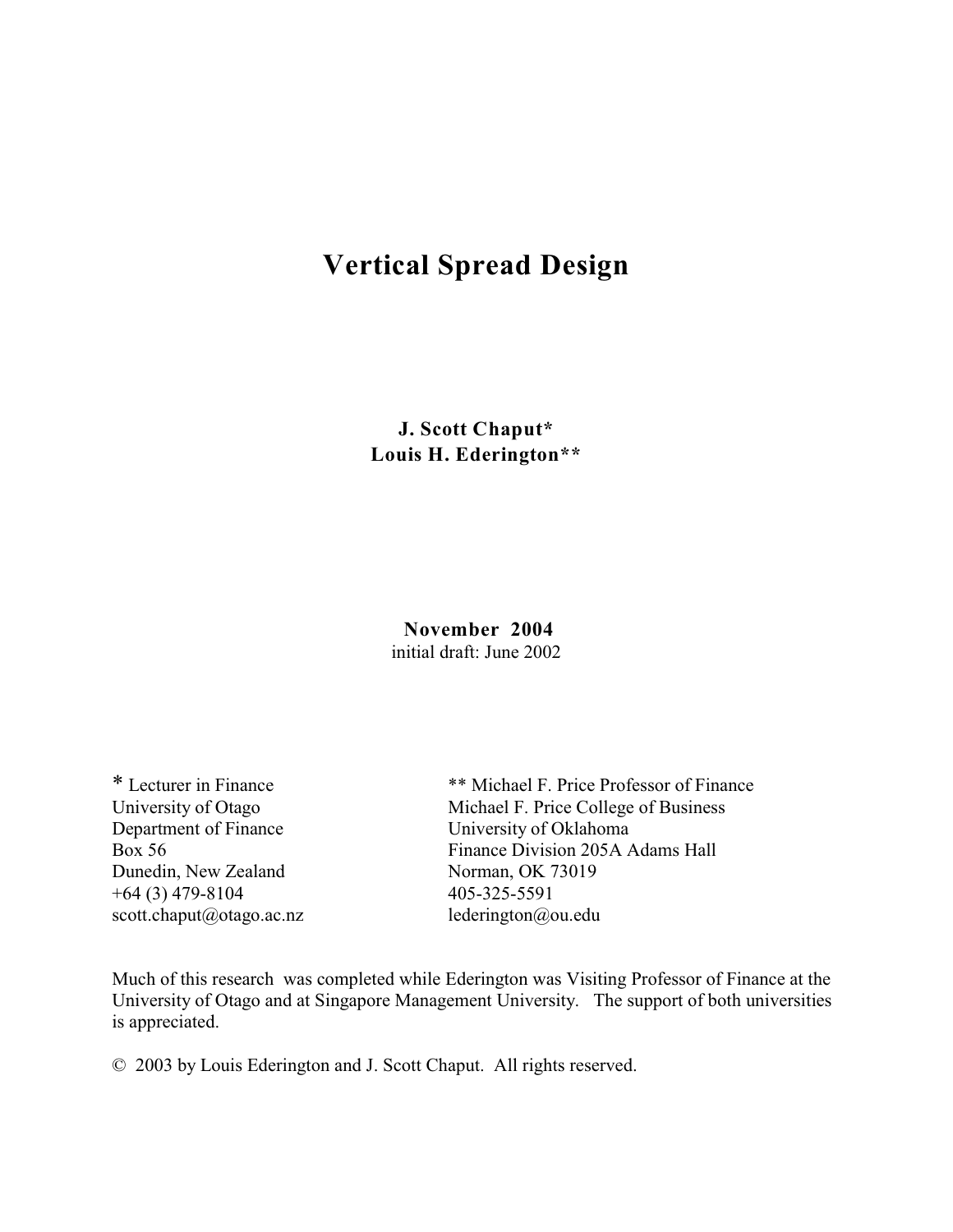# **Vertical Spread Design**

**J. Scott Chaput\* Louis H. Ederington\*\***

> **November 2004** initial draft: June 2002

Department of Finance University of Oklahoma Dunedin, New Zealand Norman, OK 73019  $+64$  (3) 479-8104 405-325-5591 scott.chaput@otago.ac.nz lederington@ou.edu

\* Lecturer in Finance \*\* Michael F. Price Professor of Finance University of Otago Michael F. Price College of Business Box 56 Finance Division 205A Adams Hall

Much of this research was completed while Ederington was Visiting Professor of Finance at the University of Otago and at Singapore Management University. The support of both universities is appreciated.

© 2003 by Louis Ederington and J. Scott Chaput. All rights reserved.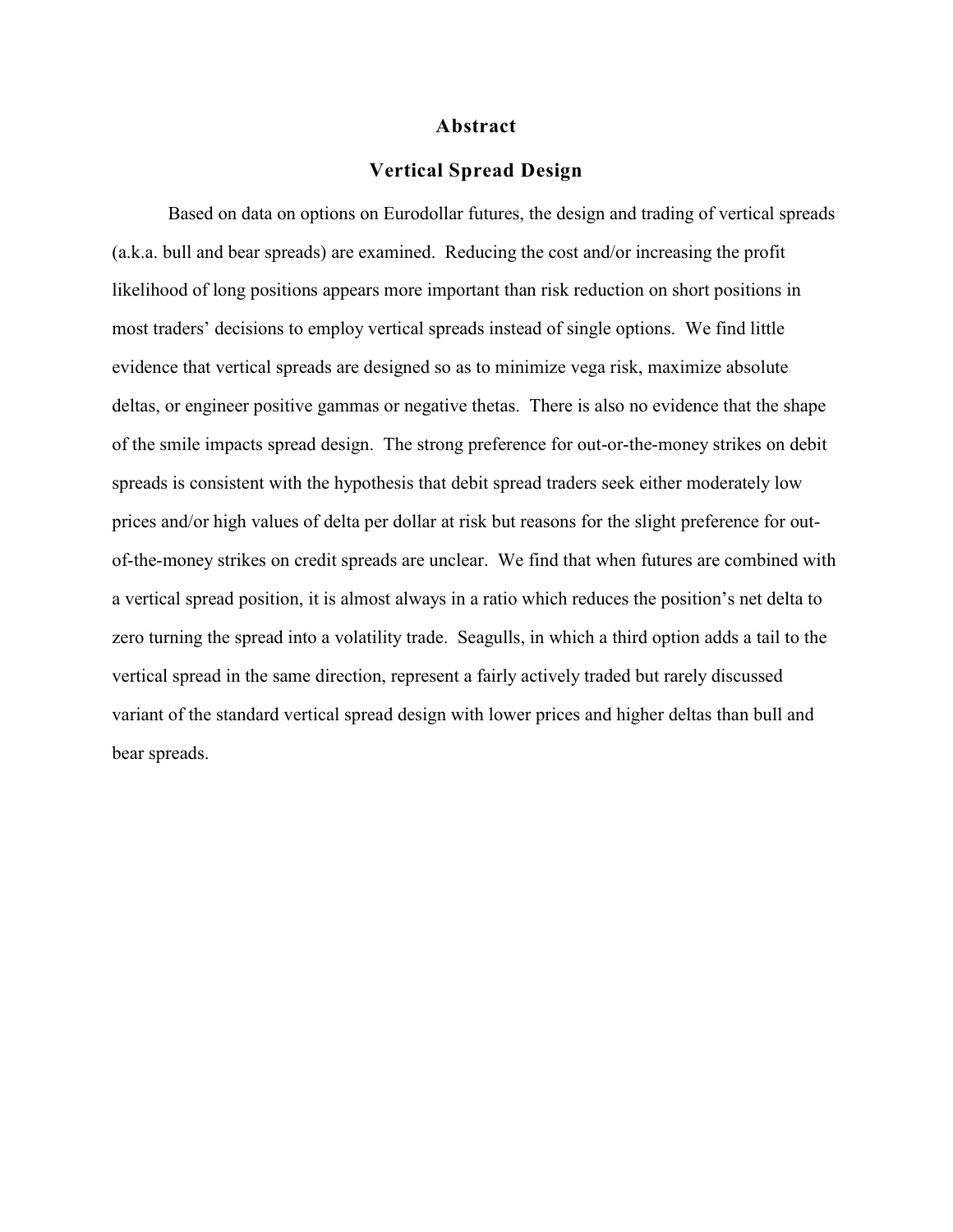#### **Abstract**

# **Vertical Spread Design**

Based on data on options on Eurodollar futures, the design and trading of vertical spreads (a.k.a. bull and bear spreads) are examined. Reducing the cost and/or increasing the profit likelihood of long positions appears more important than risk reduction on short positions in most traders' decisions to employ vertical spreads instead of single options. We find little evidence that vertical spreads are designed so as to minimize vega risk, maximize absolute deltas, or engineer positive gammas or negative thetas. There is also no evidence that the shape of the smile impacts spread design. The strong preference for out-or-the-money strikes on debit spreads is consistent with the hypothesis that debit spread traders seek either moderately low prices and/or high values of delta per dollar at risk but reasons for the slight preference for outof-the-money strikes on credit spreads are unclear. We find that when futures are combined with a vertical spread position, it is almost always in a ratio which reduces the position's net delta to zero turning the spread into a volatility trade. Seagulls, in which a third option adds a tail to the vertical spread in the same direction, represent a fairly actively traded but rarely discussed variant of the standard vertical spread design with lower prices and higher deltas than bull and bear spreads.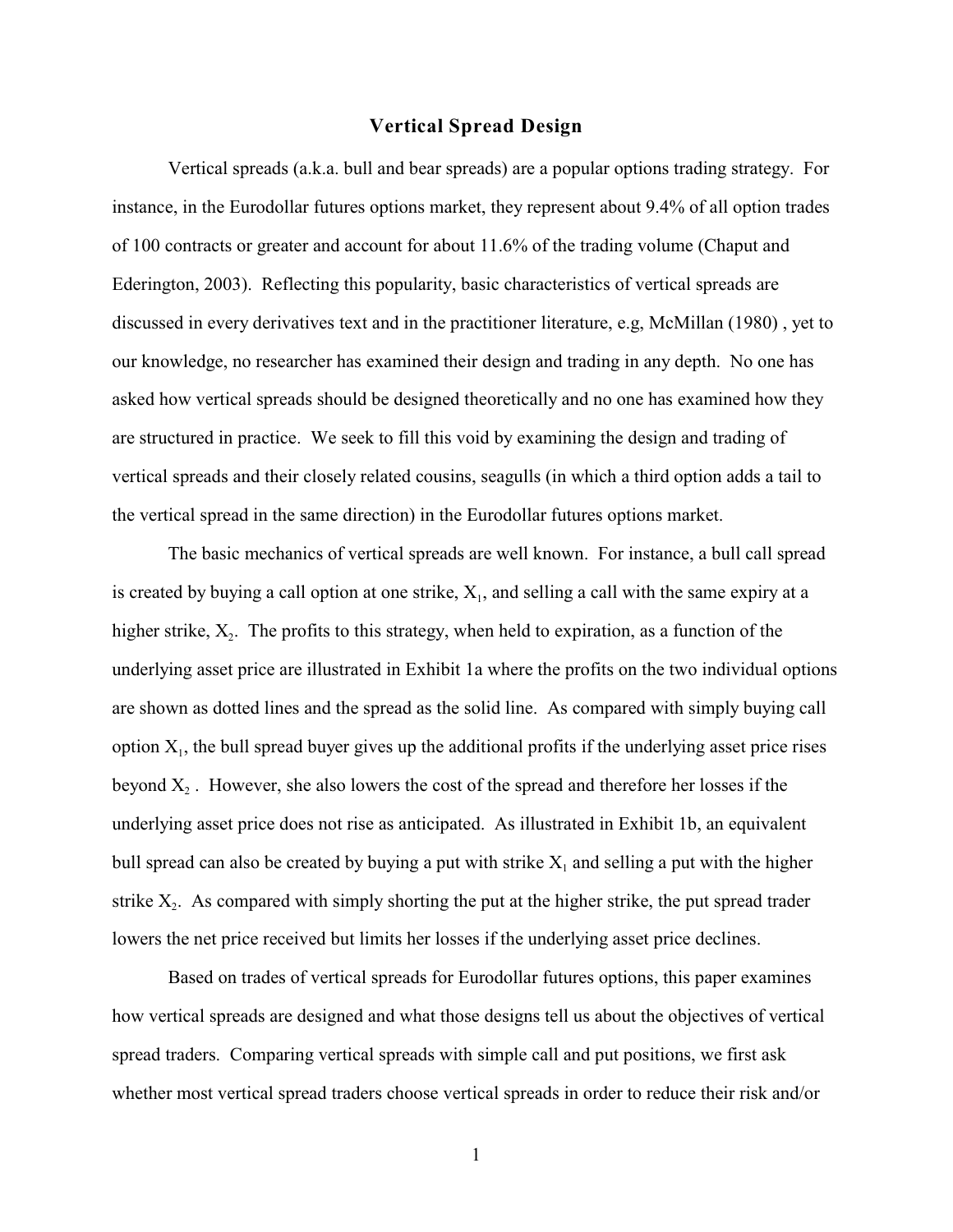### **Vertical Spread Design**

Vertical spreads (a.k.a. bull and bear spreads) are a popular options trading strategy. For instance, in the Eurodollar futures options market, they represent about 9.4% of all option trades of 100 contracts or greater and account for about 11.6% of the trading volume (Chaput and Ederington, 2003). Reflecting this popularity, basic characteristics of vertical spreads are discussed in every derivatives text and in the practitioner literature, e.g, McMillan (1980) , yet to our knowledge, no researcher has examined their design and trading in any depth. No one has asked how vertical spreads should be designed theoretically and no one has examined how they are structured in practice. We seek to fill this void by examining the design and trading of vertical spreads and their closely related cousins, seagulls (in which a third option adds a tail to the vertical spread in the same direction) in the Eurodollar futures options market.

The basic mechanics of vertical spreads are well known. For instance, a bull call spread is created by buying a call option at one strike,  $X_1$ , and selling a call with the same expiry at a higher strike,  $X_2$ . The profits to this strategy, when held to expiration, as a function of the underlying asset price are illustrated in Exhibit 1a where the profits on the two individual options are shown as dotted lines and the spread as the solid line. As compared with simply buying call option  $X_1$ , the bull spread buyer gives up the additional profits if the underlying asset price rises beyond  $X_2$ . However, she also lowers the cost of the spread and therefore her losses if the underlying asset price does not rise as anticipated. As illustrated in Exhibit 1b, an equivalent bull spread can also be created by buying a put with strike  $X_1$  and selling a put with the higher strike  $X_2$ . As compared with simply shorting the put at the higher strike, the put spread trader lowers the net price received but limits her losses if the underlying asset price declines.

Based on trades of vertical spreads for Eurodollar futures options, this paper examines how vertical spreads are designed and what those designs tell us about the objectives of vertical spread traders. Comparing vertical spreads with simple call and put positions, we first ask whether most vertical spread traders choose vertical spreads in order to reduce their risk and/or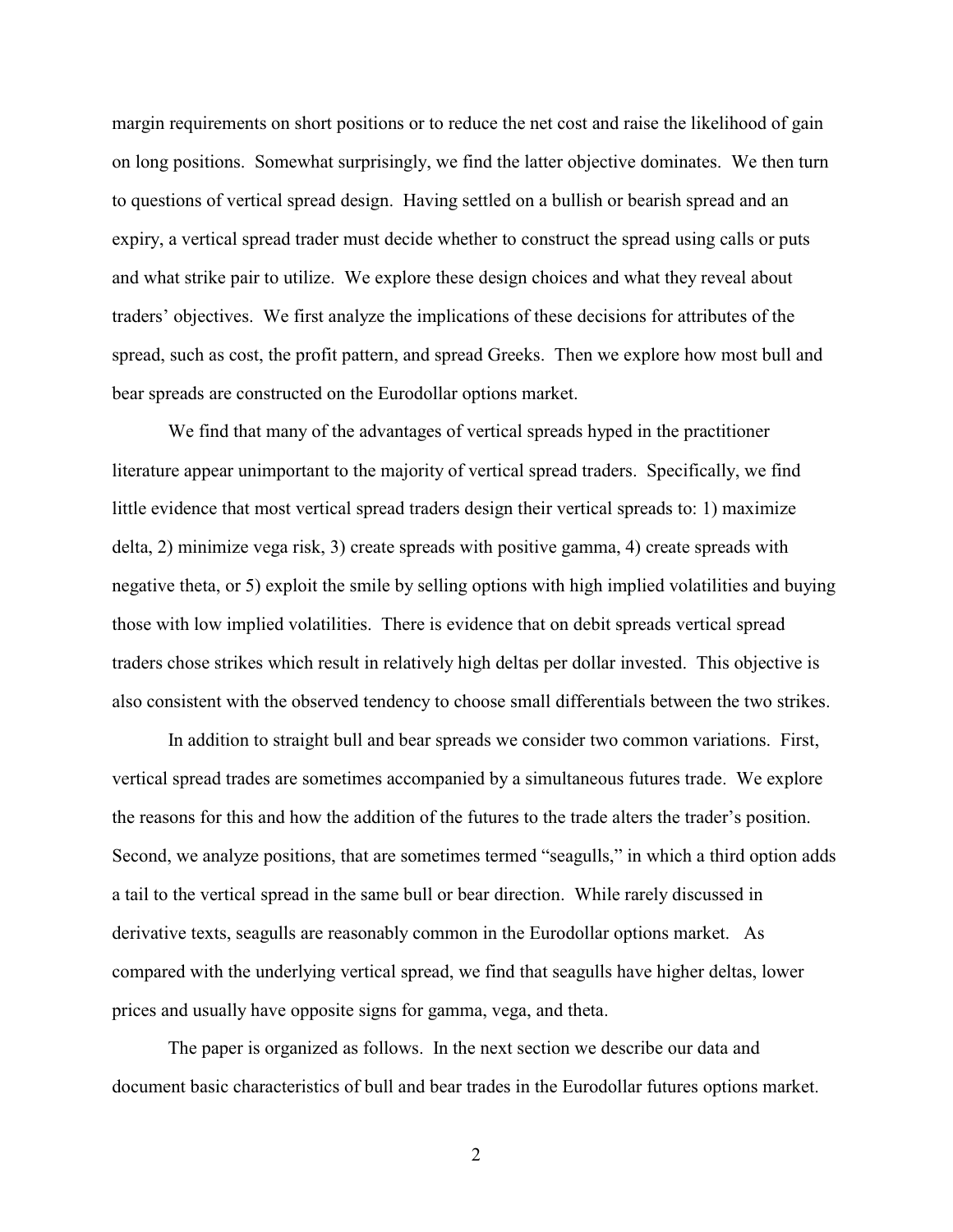margin requirements on short positions or to reduce the net cost and raise the likelihood of gain on long positions. Somewhat surprisingly, we find the latter objective dominates. We then turn to questions of vertical spread design. Having settled on a bullish or bearish spread and an expiry, a vertical spread trader must decide whether to construct the spread using calls or puts and what strike pair to utilize. We explore these design choices and what they reveal about traders' objectives. We first analyze the implications of these decisions for attributes of the spread, such as cost, the profit pattern, and spread Greeks. Then we explore how most bull and bear spreads are constructed on the Eurodollar options market.

We find that many of the advantages of vertical spreads hyped in the practitioner literature appear unimportant to the majority of vertical spread traders. Specifically, we find little evidence that most vertical spread traders design their vertical spreads to: 1) maximize delta, 2) minimize vega risk, 3) create spreads with positive gamma, 4) create spreads with negative theta, or 5) exploit the smile by selling options with high implied volatilities and buying those with low implied volatilities. There is evidence that on debit spreads vertical spread traders chose strikes which result in relatively high deltas per dollar invested. This objective is also consistent with the observed tendency to choose small differentials between the two strikes.

In addition to straight bull and bear spreads we consider two common variations. First, vertical spread trades are sometimes accompanied by a simultaneous futures trade. We explore the reasons for this and how the addition of the futures to the trade alters the trader's position. Second, we analyze positions, that are sometimes termed "seagulls," in which a third option adds a tail to the vertical spread in the same bull or bear direction. While rarely discussed in derivative texts, seagulls are reasonably common in the Eurodollar options market. As compared with the underlying vertical spread, we find that seagulls have higher deltas, lower prices and usually have opposite signs for gamma, vega, and theta.

The paper is organized as follows. In the next section we describe our data and document basic characteristics of bull and bear trades in the Eurodollar futures options market.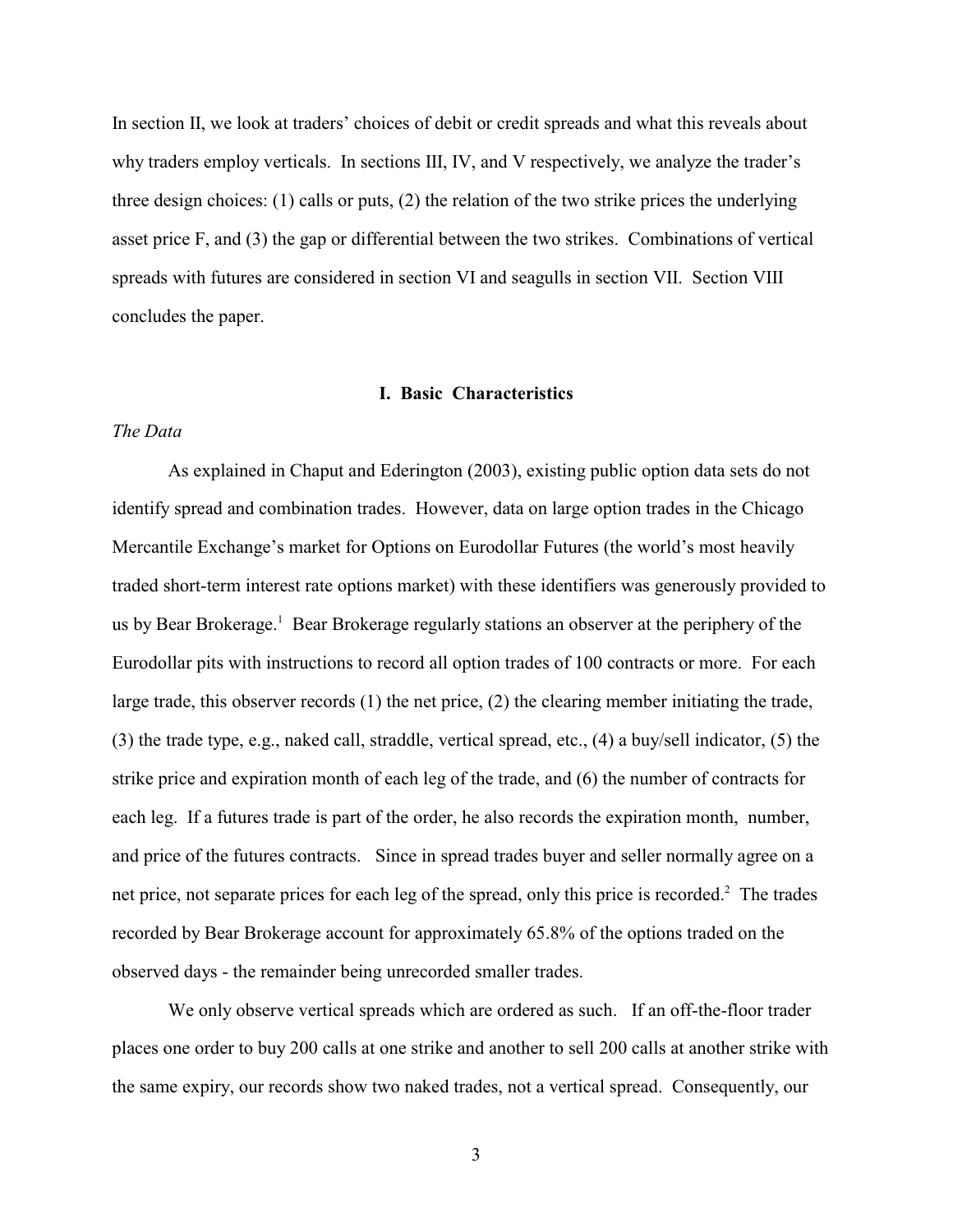In section II, we look at traders' choices of debit or credit spreads and what this reveals about why traders employ verticals. In sections III, IV, and V respectively, we analyze the trader's three design choices: (1) calls or puts, (2) the relation of the two strike prices the underlying asset price F, and (3) the gap or differential between the two strikes. Combinations of vertical spreads with futures are considered in section VI and seagulls in section VII. Section VIII concludes the paper.

#### **I. Basic Characteristics**

## *The Data*

As explained in Chaput and Ederington (2003), existing public option data sets do not identify spread and combination trades. However, data on large option trades in the Chicago Mercantile Exchange's market for Options on Eurodollar Futures (the world's most heavily traded short-term interest rate options market) with these identifiers was generously provided to us by Bear Brokerage.<sup>1</sup> Bear Brokerage regularly stations an observer at the periphery of the Eurodollar pits with instructions to record all option trades of 100 contracts or more. For each large trade, this observer records (1) the net price, (2) the clearing member initiating the trade, (3) the trade type, e.g., naked call, straddle, vertical spread, etc., (4) a buy/sell indicator, (5) the strike price and expiration month of each leg of the trade, and (6) the number of contracts for each leg. If a futures trade is part of the order, he also records the expiration month, number, and price of the futures contracts. Since in spread trades buyer and seller normally agree on a net price, not separate prices for each leg of the spread, only this price is recorded.<sup>2</sup> The trades recorded by Bear Brokerage account for approximately 65.8% of the options traded on the observed days - the remainder being unrecorded smaller trades.

We only observe vertical spreads which are ordered as such. If an off-the-floor trader places one order to buy 200 calls at one strike and another to sell 200 calls at another strike with the same expiry, our records show two naked trades, not a vertical spread. Consequently, our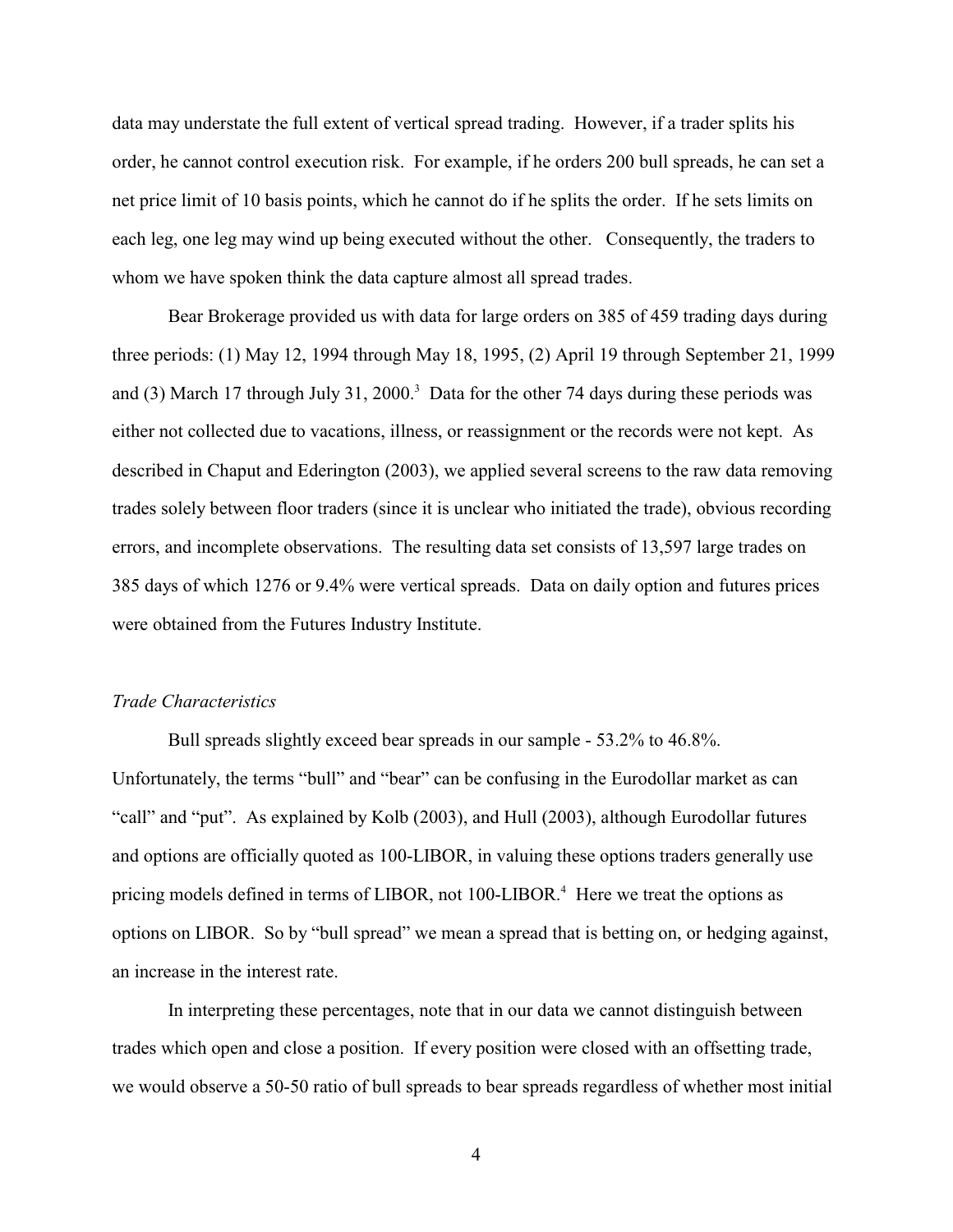data may understate the full extent of vertical spread trading. However, if a trader splits his order, he cannot control execution risk. For example, if he orders 200 bull spreads, he can set a net price limit of 10 basis points, which he cannot do if he splits the order. If he sets limits on each leg, one leg may wind up being executed without the other. Consequently, the traders to whom we have spoken think the data capture almost all spread trades.

Bear Brokerage provided us with data for large orders on 385 of 459 trading days during three periods: (1) May 12, 1994 through May 18, 1995, (2) April 19 through September 21, 1999 and (3) March 17 through July 31, 2000.<sup>3</sup> Data for the other 74 days during these periods was either not collected due to vacations, illness, or reassignment or the records were not kept. As described in Chaput and Ederington (2003), we applied several screens to the raw data removing trades solely between floor traders (since it is unclear who initiated the trade), obvious recording errors, and incomplete observations. The resulting data set consists of 13,597 large trades on 385 days of which 1276 or 9.4% were vertical spreads. Data on daily option and futures prices were obtained from the Futures Industry Institute.

## *Trade Characteristics*

Bull spreads slightly exceed bear spreads in our sample - 53.2% to 46.8%. Unfortunately, the terms "bull" and "bear" can be confusing in the Eurodollar market as can "call" and "put". As explained by Kolb (2003), and Hull (2003), although Eurodollar futures and options are officially quoted as 100-LIBOR, in valuing these options traders generally use pricing models defined in terms of LIBOR, not 100-LIBOR.<sup>4</sup> Here we treat the options as options on LIBOR. So by "bull spread" we mean a spread that is betting on, or hedging against, an increase in the interest rate.

In interpreting these percentages, note that in our data we cannot distinguish between trades which open and close a position. If every position were closed with an offsetting trade, we would observe a 50-50 ratio of bull spreads to bear spreads regardless of whether most initial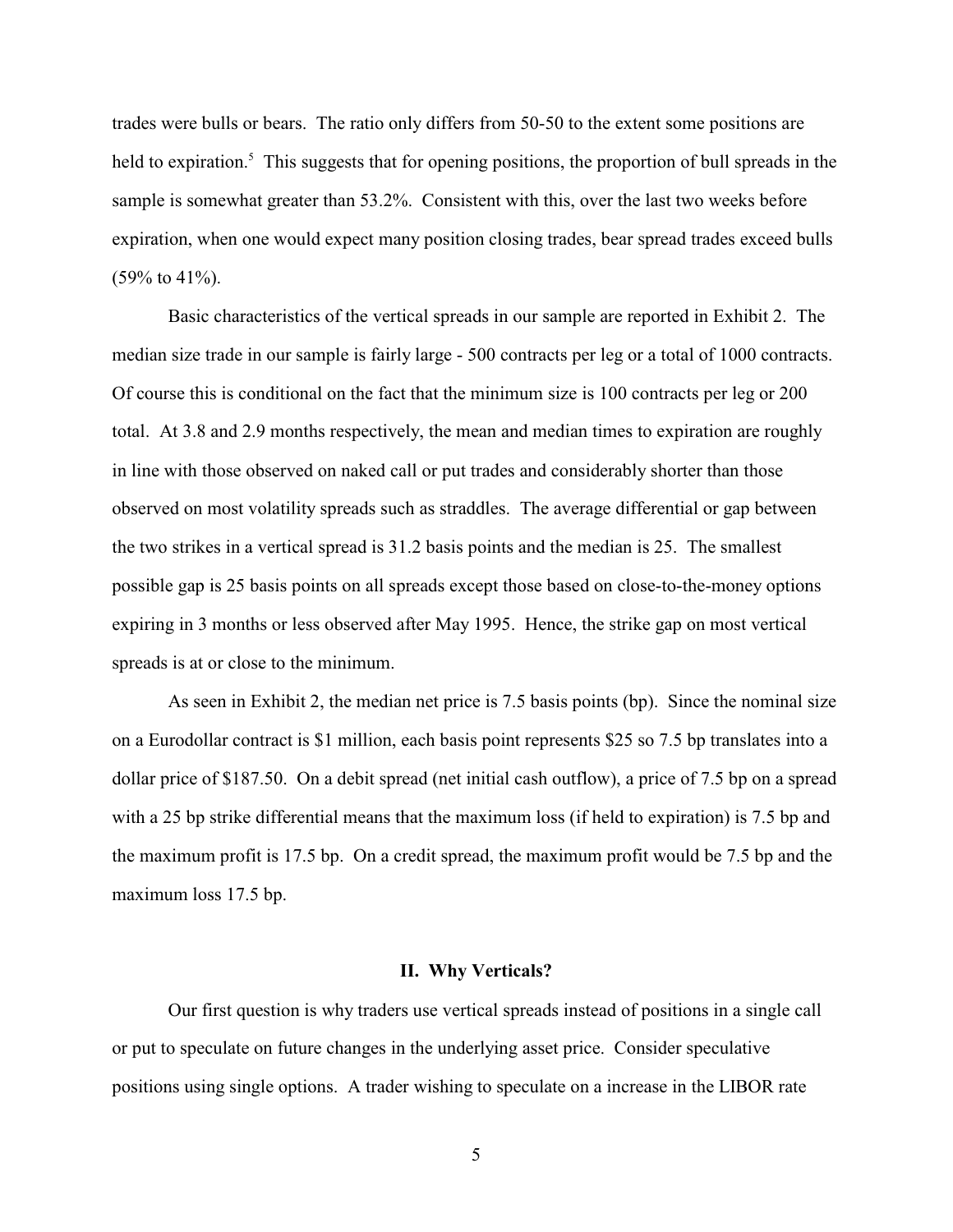trades were bulls or bears. The ratio only differs from 50-50 to the extent some positions are held to expiration.<sup>5</sup> This suggests that for opening positions, the proportion of bull spreads in the sample is somewhat greater than 53.2%. Consistent with this, over the last two weeks before expiration, when one would expect many position closing trades, bear spread trades exceed bulls  $(59\% \text{ to } 41\%).$ 

Basic characteristics of the vertical spreads in our sample are reported in Exhibit 2. The median size trade in our sample is fairly large - 500 contracts per leg or a total of 1000 contracts. Of course this is conditional on the fact that the minimum size is 100 contracts per leg or 200 total. At 3.8 and 2.9 months respectively, the mean and median times to expiration are roughly in line with those observed on naked call or put trades and considerably shorter than those observed on most volatility spreads such as straddles. The average differential or gap between the two strikes in a vertical spread is 31.2 basis points and the median is 25. The smallest possible gap is 25 basis points on all spreads except those based on close-to-the-money options expiring in 3 months or less observed after May 1995. Hence, the strike gap on most vertical spreads is at or close to the minimum.

As seen in Exhibit 2, the median net price is 7.5 basis points (bp). Since the nominal size on a Eurodollar contract is \$1 million, each basis point represents \$25 so 7.5 bp translates into a dollar price of \$187.50. On a debit spread (net initial cash outflow), a price of 7.5 bp on a spread with a 25 bp strike differential means that the maximum loss (if held to expiration) is 7.5 bp and the maximum profit is 17.5 bp. On a credit spread, the maximum profit would be 7.5 bp and the maximum loss 17.5 bp.

### **II. Why Verticals?**

Our first question is why traders use vertical spreads instead of positions in a single call or put to speculate on future changes in the underlying asset price. Consider speculative positions using single options. A trader wishing to speculate on a increase in the LIBOR rate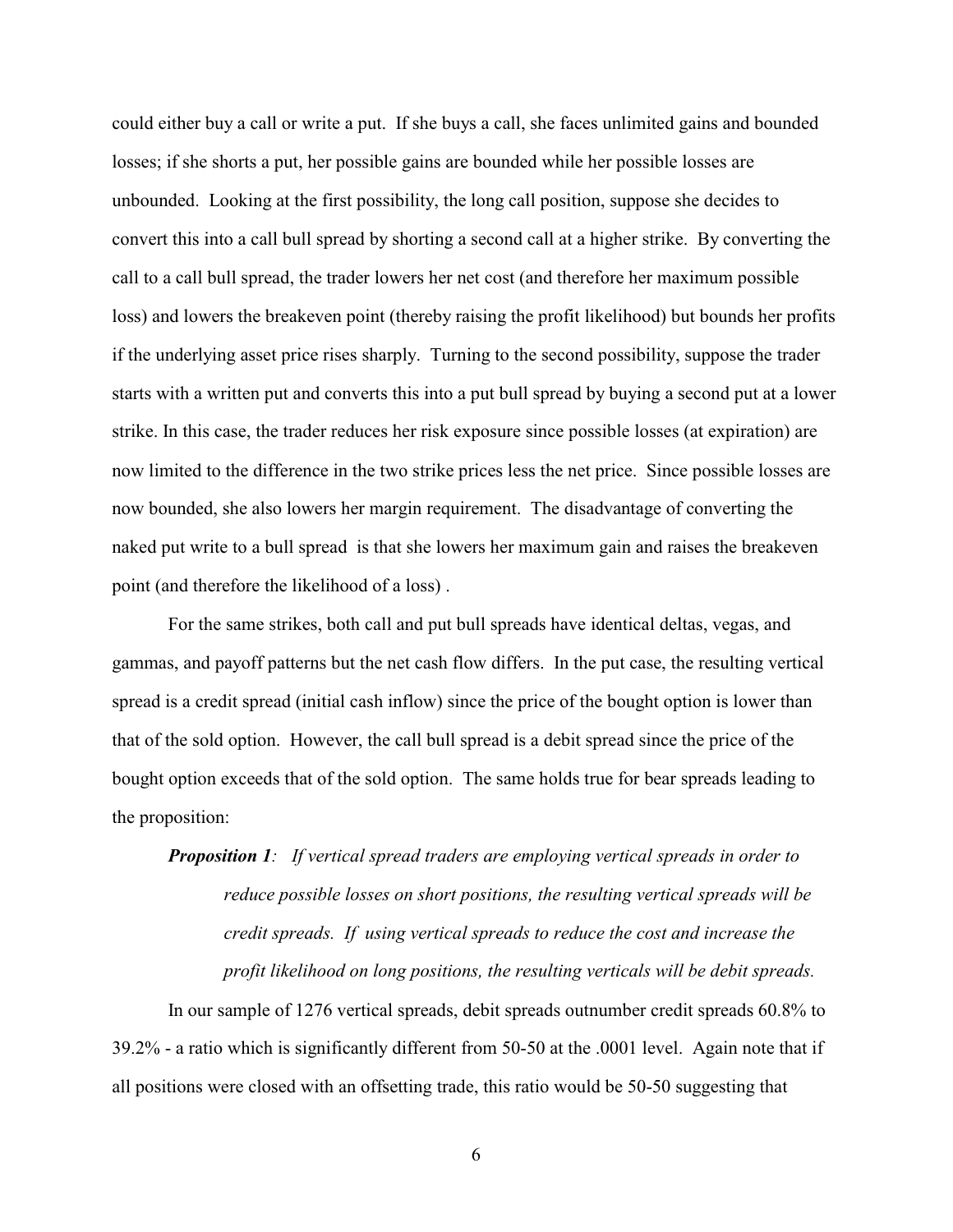could either buy a call or write a put. If she buys a call, she faces unlimited gains and bounded losses; if she shorts a put, her possible gains are bounded while her possible losses are unbounded. Looking at the first possibility, the long call position, suppose she decides to convert this into a call bull spread by shorting a second call at a higher strike. By converting the call to a call bull spread, the trader lowers her net cost (and therefore her maximum possible loss) and lowers the breakeven point (thereby raising the profit likelihood) but bounds her profits if the underlying asset price rises sharply. Turning to the second possibility, suppose the trader starts with a written put and converts this into a put bull spread by buying a second put at a lower strike. In this case, the trader reduces her risk exposure since possible losses (at expiration) are now limited to the difference in the two strike prices less the net price. Since possible losses are now bounded, she also lowers her margin requirement. The disadvantage of converting the naked put write to a bull spread is that she lowers her maximum gain and raises the breakeven point (and therefore the likelihood of a loss) .

For the same strikes, both call and put bull spreads have identical deltas, vegas, and gammas, and payoff patterns but the net cash flow differs. In the put case, the resulting vertical spread is a credit spread (initial cash inflow) since the price of the bought option is lower than that of the sold option. However, the call bull spread is a debit spread since the price of the bought option exceeds that of the sold option. The same holds true for bear spreads leading to the proposition:

*Proposition 1: If vertical spread traders are employing vertical spreads in order to reduce possible losses on short positions, the resulting vertical spreads will be credit spreads. If using vertical spreads to reduce the cost and increase the profit likelihood on long positions, the resulting verticals will be debit spreads.* 

In our sample of 1276 vertical spreads, debit spreads outnumber credit spreads 60.8% to 39.2% - a ratio which is significantly different from 50-50 at the .0001 level. Again note that if all positions were closed with an offsetting trade, this ratio would be 50-50 suggesting that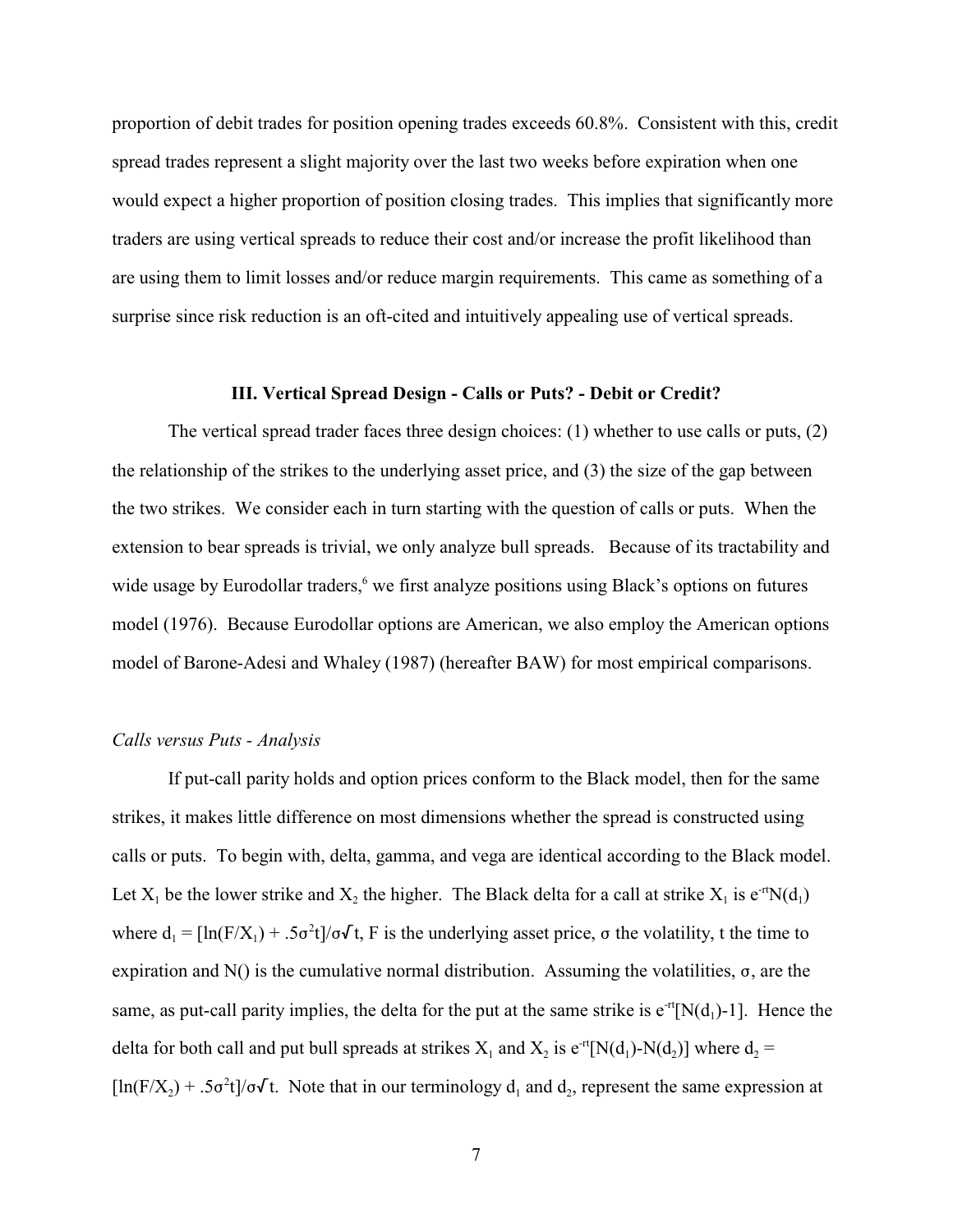proportion of debit trades for position opening trades exceeds 60.8%. Consistent with this, credit spread trades represent a slight majority over the last two weeks before expiration when one would expect a higher proportion of position closing trades. This implies that significantly more traders are using vertical spreads to reduce their cost and/or increase the profit likelihood than are using them to limit losses and/or reduce margin requirements. This came as something of a surprise since risk reduction is an oft-cited and intuitively appealing use of vertical spreads.

#### **III. Vertical Spread Design - Calls or Puts? - Debit or Credit?**

The vertical spread trader faces three design choices: (1) whether to use calls or puts, (2) the relationship of the strikes to the underlying asset price, and (3) the size of the gap between the two strikes. We consider each in turn starting with the question of calls or puts. When the extension to bear spreads is trivial, we only analyze bull spreads. Because of its tractability and wide usage by Eurodollar traders,<sup>6</sup> we first analyze positions using Black's options on futures model (1976). Because Eurodollar options are American, we also employ the American options model of Barone-Adesi and Whaley (1987) (hereafter BAW) for most empirical comparisons.

#### *Calls versus Puts - Analysis*

If put-call parity holds and option prices conform to the Black model, then for the same strikes, it makes little difference on most dimensions whether the spread is constructed using calls or puts. To begin with, delta, gamma, and vega are identical according to the Black model. Let  $X_1$  be the lower strike and  $X_2$  the higher. The Black delta for a call at strike  $X_1$  is  $e^{rt}N(d_1)$ where  $d_1 = [\ln(F/X_1) + .5\sigma^2 t]/\sigma\sqrt{t}$ , F is the underlying asset price,  $\sigma$  the volatility, t the time to expiration and N() is the cumulative normal distribution. Assuming the volatilities,  $\sigma$ , are the same, as put-call parity implies, the delta for the put at the same strike is  $e^{-rt}[N(d_1)-1]$ . Hence the delta for both call and put bull spreads at strikes  $X_1$  and  $X_2$  is  $e^{rt}[N(d_1)-N(d_2)]$  where  $d_2 =$  $[\ln(F/X_2) + .5\sigma^2 t]/\sigma\sqrt{t}$ . Note that in our terminology  $d_1$  and  $d_2$ , represent the same expression at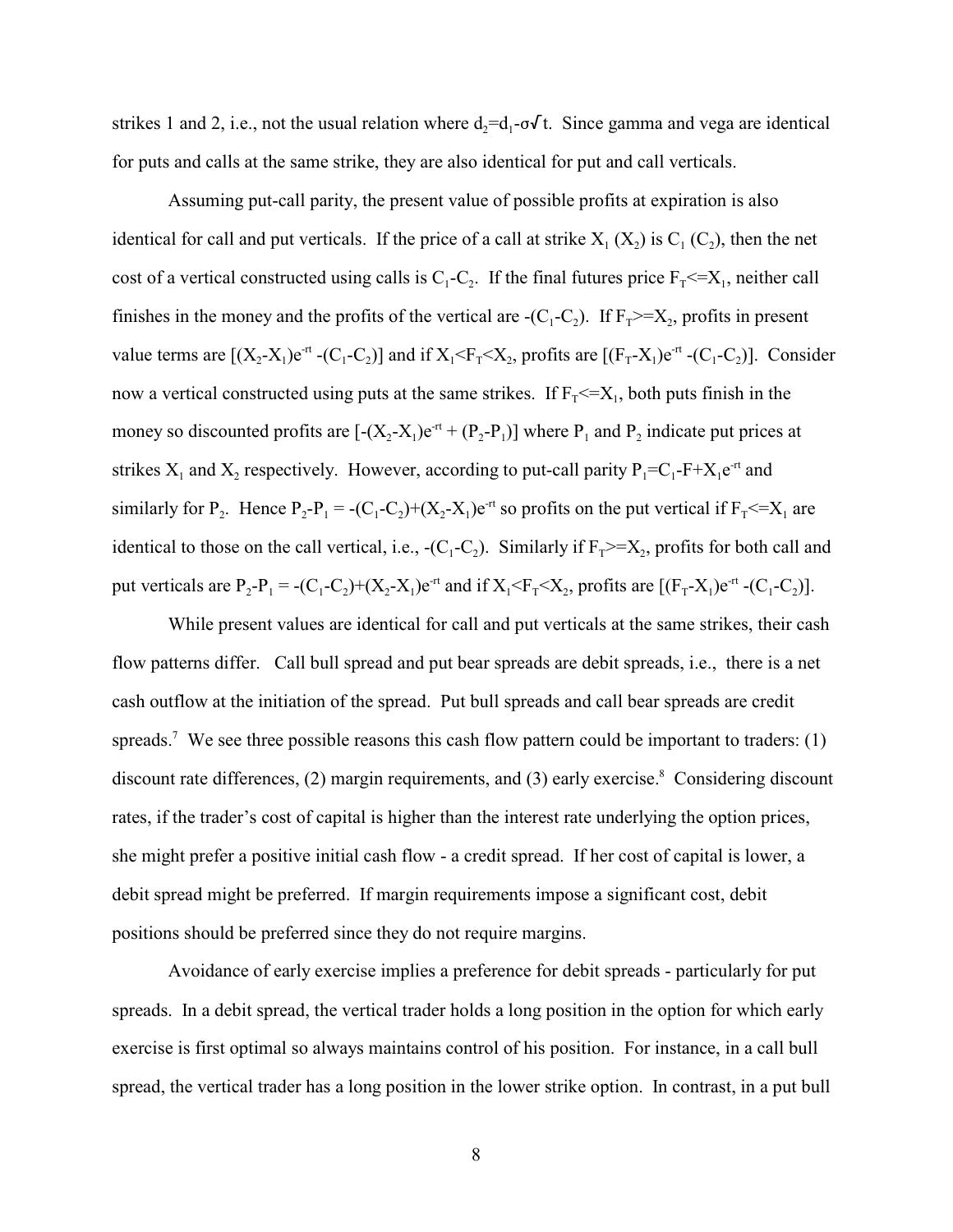strikes 1 and 2, i.e., not the usual relation where  $d_2 = d_1 - \sigma \sqrt{t}$ . Since gamma and vega are identical for puts and calls at the same strike, they are also identical for put and call verticals.

Assuming put-call parity, the present value of possible profits at expiration is also identical for call and put verticals. If the price of a call at strike  $X_1(X_2)$  is  $C_1(C_2)$ , then the net cost of a vertical constructed using calls is  $C_1 - C_2$ . If the final futures price  $F_1 \leq X_1$ , neither call finishes in the money and the profits of the vertical are  $-C_1-C_2$ ). If  $F_1 \geq -X_2$ , profits in present value terms are  $[(X_2-X_1)e^{rt}-(C_1-C_2)]$  and if  $X_1 \le F_\tau \le X_2$ , profits are  $[(F_\tau-X_1)e^{rt}-(C_1-C_2)]$ . Consider now a vertical constructed using puts at the same strikes. If  $F_T \leq X_1$ , both puts finish in the money so discounted profits are  $[-(X_2-X_1)e^{rt} + (P_2-P_1)]$  where  $P_1$  and  $P_2$  indicate put prices at strikes  $X_1$  and  $X_2$  respectively. However, according to put-call parity  $P_1 = C_1 - F + X_1 e^{-rt}$  and similarly for  $P_2$ . Hence  $P_2 - P_1 = -(C_1 - C_2) + (X_2 - X_1)e^{-rt}$  so profits on the put vertical if  $F_1 \le X_1$  are identical to those on the call vertical, i.e.,  $-(C_1 - C_2)$ . Similarly if  $F_T \geq X_2$ , profits for both call and put verticals are  $P_2 - P_1 = -(C_1 - C_2) + (X_2 - X_1)e^{-rt}$  and if  $X_1 \le F_\tau \le X_2$ , profits are  $[(F_\tau - X_1)e^{-rt} - (C_1 - C_2)].$ 

While present values are identical for call and put verticals at the same strikes, their cash flow patterns differ. Call bull spread and put bear spreads are debit spreads, i.e., there is a net cash outflow at the initiation of the spread. Put bull spreads and call bear spreads are credit spreads.<sup>7</sup> We see three possible reasons this cash flow pattern could be important to traders: (1) discount rate differences,  $(2)$  margin requirements, and  $(3)$  early exercise.<sup>8</sup> Considering discount rates, if the trader's cost of capital is higher than the interest rate underlying the option prices, she might prefer a positive initial cash flow - a credit spread. If her cost of capital is lower, a debit spread might be preferred. If margin requirements impose a significant cost, debit positions should be preferred since they do not require margins.

Avoidance of early exercise implies a preference for debit spreads - particularly for put spreads. In a debit spread, the vertical trader holds a long position in the option for which early exercise is first optimal so always maintains control of his position. For instance, in a call bull spread, the vertical trader has a long position in the lower strike option. In contrast, in a put bull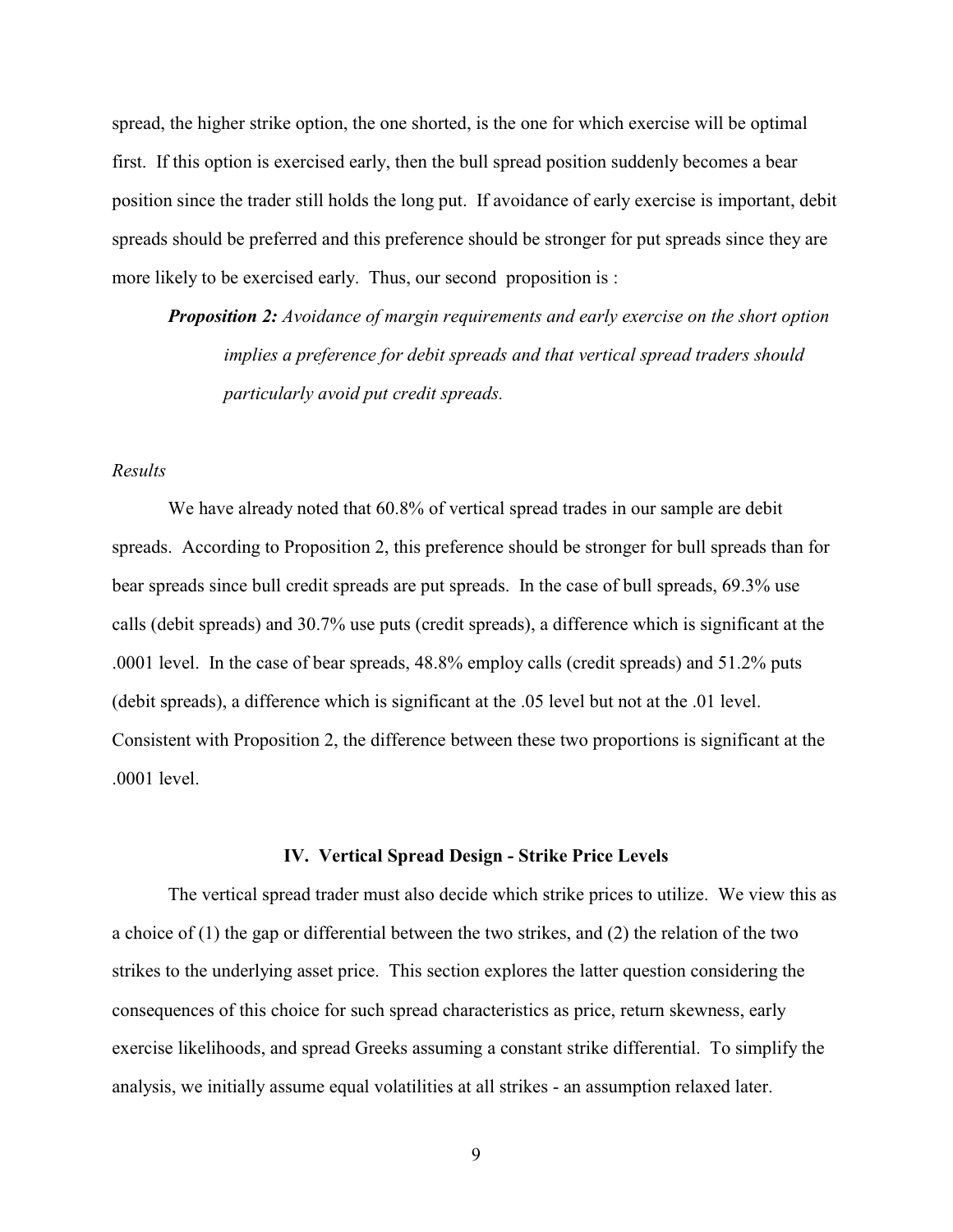spread, the higher strike option, the one shorted, is the one for which exercise will be optimal first. If this option is exercised early, then the bull spread position suddenly becomes a bear position since the trader still holds the long put. If avoidance of early exercise is important, debit spreads should be preferred and this preference should be stronger for put spreads since they are more likely to be exercised early. Thus, our second proposition is :

*Proposition 2: Avoidance of margin requirements and early exercise on the short option implies a preference for debit spreads and that vertical spread traders should particularly avoid put credit spreads.*

## *Results*

We have already noted that  $60.8\%$  of vertical spread trades in our sample are debit spreads. According to Proposition 2, this preference should be stronger for bull spreads than for bear spreads since bull credit spreads are put spreads. In the case of bull spreads, 69.3% use calls (debit spreads) and 30.7% use puts (credit spreads), a difference which is significant at the .0001 level. In the case of bear spreads, 48.8% employ calls (credit spreads) and 51.2% puts (debit spreads), a difference which is significant at the .05 level but not at the .01 level. Consistent with Proposition 2, the difference between these two proportions is significant at the .0001 level.

### **IV. Vertical Spread Design - Strike Price Levels**

The vertical spread trader must also decide which strike prices to utilize. We view this as a choice of (1) the gap or differential between the two strikes, and (2) the relation of the two strikes to the underlying asset price. This section explores the latter question considering the consequences of this choice for such spread characteristics as price, return skewness, early exercise likelihoods, and spread Greeks assuming a constant strike differential. To simplify the analysis, we initially assume equal volatilities at all strikes - an assumption relaxed later.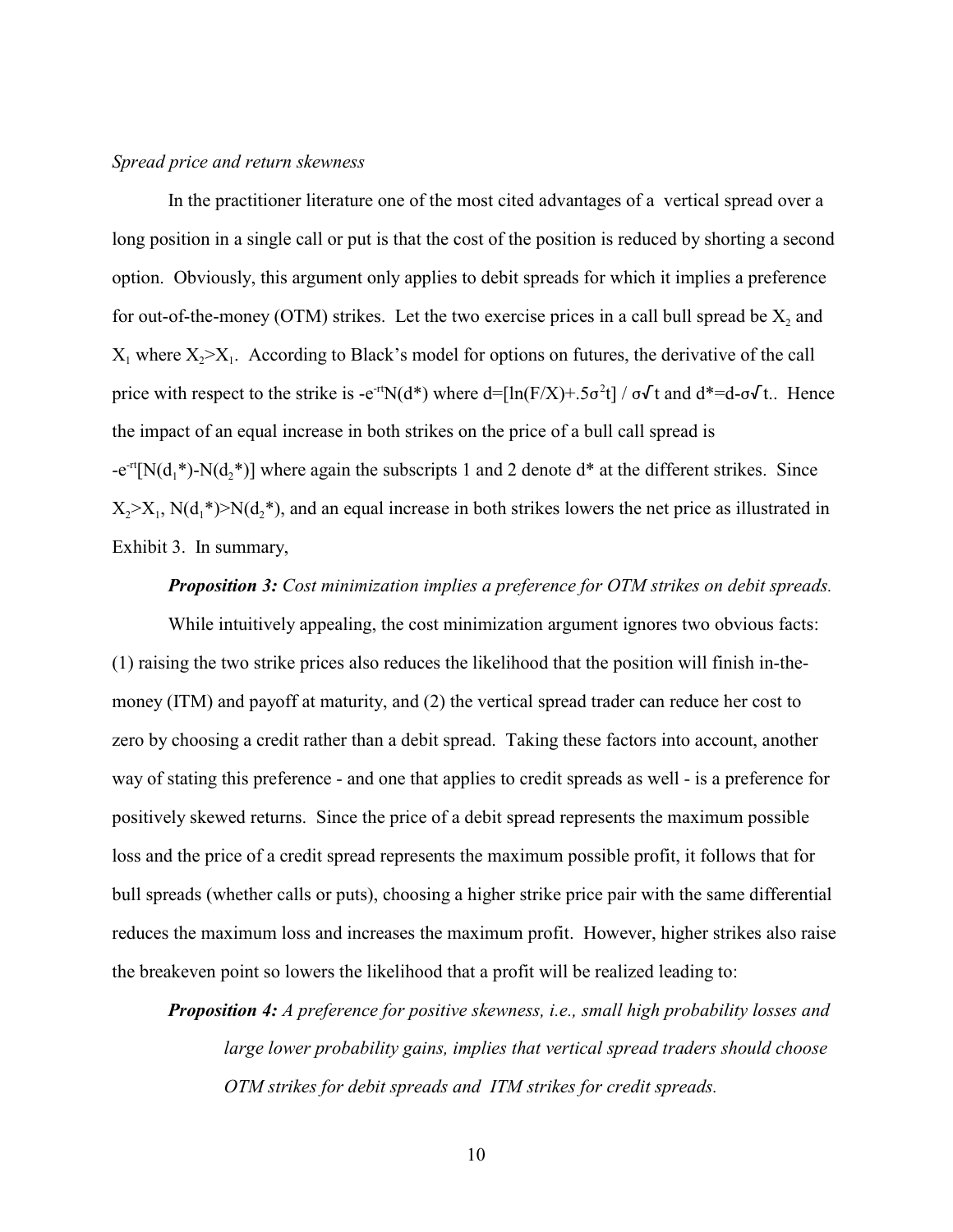## *Spread price and return skewness*

In the practitioner literature one of the most cited advantages of a vertical spread over a long position in a single call or put is that the cost of the position is reduced by shorting a second option. Obviously, this argument only applies to debit spreads for which it implies a preference for out-of-the-money (OTM) strikes. Let the two exercise prices in a call bull spread be  $X_2$  and  $X_1$  where  $X_2 > X_1$ . According to Black's model for options on futures, the derivative of the call price with respect to the strike is -e<sup>-rt</sup>N(d\*) where d=[ln(F/X)+.5 $\sigma^2 t$ ] /  $\sigma\sqrt{t}$  and d\*=d- $\sigma\sqrt{t}$ .. Hence the impact of an equal increase in both strikes on the price of a bull call spread is  $-e^{-rt}[N(d_1^*)-N(d_2^*)]$  where again the subscripts 1 and 2 denote d<sup>\*</sup> at the different strikes. Since  $X_2 > X_1$ , N(d<sub>1</sub>\*)>N(d<sub>2</sub>\*), and an equal increase in both strikes lowers the net price as illustrated in Exhibit 3. In summary,

## *Proposition 3: Cost minimization implies a preference for OTM strikes on debit spreads.*

While intuitively appealing, the cost minimization argument ignores two obvious facts: (1) raising the two strike prices also reduces the likelihood that the position will finish in-themoney (ITM) and payoff at maturity, and (2) the vertical spread trader can reduce her cost to zero by choosing a credit rather than a debit spread. Taking these factors into account, another way of stating this preference - and one that applies to credit spreads as well - is a preference for positively skewed returns. Since the price of a debit spread represents the maximum possible loss and the price of a credit spread represents the maximum possible profit, it follows that for bull spreads (whether calls or puts), choosing a higher strike price pair with the same differential reduces the maximum loss and increases the maximum profit. However, higher strikes also raise the breakeven point so lowers the likelihood that a profit will be realized leading to:

*Proposition 4: A preference for positive skewness, i.e., small high probability losses and large lower probability gains, implies that vertical spread traders should choose OTM strikes for debit spreads and ITM strikes for credit spreads.*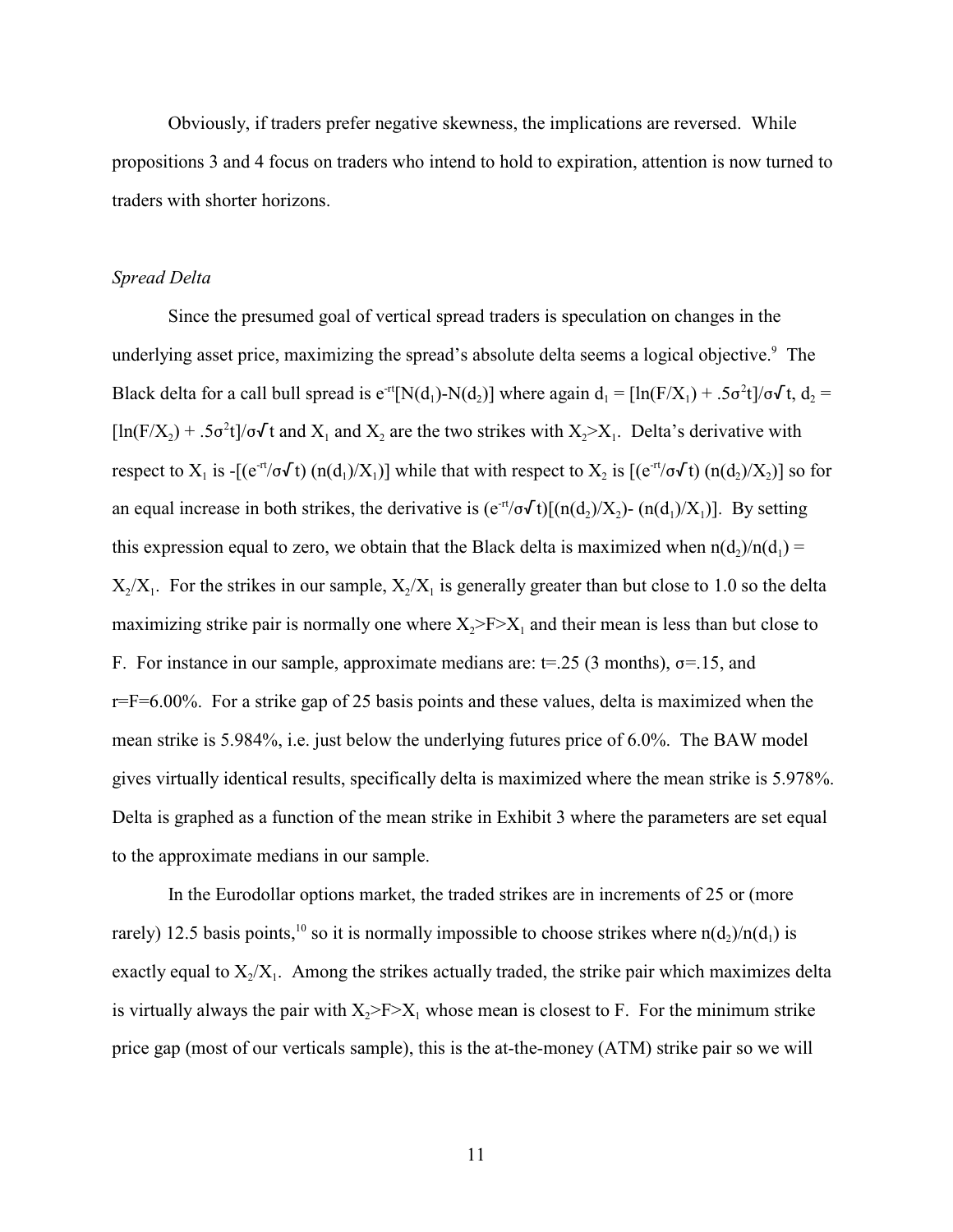Obviously, if traders prefer negative skewness, the implications are reversed. While propositions 3 and 4 focus on traders who intend to hold to expiration, attention is now turned to traders with shorter horizons.

#### *Spread Delta*

Since the presumed goal of vertical spread traders is speculation on changes in the underlying asset price, maximizing the spread's absolute delta seems a logical objective.<sup>9</sup> The Black delta for a call bull spread is  $e^{-rt}[N(d_1)-N(d_2)]$  where again  $d_1 = [\ln(F/X_1) + .5\sigma^2t]/\sigma\sqrt{t}$ ,  $d_2 =$  $[\ln(F/X_2) + .5\sigma^2 t]/\sigma\sqrt{t}$  and  $X_1$  and  $X_2$  are the two strikes with  $X_2 > X_1$ . Delta's derivative with respect to  $X_1$  is -[(e<sup>-rt</sup>/ $\sigma\sqrt{t}$ ) (n(d<sub>1</sub>)/X<sub>1</sub>)] while that with respect to  $X_2$  is [(e<sup>-rt</sup>/ $\sigma\sqrt{t}$ ) (n(d<sub>2</sub>)/X<sub>2</sub>)] so for an equal increase in both strikes, the derivative is  $(e^{rt}/\sigma \sqrt{t})[(n(d_2)/X_2) - (n(d_1)/X_1)]$ . By setting this expression equal to zero, we obtain that the Black delta is maximized when  $n(d_2)/n(d_1) =$  $X_2/X_1$ . For the strikes in our sample,  $X_2/X_1$  is generally greater than but close to 1.0 so the delta maximizing strike pair is normally one where  $X_2 > F > X_1$  and their mean is less than but close to F. For instance in our sample, approximate medians are:  $t=0.25$  (3 months),  $\sigma=15$ , and  $r=F=6.00\%$ . For a strike gap of 25 basis points and these values, delta is maximized when the mean strike is 5.984%, i.e. just below the underlying futures price of 6.0%. The BAW model gives virtually identical results, specifically delta is maximized where the mean strike is 5.978%. Delta is graphed as a function of the mean strike in Exhibit 3 where the parameters are set equal to the approximate medians in our sample.

In the Eurodollar options market, the traded strikes are in increments of 25 or (more rarely) 12.5 basis points, <sup>10</sup> so it is normally impossible to choose strikes where  $n(d_2)/n(d_1)$  is exactly equal to  $X_2/X_1$ . Among the strikes actually traded, the strike pair which maximizes delta is virtually always the pair with  $X_2 > F > X_1$  whose mean is closest to F. For the minimum strike price gap (most of our verticals sample), this is the at-the-money (ATM) strike pair so we will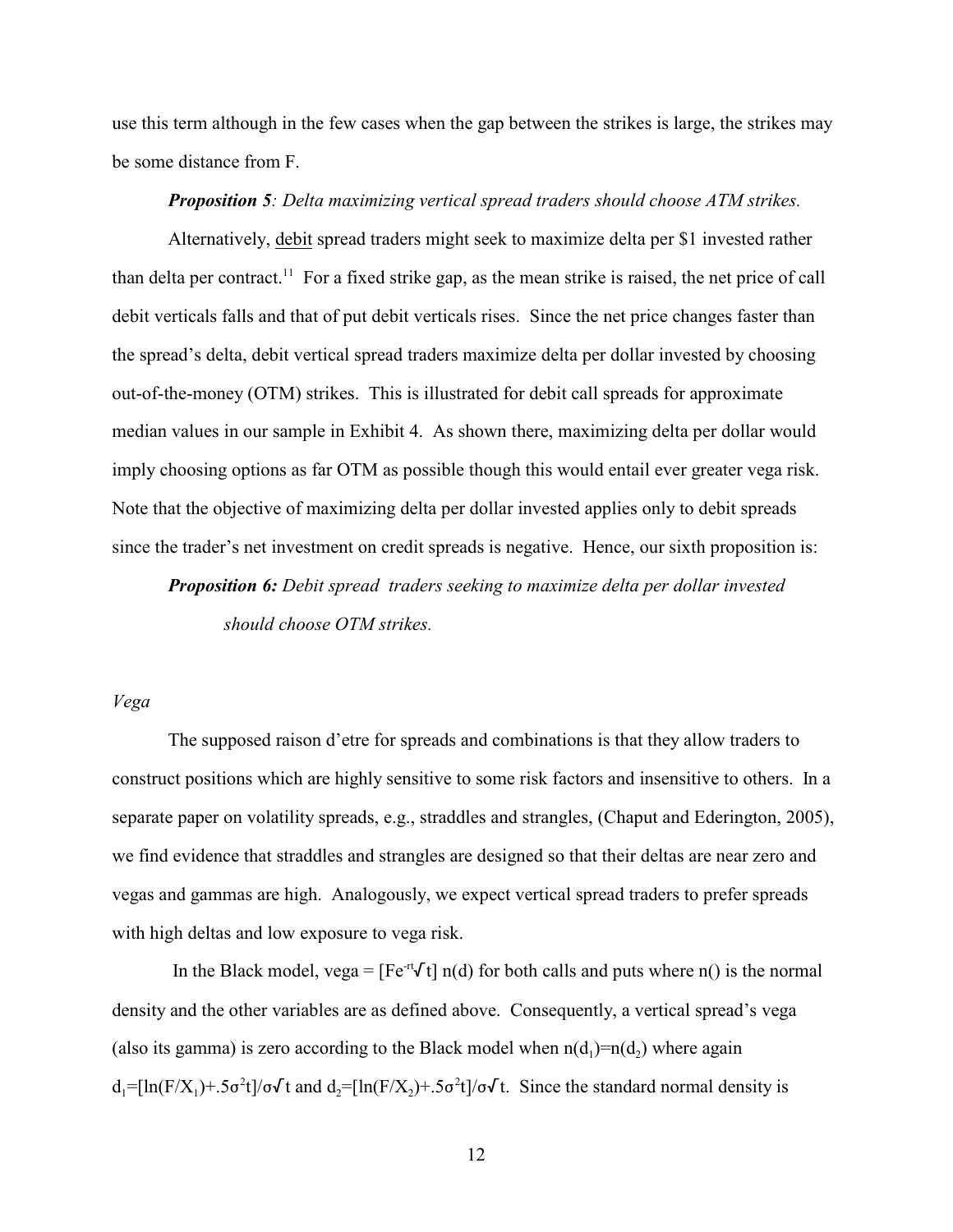use this term although in the few cases when the gap between the strikes is large, the strikes may be some distance from F.

# *Proposition 5: Delta maximizing vertical spread traders should choose ATM strikes.*

Alternatively, debit spread traders might seek to maximize delta per \$1 invested rather than delta per contract.<sup>11</sup> For a fixed strike gap, as the mean strike is raised, the net price of call debit verticals falls and that of put debit verticals rises. Since the net price changes faster than the spread's delta, debit vertical spread traders maximize delta per dollar invested by choosing out-of-the-money (OTM) strikes. This is illustrated for debit call spreads for approximate median values in our sample in Exhibit 4. As shown there, maximizing delta per dollar would imply choosing options as far OTM as possible though this would entail ever greater vega risk. Note that the objective of maximizing delta per dollar invested applies only to debit spreads since the trader's net investment on credit spreads is negative. Hence, our sixth proposition is:

*Proposition 6: Debit spread traders seeking to maximize delta per dollar invested should choose OTM strikes.*

## *Vega*

The supposed raison d'etre for spreads and combinations is that they allow traders to construct positions which are highly sensitive to some risk factors and insensitive to others. In a separate paper on volatility spreads, e.g., straddles and strangles, (Chaput and Ederington, 2005), we find evidence that straddles and strangles are designed so that their deltas are near zero and vegas and gammas are high. Analogously, we expect vertical spread traders to prefer spreads with high deltas and low exposure to vega risk.

In the Black model, vega =  $[Fe^{rt}Vt]$  n(d) for both calls and puts where n() is the normal density and the other variables are as defined above. Consequently, a vertical spread's vega (also its gamma) is zero according to the Black model when  $n(d_1)=n(d_2)$  where again  $d_1 = \left[\ln(F/X_1) + .5\sigma^2 t\right] / \sigma \sqrt{t}$  and  $d_2 = \left[\ln(F/X_2) + .5\sigma^2 t\right] / \sigma \sqrt{t}$ . Since the standard normal density is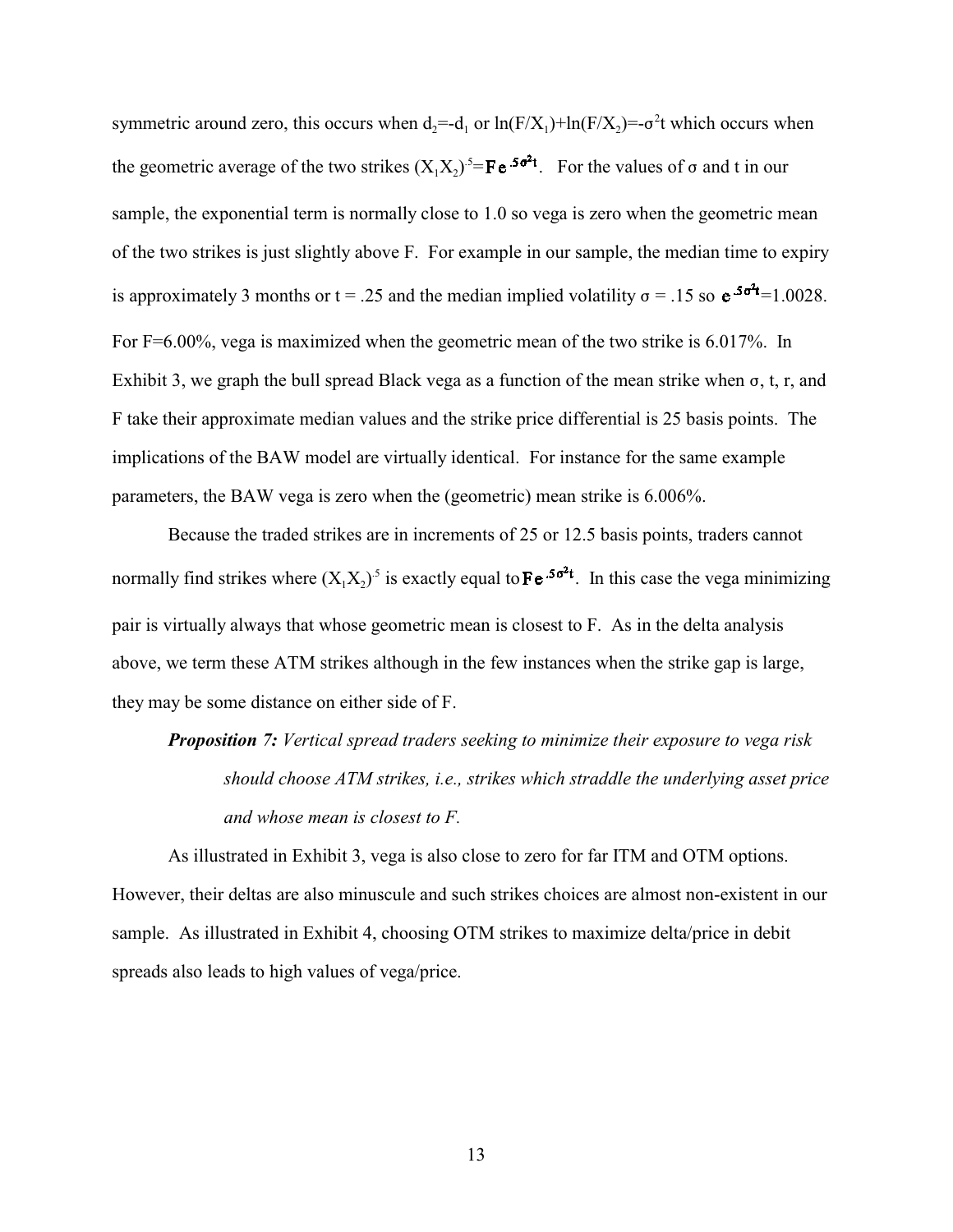symmetric around zero, this occurs when  $d_2 = -d_1$  or  $ln(F/X_1) + ln(F/X_2) = -\sigma^2 t$  which occurs when the geometric average of the two strikes  $(X_1 X_2)^5 = \mathbf{F} e^{-5\sigma^2 t}$ . For the values of  $\sigma$  and t in our sample, the exponential term is normally close to 1.0 so vega is zero when the geometric mean of the two strikes is just slightly above F. For example in our sample, the median time to expiry is approximately 3 months or  $t = .25$  and the median implied volatility  $\sigma = .15$  so  $e^{.5\sigma^2 t} = 1.0028$ . For F=6.00%, vega is maximized when the geometric mean of the two strike is 6.017%. In Exhibit 3, we graph the bull spread Black vega as a function of the mean strike when  $\sigma$ , t, r, and F take their approximate median values and the strike price differential is 25 basis points. The implications of the BAW model are virtually identical. For instance for the same example parameters, the BAW vega is zero when the (geometric) mean strike is 6.006%.

Because the traded strikes are in increments of 25 or 12.5 basis points, traders cannot normally find strikes where  $(X_1X_2)^5$  is exactly equal to  $\mathbf{F}e^{-5\sigma^2t}$ . In this case the vega minimizing pair is virtually always that whose geometric mean is closest to F. As in the delta analysis above, we term these ATM strikes although in the few instances when the strike gap is large, they may be some distance on either side of F.

*Proposition 7: Vertical spread traders seeking to minimize their exposure to vega risk should choose ATM strikes, i.e., strikes which straddle the underlying asset price and whose mean is closest to F.*

As illustrated in Exhibit 3, vega is also close to zero for far ITM and OTM options. However, their deltas are also minuscule and such strikes choices are almost non-existent in our sample. As illustrated in Exhibit 4, choosing OTM strikes to maximize delta/price in debit spreads also leads to high values of vega/price.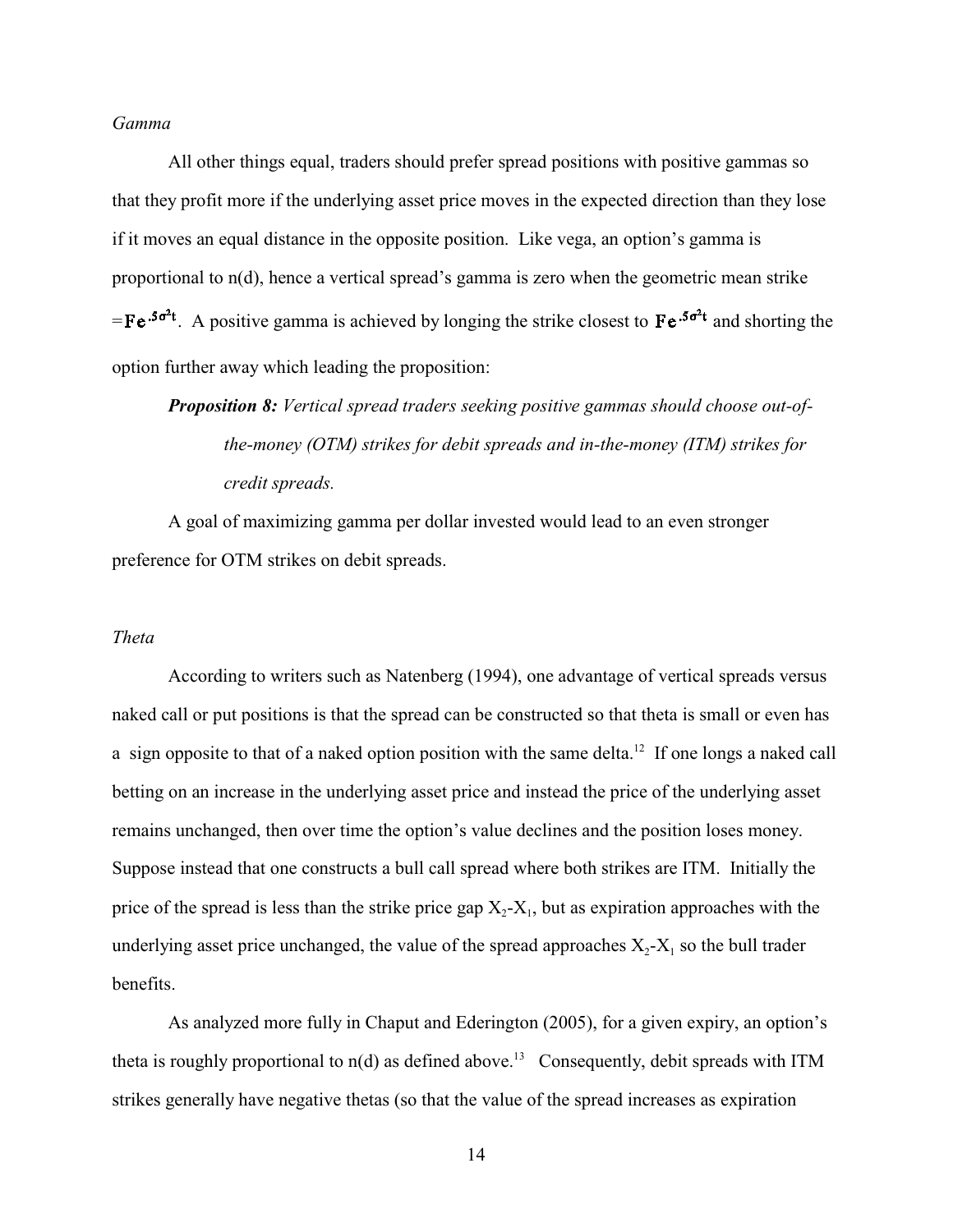## *Gamma*

All other things equal, traders should prefer spread positions with positive gammas so that they profit more if the underlying asset price moves in the expected direction than they lose if it moves an equal distance in the opposite position. Like vega, an option's gamma is proportional to n(d), hence a vertical spread's gamma is zero when the geometric mean strike  $=$   $\text{Fe}^{0.5\sigma^2 t}$ . A positive gamma is achieved by longing the strike closest to Fe<sup>.5 $\sigma^2 t$ </sup> and shorting the option further away which leading the proposition:

# *Proposition 8: Vertical spread traders seeking positive gammas should choose out-ofthe-money (OTM) strikes for debit spreads and in-the-money (ITM) strikes for credit spreads.*

A goal of maximizing gamma per dollar invested would lead to an even stronger preference for OTM strikes on debit spreads.

#### *Theta*

According to writers such as Natenberg (1994), one advantage of vertical spreads versus naked call or put positions is that the spread can be constructed so that theta is small or even has a sign opposite to that of a naked option position with the same delta.<sup>12</sup> If one longs a naked call betting on an increase in the underlying asset price and instead the price of the underlying asset remains unchanged, then over time the option's value declines and the position loses money. Suppose instead that one constructs a bull call spread where both strikes are ITM. Initially the price of the spread is less than the strike price gap  $X_2$ - $X_1$ , but as expiration approaches with the underlying asset price unchanged, the value of the spread approaches  $X_2$ - $X_1$  so the bull trader benefits.

As analyzed more fully in Chaput and Ederington (2005), for a given expiry, an option's theta is roughly proportional to  $n(d)$  as defined above.<sup>13</sup> Consequently, debit spreads with ITM strikes generally have negative thetas (so that the value of the spread increases as expiration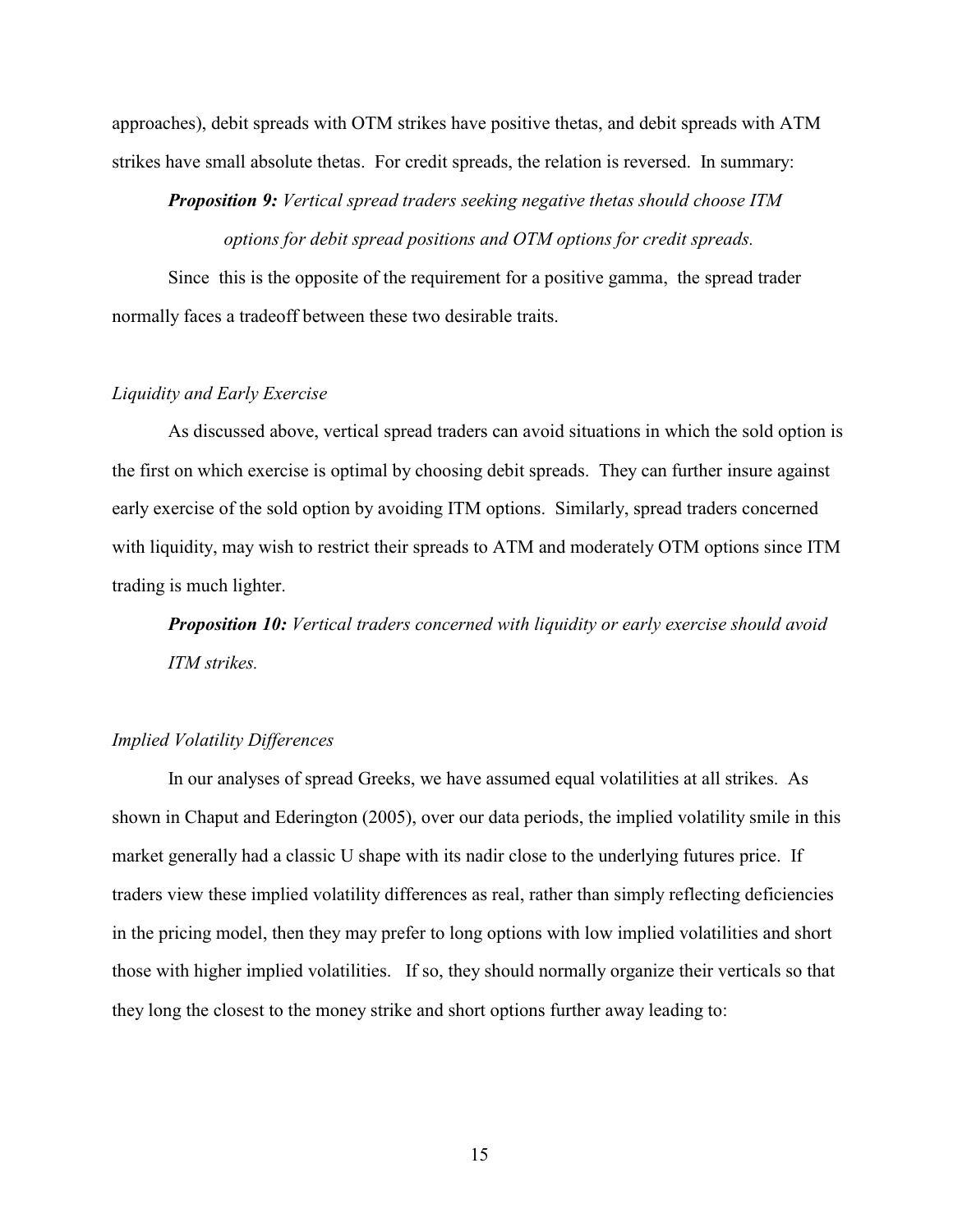approaches), debit spreads with OTM strikes have positive thetas, and debit spreads with ATM strikes have small absolute thetas. For credit spreads, the relation is reversed. In summary:

*Proposition 9: Vertical spread traders seeking negative thetas should choose ITM options for debit spread positions and OTM options for credit spreads.*

Since this is the opposite of the requirement for a positive gamma, the spread trader normally faces a tradeoff between these two desirable traits.

# *Liquidity and Early Exercise*

As discussed above, vertical spread traders can avoid situations in which the sold option is the first on which exercise is optimal by choosing debit spreads. They can further insure against early exercise of the sold option by avoiding ITM options. Similarly, spread traders concerned with liquidity, may wish to restrict their spreads to ATM and moderately OTM options since ITM trading is much lighter.

*Proposition 10: Vertical traders concerned with liquidity or early exercise should avoid ITM strikes.*

# *Implied Volatility Differences*

In our analyses of spread Greeks, we have assumed equal volatilities at all strikes. As shown in Chaput and Ederington (2005), over our data periods, the implied volatility smile in this market generally had a classic U shape with its nadir close to the underlying futures price. If traders view these implied volatility differences as real, rather than simply reflecting deficiencies in the pricing model, then they may prefer to long options with low implied volatilities and short those with higher implied volatilities. If so, they should normally organize their verticals so that they long the closest to the money strike and short options further away leading to: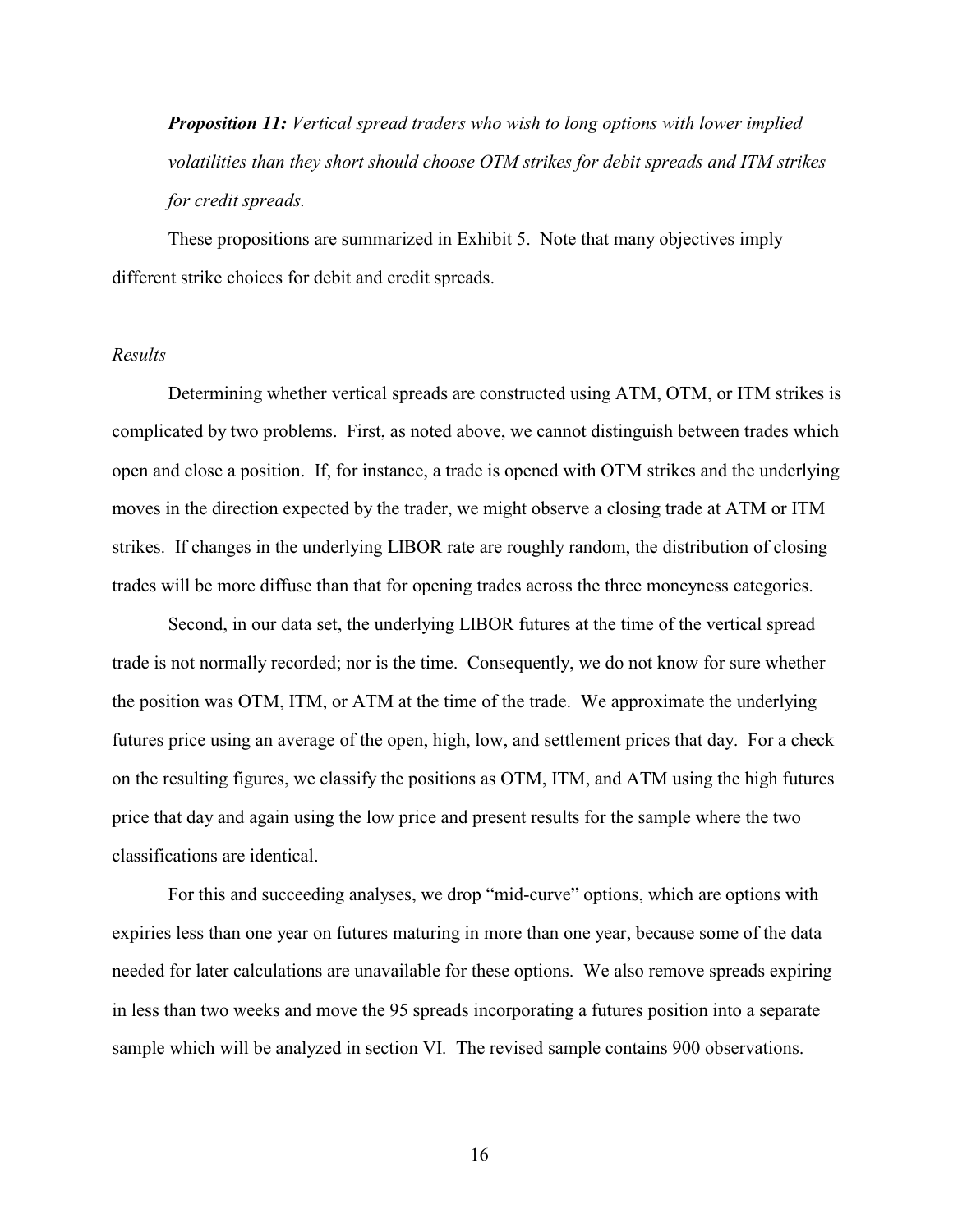*Proposition 11: Vertical spread traders who wish to long options with lower implied volatilities than they short should choose OTM strikes for debit spreads and ITM strikes for credit spreads.*

 These propositions are summarized in Exhibit 5. Note that many objectives imply different strike choices for debit and credit spreads.

## *Results*

Determining whether vertical spreads are constructed using ATM, OTM, or ITM strikes is complicated by two problems. First, as noted above, we cannot distinguish between trades which open and close a position. If, for instance, a trade is opened with OTM strikes and the underlying moves in the direction expected by the trader, we might observe a closing trade at ATM or ITM strikes. If changes in the underlying LIBOR rate are roughly random, the distribution of closing trades will be more diffuse than that for opening trades across the three moneyness categories.

Second, in our data set, the underlying LIBOR futures at the time of the vertical spread trade is not normally recorded; nor is the time. Consequently, we do not know for sure whether the position was OTM, ITM, or ATM at the time of the trade. We approximate the underlying futures price using an average of the open, high, low, and settlement prices that day. For a check on the resulting figures, we classify the positions as OTM, ITM, and ATM using the high futures price that day and again using the low price and present results for the sample where the two classifications are identical.

For this and succeeding analyses, we drop "mid-curve" options, which are options with expiries less than one year on futures maturing in more than one year, because some of the data needed for later calculations are unavailable for these options. We also remove spreads expiring in less than two weeks and move the 95 spreads incorporating a futures position into a separate sample which will be analyzed in section VI. The revised sample contains 900 observations.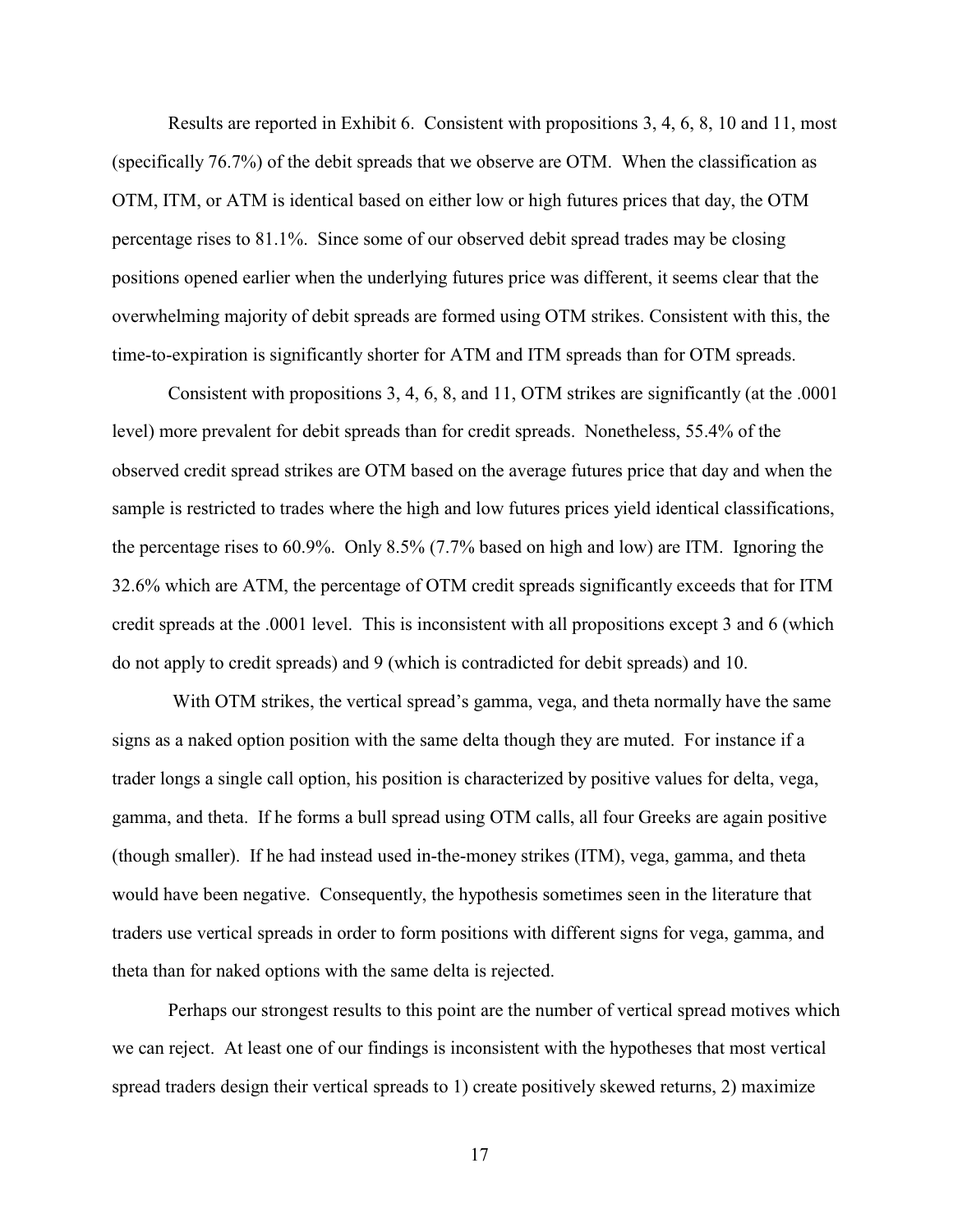Results are reported in Exhibit 6. Consistent with propositions 3, 4, 6, 8, 10 and 11, most (specifically 76.7%) of the debit spreads that we observe are OTM. When the classification as OTM, ITM, or ATM is identical based on either low or high futures prices that day, the OTM percentage rises to 81.1%. Since some of our observed debit spread trades may be closing positions opened earlier when the underlying futures price was different, it seems clear that the overwhelming majority of debit spreads are formed using OTM strikes. Consistent with this, the time-to-expiration is significantly shorter for ATM and ITM spreads than for OTM spreads.

Consistent with propositions 3, 4, 6, 8, and 11, OTM strikes are significantly (at the .0001 level) more prevalent for debit spreads than for credit spreads. Nonetheless, 55.4% of the observed credit spread strikes are OTM based on the average futures price that day and when the sample is restricted to trades where the high and low futures prices yield identical classifications, the percentage rises to 60.9%. Only 8.5% (7.7% based on high and low) are ITM. Ignoring the 32.6% which are ATM, the percentage of OTM credit spreads significantly exceeds that for ITM credit spreads at the .0001 level. This is inconsistent with all propositions except 3 and 6 (which do not apply to credit spreads) and 9 (which is contradicted for debit spreads) and 10.

 With OTM strikes, the vertical spread's gamma, vega, and theta normally have the same signs as a naked option position with the same delta though they are muted. For instance if a trader longs a single call option, his position is characterized by positive values for delta, vega, gamma, and theta. If he forms a bull spread using OTM calls, all four Greeks are again positive (though smaller). If he had instead used in-the-money strikes (ITM), vega, gamma, and theta would have been negative. Consequently, the hypothesis sometimes seen in the literature that traders use vertical spreads in order to form positions with different signs for vega, gamma, and theta than for naked options with the same delta is rejected.

Perhaps our strongest results to this point are the number of vertical spread motives which we can reject. At least one of our findings is inconsistent with the hypotheses that most vertical spread traders design their vertical spreads to 1) create positively skewed returns, 2) maximize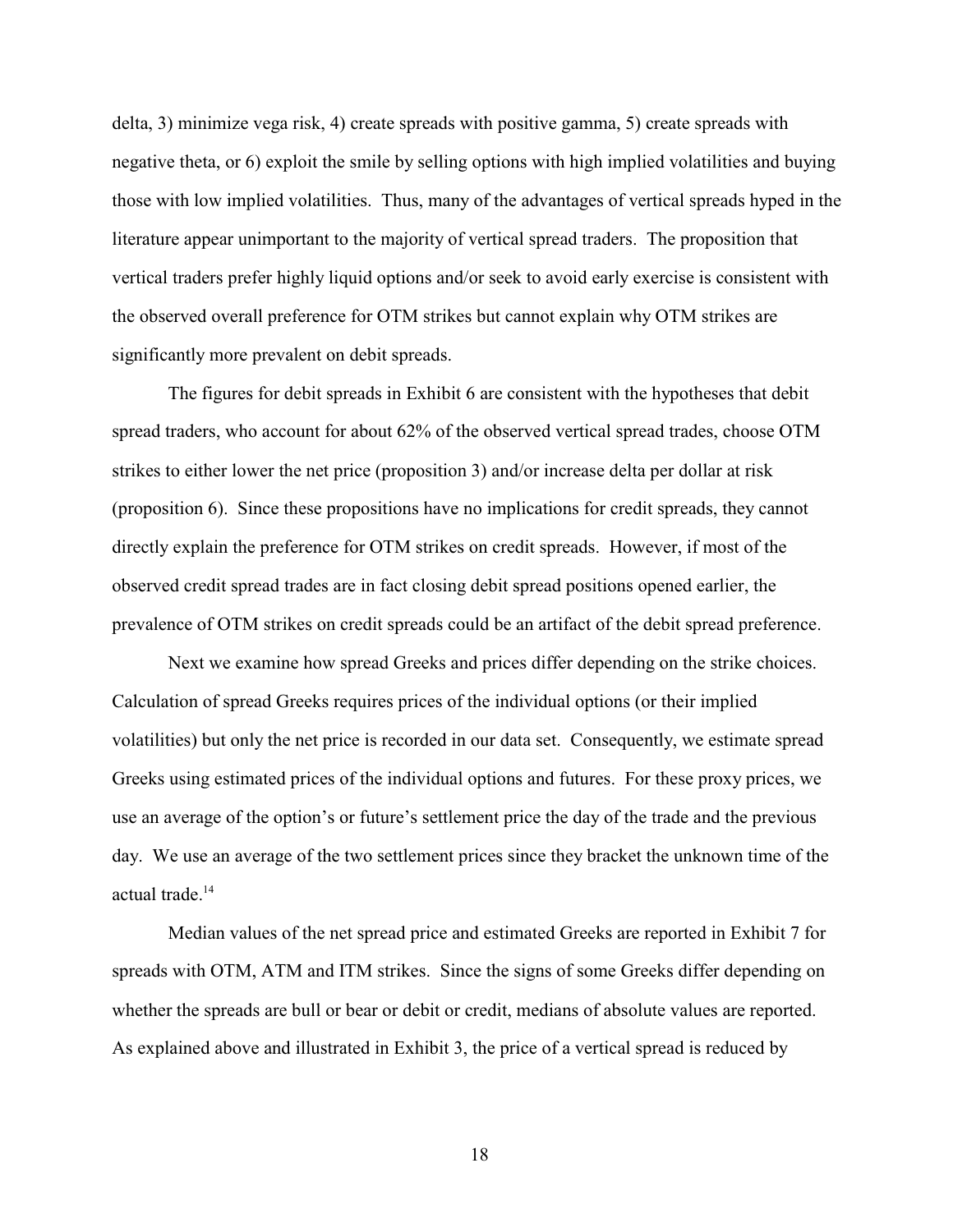delta, 3) minimize vega risk, 4) create spreads with positive gamma, 5) create spreads with negative theta, or 6) exploit the smile by selling options with high implied volatilities and buying those with low implied volatilities. Thus, many of the advantages of vertical spreads hyped in the literature appear unimportant to the majority of vertical spread traders. The proposition that vertical traders prefer highly liquid options and/or seek to avoid early exercise is consistent with the observed overall preference for OTM strikes but cannot explain why OTM strikes are significantly more prevalent on debit spreads.

The figures for debit spreads in Exhibit 6 are consistent with the hypotheses that debit spread traders, who account for about 62% of the observed vertical spread trades, choose OTM strikes to either lower the net price (proposition 3) and/or increase delta per dollar at risk (proposition 6). Since these propositions have no implications for credit spreads, they cannot directly explain the preference for OTM strikes on credit spreads. However, if most of the observed credit spread trades are in fact closing debit spread positions opened earlier, the prevalence of OTM strikes on credit spreads could be an artifact of the debit spread preference.

Next we examine how spread Greeks and prices differ depending on the strike choices. Calculation of spread Greeks requires prices of the individual options (or their implied volatilities) but only the net price is recorded in our data set. Consequently, we estimate spread Greeks using estimated prices of the individual options and futures. For these proxy prices, we use an average of the option's or future's settlement price the day of the trade and the previous day. We use an average of the two settlement prices since they bracket the unknown time of the actual trade.<sup>14</sup>

Median values of the net spread price and estimated Greeks are reported in Exhibit 7 for spreads with OTM, ATM and ITM strikes. Since the signs of some Greeks differ depending on whether the spreads are bull or bear or debit or credit, medians of absolute values are reported. As explained above and illustrated in Exhibit 3, the price of a vertical spread is reduced by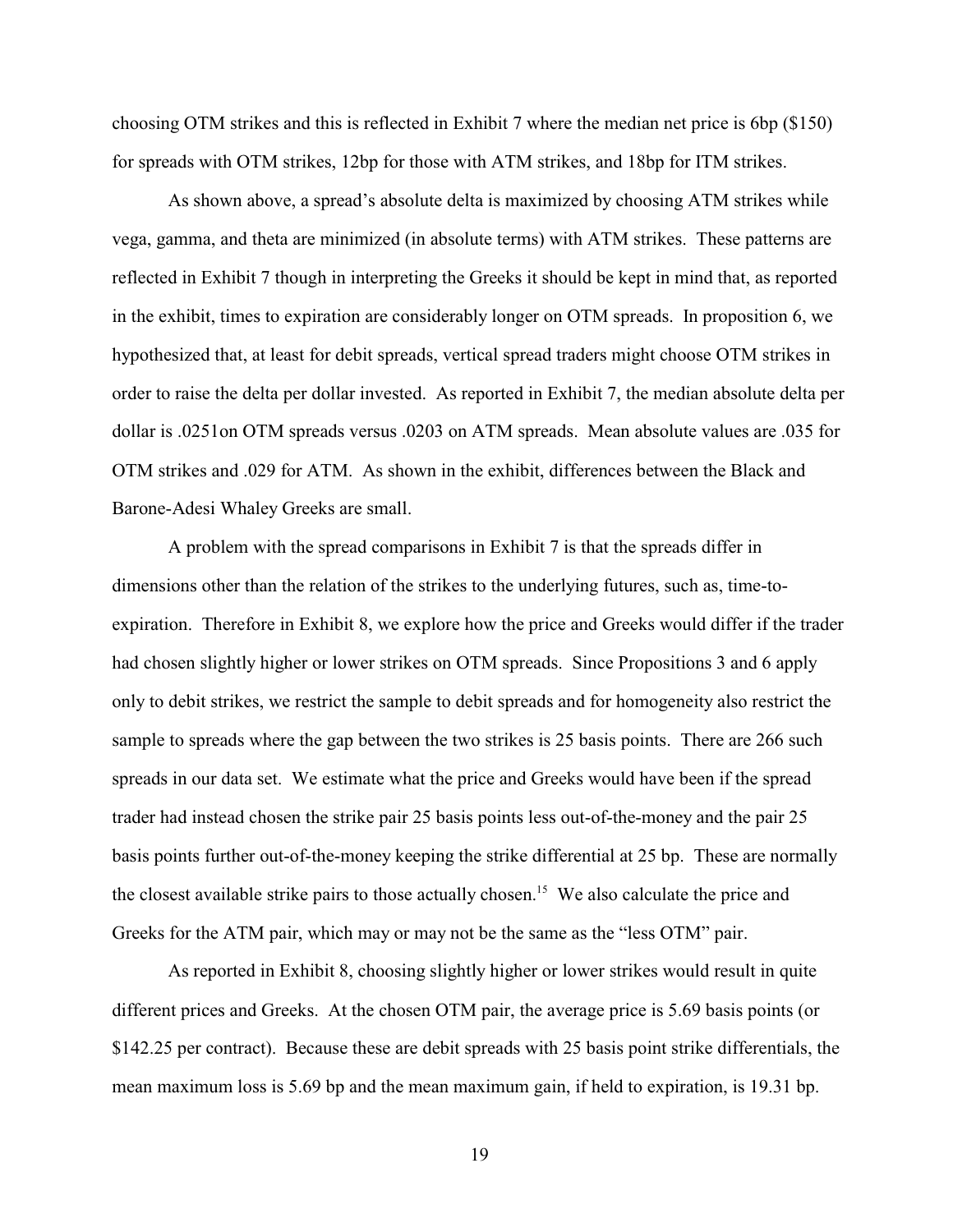choosing OTM strikes and this is reflected in Exhibit 7 where the median net price is 6bp (\$150) for spreads with OTM strikes, 12bp for those with ATM strikes, and 18bp for ITM strikes.

As shown above, a spread's absolute delta is maximized by choosing ATM strikes while vega, gamma, and theta are minimized (in absolute terms) with ATM strikes. These patterns are reflected in Exhibit 7 though in interpreting the Greeks it should be kept in mind that, as reported in the exhibit, times to expiration are considerably longer on OTM spreads. In proposition 6, we hypothesized that, at least for debit spreads, vertical spread traders might choose OTM strikes in order to raise the delta per dollar invested. As reported in Exhibit 7, the median absolute delta per dollar is .0251on OTM spreads versus .0203 on ATM spreads. Mean absolute values are .035 for OTM strikes and .029 for ATM. As shown in the exhibit, differences between the Black and Barone-Adesi Whaley Greeks are small.

A problem with the spread comparisons in Exhibit 7 is that the spreads differ in dimensions other than the relation of the strikes to the underlying futures, such as, time-toexpiration. Therefore in Exhibit 8, we explore how the price and Greeks would differ if the trader had chosen slightly higher or lower strikes on OTM spreads. Since Propositions 3 and 6 apply only to debit strikes, we restrict the sample to debit spreads and for homogeneity also restrict the sample to spreads where the gap between the two strikes is 25 basis points. There are 266 such spreads in our data set. We estimate what the price and Greeks would have been if the spread trader had instead chosen the strike pair 25 basis points less out-of-the-money and the pair 25 basis points further out-of-the-money keeping the strike differential at 25 bp. These are normally the closest available strike pairs to those actually chosen.<sup>15</sup> We also calculate the price and Greeks for the ATM pair, which may or may not be the same as the "less OTM" pair.

As reported in Exhibit 8, choosing slightly higher or lower strikes would result in quite different prices and Greeks. At the chosen OTM pair, the average price is 5.69 basis points (or \$142.25 per contract). Because these are debit spreads with 25 basis point strike differentials, the mean maximum loss is 5.69 bp and the mean maximum gain, if held to expiration, is 19.31 bp.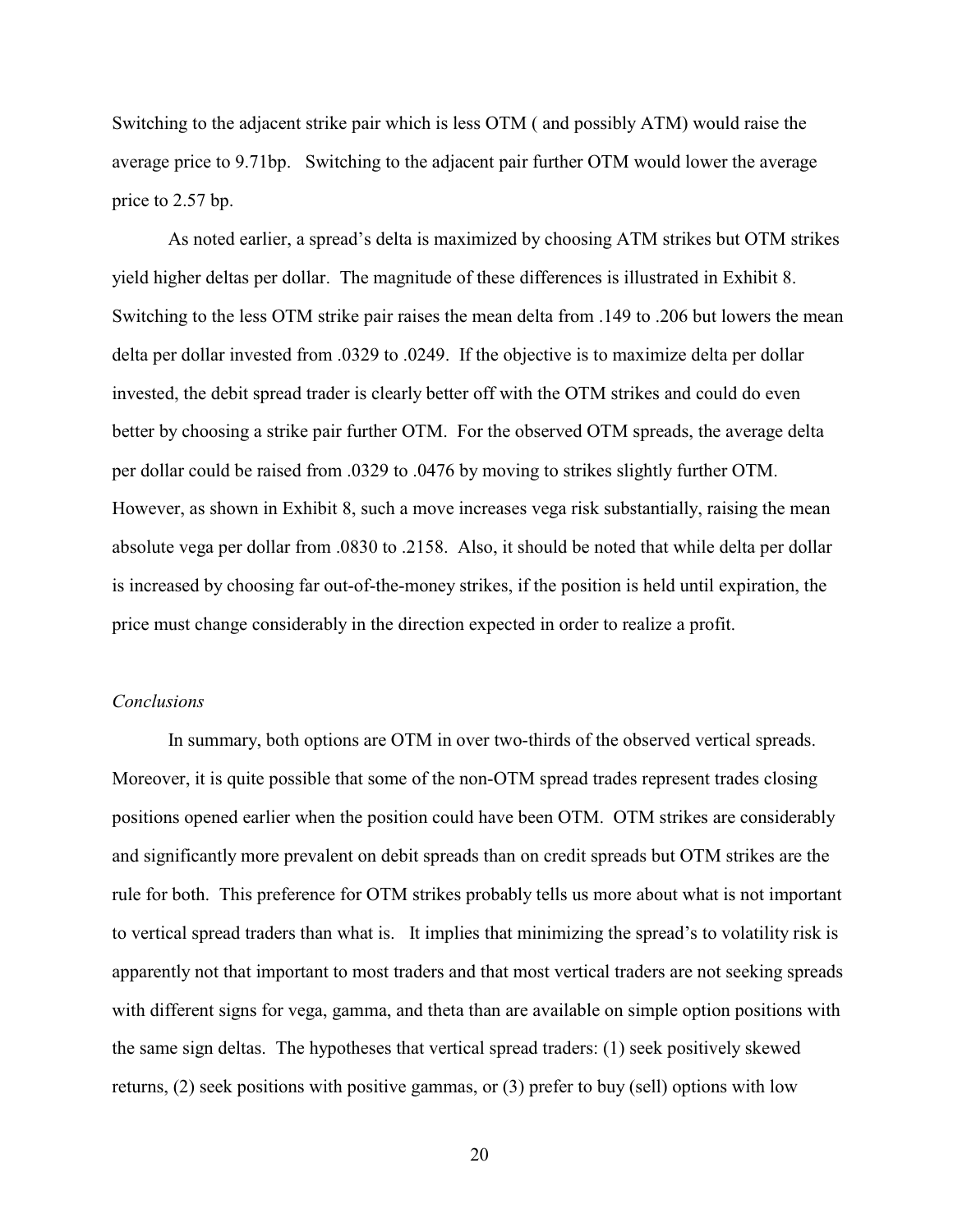Switching to the adjacent strike pair which is less OTM ( and possibly ATM) would raise the average price to 9.71bp. Switching to the adjacent pair further OTM would lower the average price to 2.57 bp.

As noted earlier, a spread's delta is maximized by choosing ATM strikes but OTM strikes yield higher deltas per dollar. The magnitude of these differences is illustrated in Exhibit 8. Switching to the less OTM strike pair raises the mean delta from .149 to .206 but lowers the mean delta per dollar invested from .0329 to .0249. If the objective is to maximize delta per dollar invested, the debit spread trader is clearly better off with the OTM strikes and could do even better by choosing a strike pair further OTM. For the observed OTM spreads, the average delta per dollar could be raised from .0329 to .0476 by moving to strikes slightly further OTM. However, as shown in Exhibit 8, such a move increases vega risk substantially, raising the mean absolute vega per dollar from .0830 to .2158. Also, it should be noted that while delta per dollar is increased by choosing far out-of-the-money strikes, if the position is held until expiration, the price must change considerably in the direction expected in order to realize a profit.

# *Conclusions*

In summary, both options are OTM in over two-thirds of the observed vertical spreads. Moreover, it is quite possible that some of the non-OTM spread trades represent trades closing positions opened earlier when the position could have been OTM. OTM strikes are considerably and significantly more prevalent on debit spreads than on credit spreads but OTM strikes are the rule for both. This preference for OTM strikes probably tells us more about what is not important to vertical spread traders than what is. It implies that minimizing the spread's to volatility risk is apparently not that important to most traders and that most vertical traders are not seeking spreads with different signs for vega, gamma, and theta than are available on simple option positions with the same sign deltas. The hypotheses that vertical spread traders: (1) seek positively skewed returns, (2) seek positions with positive gammas, or (3) prefer to buy (sell) options with low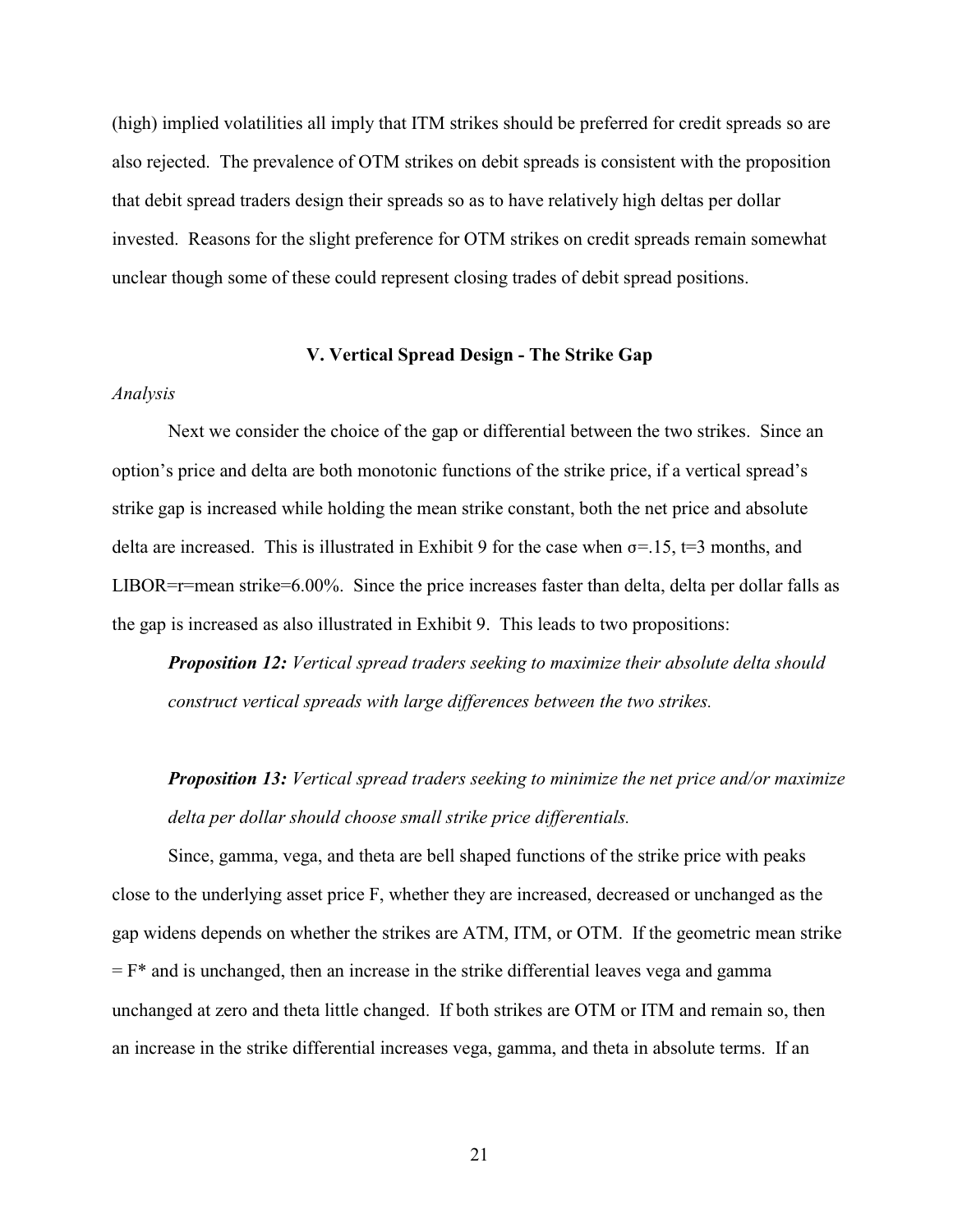(high) implied volatilities all imply that ITM strikes should be preferred for credit spreads so are also rejected. The prevalence of OTM strikes on debit spreads is consistent with the proposition that debit spread traders design their spreads so as to have relatively high deltas per dollar invested. Reasons for the slight preference for OTM strikes on credit spreads remain somewhat unclear though some of these could represent closing trades of debit spread positions.

## **V. Vertical Spread Design - The Strike Gap**

# *Analysis*

Next we consider the choice of the gap or differential between the two strikes. Since an option's price and delta are both monotonic functions of the strike price, if a vertical spread's strike gap is increased while holding the mean strike constant, both the net price and absolute delta are increased. This is illustrated in Exhibit 9 for the case when  $\sigma$ =.15, t=3 months, and LIBOR=r=mean strike=6.00%. Since the price increases faster than delta, delta per dollar falls as the gap is increased as also illustrated in Exhibit 9. This leads to two propositions:

*Proposition 12: Vertical spread traders seeking to maximize their absolute delta should construct vertical spreads with large differences between the two strikes.*

*Proposition 13: Vertical spread traders seeking to minimize the net price and/or maximize delta per dollar should choose small strike price differentials.*

Since, gamma, vega, and theta are bell shaped functions of the strike price with peaks close to the underlying asset price F, whether they are increased, decreased or unchanged as the gap widens depends on whether the strikes are ATM, ITM, or OTM. If the geometric mean strike  $=$  F<sup>\*</sup> and is unchanged, then an increase in the strike differential leaves vega and gamma unchanged at zero and theta little changed. If both strikes are OTM or ITM and remain so, then an increase in the strike differential increases vega, gamma, and theta in absolute terms. If an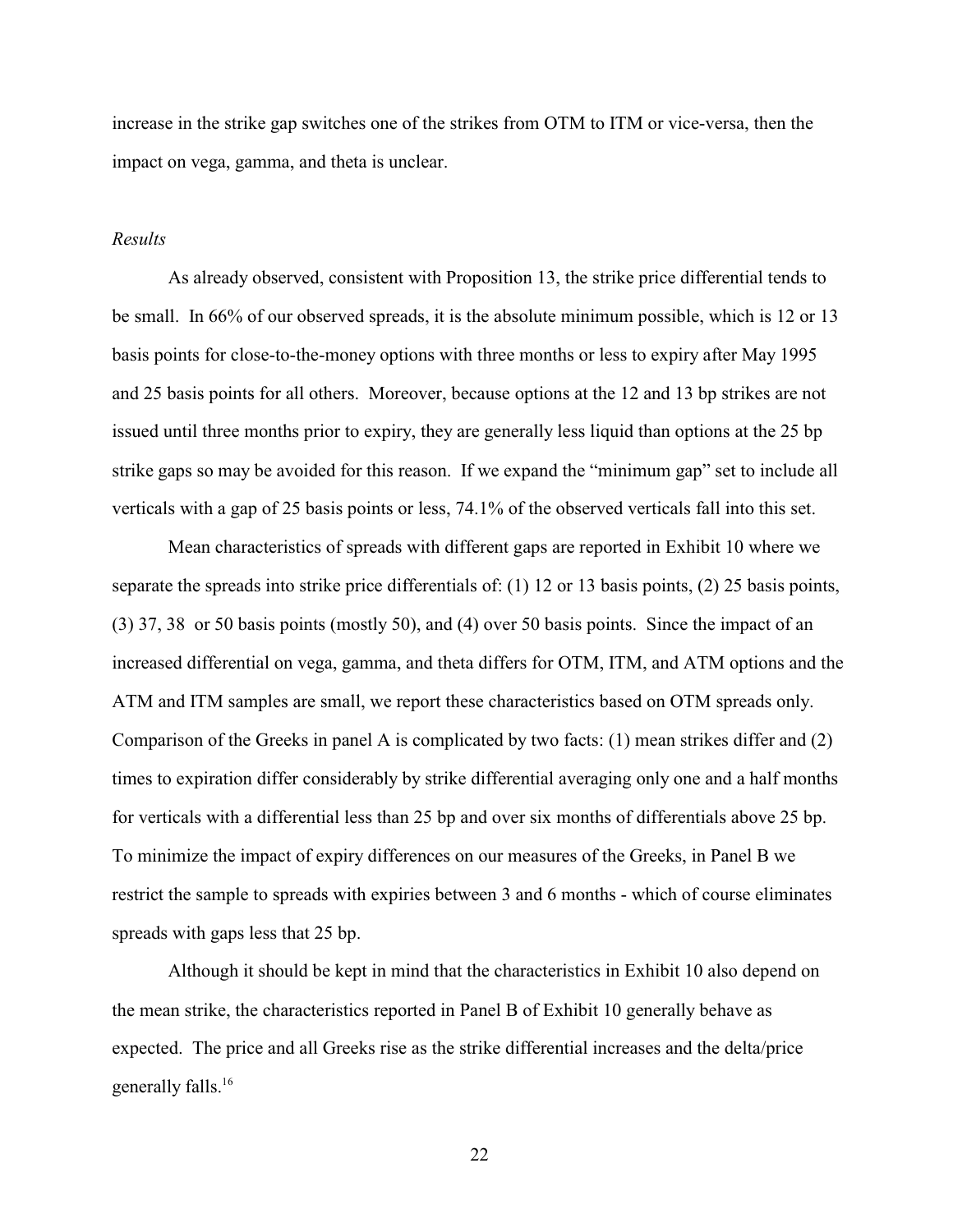increase in the strike gap switches one of the strikes from OTM to ITM or vice-versa, then the impact on vega, gamma, and theta is unclear.

## *Results*

As already observed, consistent with Proposition 13, the strike price differential tends to be small. In 66% of our observed spreads, it is the absolute minimum possible, which is 12 or 13 basis points for close-to-the-money options with three months or less to expiry after May 1995 and 25 basis points for all others. Moreover, because options at the 12 and 13 bp strikes are not issued until three months prior to expiry, they are generally less liquid than options at the 25 bp strike gaps so may be avoided for this reason. If we expand the "minimum gap" set to include all verticals with a gap of 25 basis points or less, 74.1% of the observed verticals fall into this set.

Mean characteristics of spreads with different gaps are reported in Exhibit 10 where we separate the spreads into strike price differentials of: (1) 12 or 13 basis points, (2) 25 basis points, (3) 37, 38 or 50 basis points (mostly 50), and (4) over 50 basis points. Since the impact of an increased differential on vega, gamma, and theta differs for OTM, ITM, and ATM options and the ATM and ITM samples are small, we report these characteristics based on OTM spreads only. Comparison of the Greeks in panel A is complicated by two facts: (1) mean strikes differ and (2) times to expiration differ considerably by strike differential averaging only one and a half months for verticals with a differential less than 25 bp and over six months of differentials above 25 bp. To minimize the impact of expiry differences on our measures of the Greeks, in Panel B we restrict the sample to spreads with expiries between 3 and 6 months - which of course eliminates spreads with gaps less that 25 bp.

Although it should be kept in mind that the characteristics in Exhibit 10 also depend on the mean strike, the characteristics reported in Panel B of Exhibit 10 generally behave as expected. The price and all Greeks rise as the strike differential increases and the delta/price generally falls.<sup>16</sup>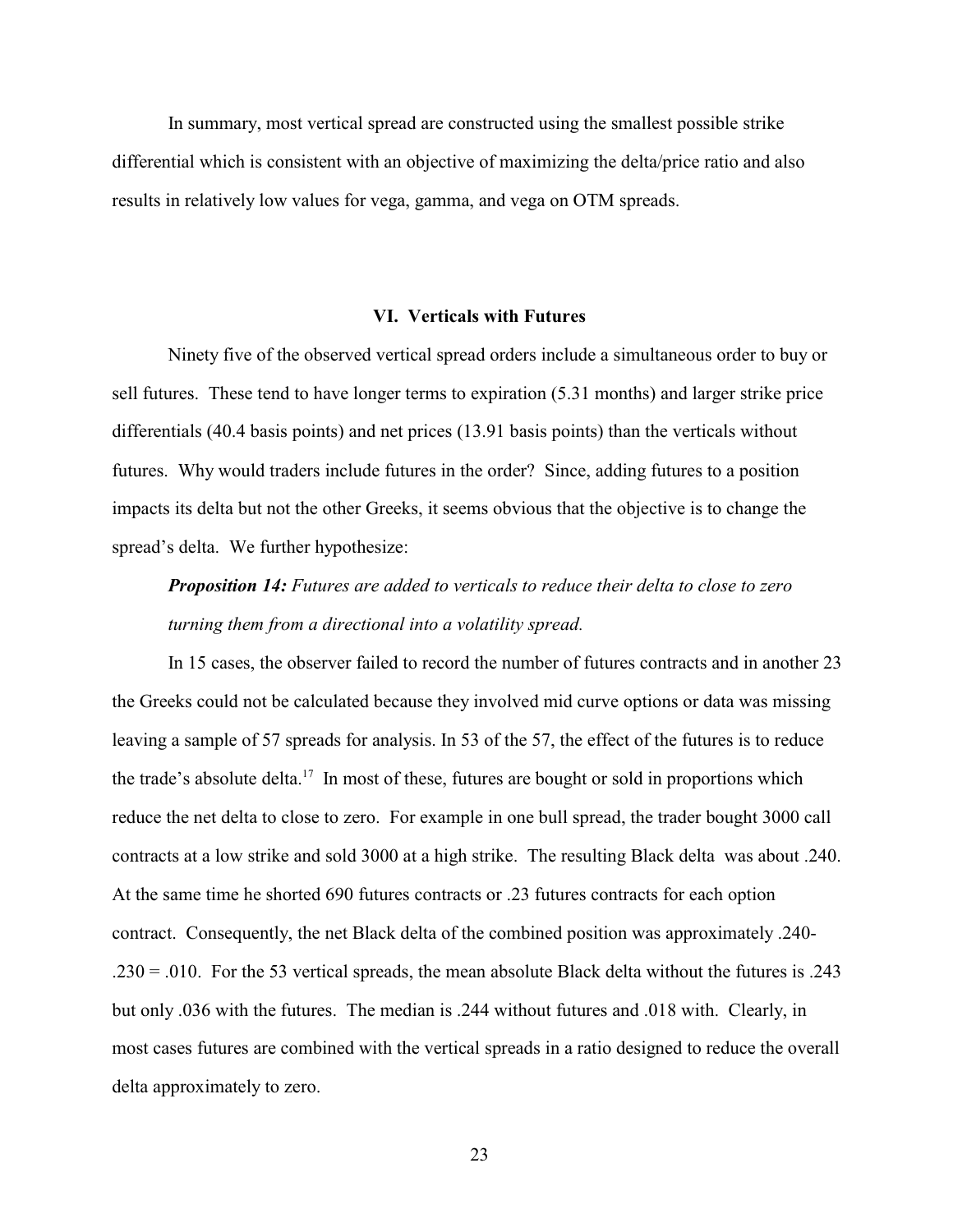In summary, most vertical spread are constructed using the smallest possible strike differential which is consistent with an objective of maximizing the delta/price ratio and also results in relatively low values for vega, gamma, and vega on OTM spreads.

#### **VI. Verticals with Futures**

Ninety five of the observed vertical spread orders include a simultaneous order to buy or sell futures. These tend to have longer terms to expiration (5.31 months) and larger strike price differentials (40.4 basis points) and net prices (13.91 basis points) than the verticals without futures. Why would traders include futures in the order? Since, adding futures to a position impacts its delta but not the other Greeks, it seems obvious that the objective is to change the spread's delta. We further hypothesize:

# *Proposition 14: Futures are added to verticals to reduce their delta to close to zero turning them from a directional into a volatility spread.*

In 15 cases, the observer failed to record the number of futures contracts and in another 23 the Greeks could not be calculated because they involved mid curve options or data was missing leaving a sample of 57 spreads for analysis. In 53 of the 57, the effect of the futures is to reduce the trade's absolute delta.<sup>17</sup> In most of these, futures are bought or sold in proportions which reduce the net delta to close to zero. For example in one bull spread, the trader bought 3000 call contracts at a low strike and sold 3000 at a high strike. The resulting Black delta was about .240. At the same time he shorted 690 futures contracts or .23 futures contracts for each option contract. Consequently, the net Black delta of the combined position was approximately .240- .230 = .010. For the 53 vertical spreads, the mean absolute Black delta without the futures is .243 but only .036 with the futures. The median is .244 without futures and .018 with. Clearly, in most cases futures are combined with the vertical spreads in a ratio designed to reduce the overall delta approximately to zero.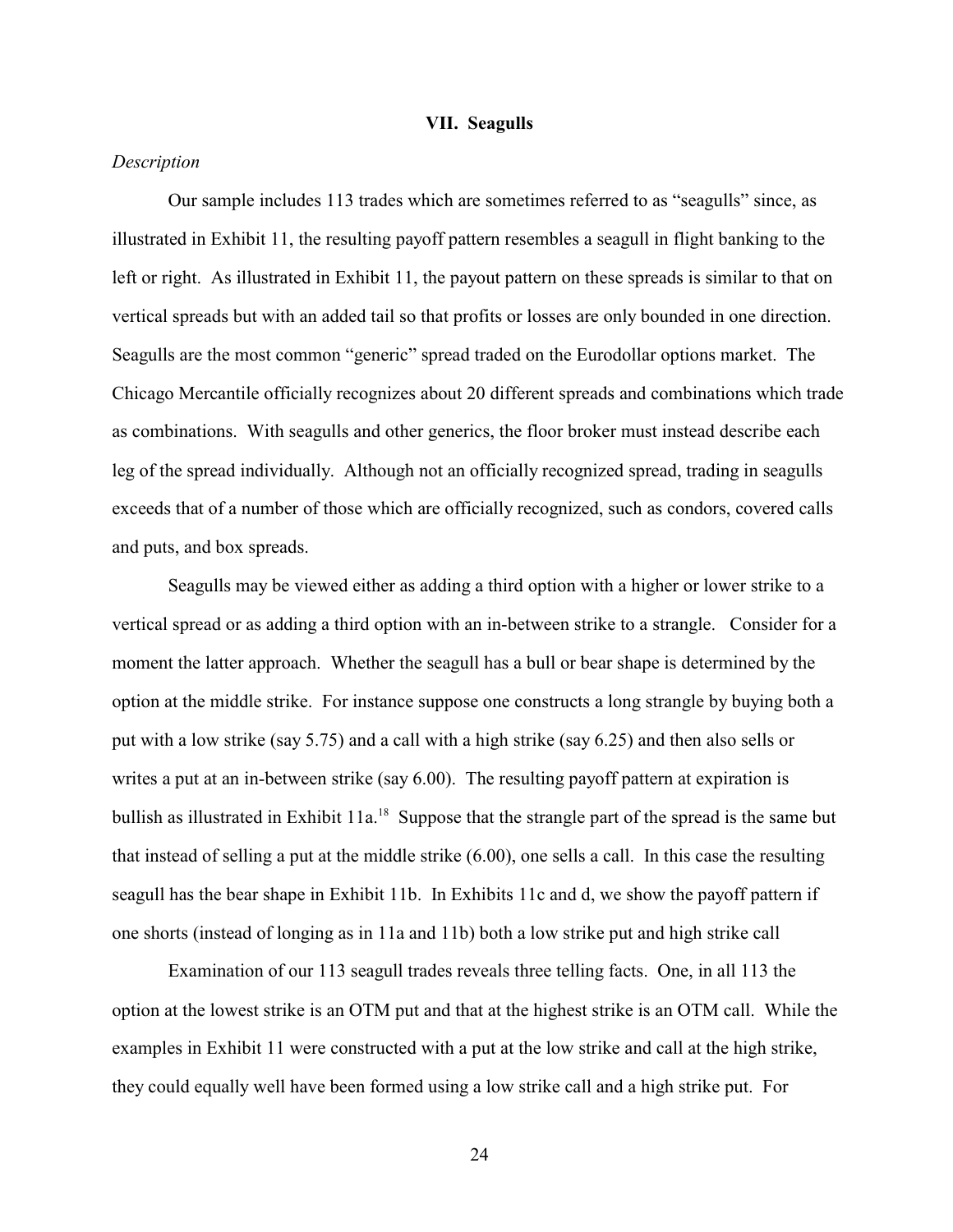### **VII. Seagulls**

# *Description*

Our sample includes 113 trades which are sometimes referred to as "seagulls" since, as illustrated in Exhibit 11, the resulting payoff pattern resembles a seagull in flight banking to the left or right. As illustrated in Exhibit 11, the payout pattern on these spreads is similar to that on vertical spreads but with an added tail so that profits or losses are only bounded in one direction. Seagulls are the most common "generic" spread traded on the Eurodollar options market. The Chicago Mercantile officially recognizes about 20 different spreads and combinations which trade as combinations. With seagulls and other generics, the floor broker must instead describe each leg of the spread individually. Although not an officially recognized spread, trading in seagulls exceeds that of a number of those which are officially recognized, such as condors, covered calls and puts, and box spreads.

Seagulls may be viewed either as adding a third option with a higher or lower strike to a vertical spread or as adding a third option with an in-between strike to a strangle. Consider for a moment the latter approach. Whether the seagull has a bull or bear shape is determined by the option at the middle strike. For instance suppose one constructs a long strangle by buying both a put with a low strike (say 5.75) and a call with a high strike (say 6.25) and then also sells or writes a put at an in-between strike (say 6.00). The resulting payoff pattern at expiration is bullish as illustrated in Exhibit  $11a<sup>18</sup>$  Suppose that the strangle part of the spread is the same but that instead of selling a put at the middle strike (6.00), one sells a call. In this case the resulting seagull has the bear shape in Exhibit 11b. In Exhibits 11c and d, we show the payoff pattern if one shorts (instead of longing as in 11a and 11b) both a low strike put and high strike call

Examination of our 113 seagull trades reveals three telling facts. One, in all 113 the option at the lowest strike is an OTM put and that at the highest strike is an OTM call. While the examples in Exhibit 11 were constructed with a put at the low strike and call at the high strike, they could equally well have been formed using a low strike call and a high strike put. For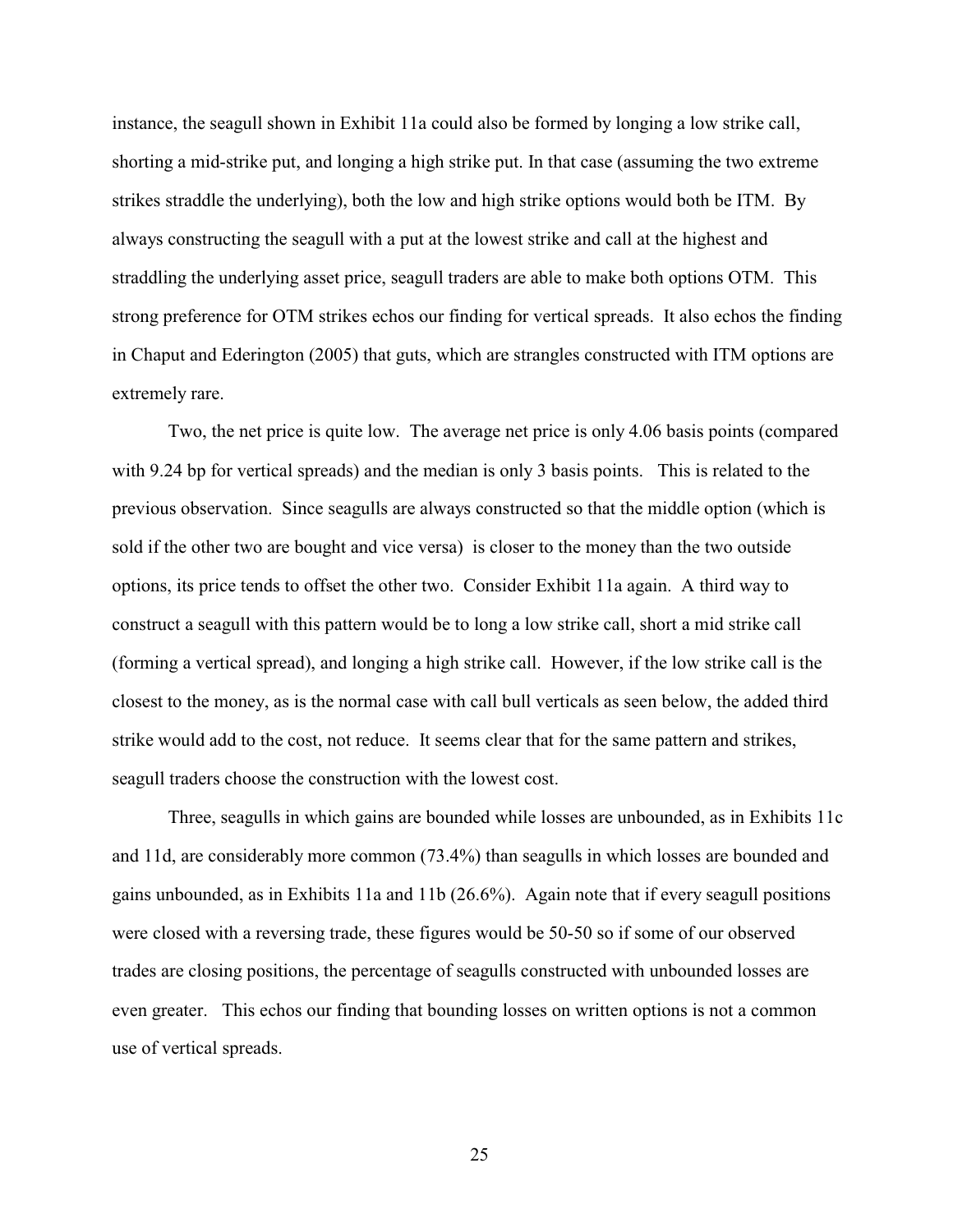instance, the seagull shown in Exhibit 11a could also be formed by longing a low strike call, shorting a mid-strike put, and longing a high strike put. In that case (assuming the two extreme strikes straddle the underlying), both the low and high strike options would both be ITM. By always constructing the seagull with a put at the lowest strike and call at the highest and straddling the underlying asset price, seagull traders are able to make both options OTM. This strong preference for OTM strikes echos our finding for vertical spreads. It also echos the finding in Chaput and Ederington (2005) that guts, which are strangles constructed with ITM options are extremely rare.

Two, the net price is quite low. The average net price is only 4.06 basis points (compared with 9.24 bp for vertical spreads) and the median is only 3 basis points. This is related to the previous observation. Since seagulls are always constructed so that the middle option (which is sold if the other two are bought and vice versa) is closer to the money than the two outside options, its price tends to offset the other two. Consider Exhibit 11a again. A third way to construct a seagull with this pattern would be to long a low strike call, short a mid strike call (forming a vertical spread), and longing a high strike call. However, if the low strike call is the closest to the money, as is the normal case with call bull verticals as seen below, the added third strike would add to the cost, not reduce. It seems clear that for the same pattern and strikes, seagull traders choose the construction with the lowest cost.

Three, seagulls in which gains are bounded while losses are unbounded, as in Exhibits 11c and 11d, are considerably more common (73.4%) than seagulls in which losses are bounded and gains unbounded, as in Exhibits 11a and 11b (26.6%). Again note that if every seagull positions were closed with a reversing trade, these figures would be 50-50 so if some of our observed trades are closing positions, the percentage of seagulls constructed with unbounded losses are even greater. This echos our finding that bounding losses on written options is not a common use of vertical spreads.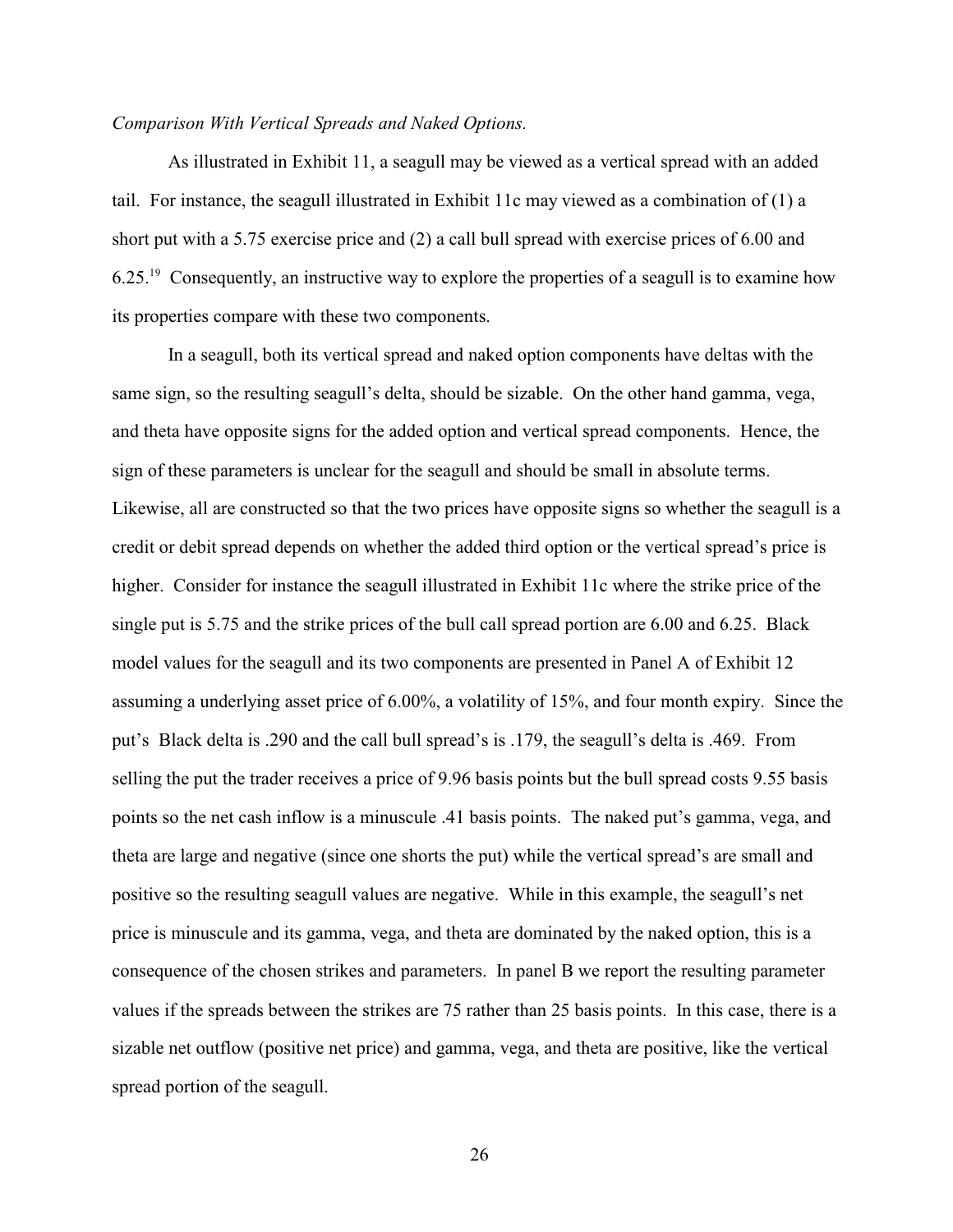#### *Comparison With Vertical Spreads and Naked Options.*

As illustrated in Exhibit 11, a seagull may be viewed as a vertical spread with an added tail. For instance, the seagull illustrated in Exhibit 11c may viewed as a combination of  $(1)$  a short put with a 5.75 exercise price and (2) a call bull spread with exercise prices of 6.00 and  $6.25<sup>19</sup>$  Consequently, an instructive way to explore the properties of a seagull is to examine how its properties compare with these two components.

In a seagull, both its vertical spread and naked option components have deltas with the same sign, so the resulting seagull's delta, should be sizable. On the other hand gamma, vega, and theta have opposite signs for the added option and vertical spread components. Hence, the sign of these parameters is unclear for the seagull and should be small in absolute terms. Likewise, all are constructed so that the two prices have opposite signs so whether the seagull is a credit or debit spread depends on whether the added third option or the vertical spread's price is higher. Consider for instance the seagull illustrated in Exhibit 11c where the strike price of the single put is 5.75 and the strike prices of the bull call spread portion are 6.00 and 6.25. Black model values for the seagull and its two components are presented in Panel A of Exhibit 12 assuming a underlying asset price of 6.00%, a volatility of 15%, and four month expiry. Since the put's Black delta is .290 and the call bull spread's is .179, the seagull's delta is .469. From selling the put the trader receives a price of 9.96 basis points but the bull spread costs 9.55 basis points so the net cash inflow is a minuscule .41 basis points. The naked put's gamma, vega, and theta are large and negative (since one shorts the put) while the vertical spread's are small and positive so the resulting seagull values are negative. While in this example, the seagull's net price is minuscule and its gamma, vega, and theta are dominated by the naked option, this is a consequence of the chosen strikes and parameters. In panel B we report the resulting parameter values if the spreads between the strikes are 75 rather than 25 basis points. In this case, there is a sizable net outflow (positive net price) and gamma, vega, and theta are positive, like the vertical spread portion of the seagull.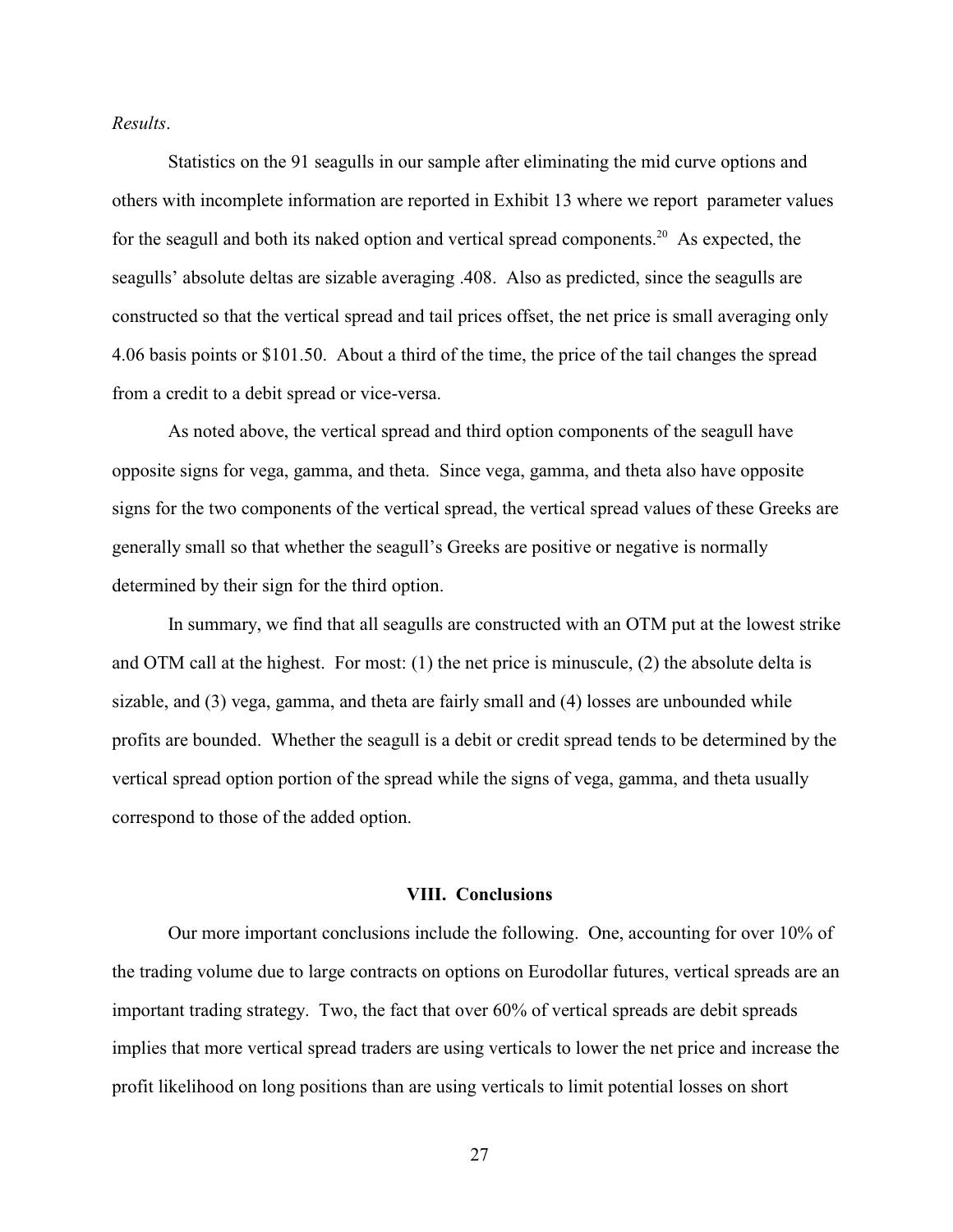*Results*.

Statistics on the 91 seagulls in our sample after eliminating the mid curve options and others with incomplete information are reported in Exhibit 13 where we report parameter values for the seagull and both its naked option and vertical spread components.<sup>20</sup> As expected, the seagulls' absolute deltas are sizable averaging .408. Also as predicted, since the seagulls are constructed so that the vertical spread and tail prices offset, the net price is small averaging only 4.06 basis points or \$101.50. About a third of the time, the price of the tail changes the spread from a credit to a debit spread or vice-versa.

As noted above, the vertical spread and third option components of the seagull have opposite signs for vega, gamma, and theta. Since vega, gamma, and theta also have opposite signs for the two components of the vertical spread, the vertical spread values of these Greeks are generally small so that whether the seagull's Greeks are positive or negative is normally determined by their sign for the third option.

In summary, we find that all seagulls are constructed with an OTM put at the lowest strike and OTM call at the highest. For most: (1) the net price is minuscule, (2) the absolute delta is sizable, and (3) vega, gamma, and theta are fairly small and (4) losses are unbounded while profits are bounded. Whether the seagull is a debit or credit spread tends to be determined by the vertical spread option portion of the spread while the signs of vega, gamma, and theta usually correspond to those of the added option.

### **VIII. Conclusions**

Our more important conclusions include the following. One, accounting for over 10% of the trading volume due to large contracts on options on Eurodollar futures, vertical spreads are an important trading strategy. Two, the fact that over 60% of vertical spreads are debit spreads implies that more vertical spread traders are using verticals to lower the net price and increase the profit likelihood on long positions than are using verticals to limit potential losses on short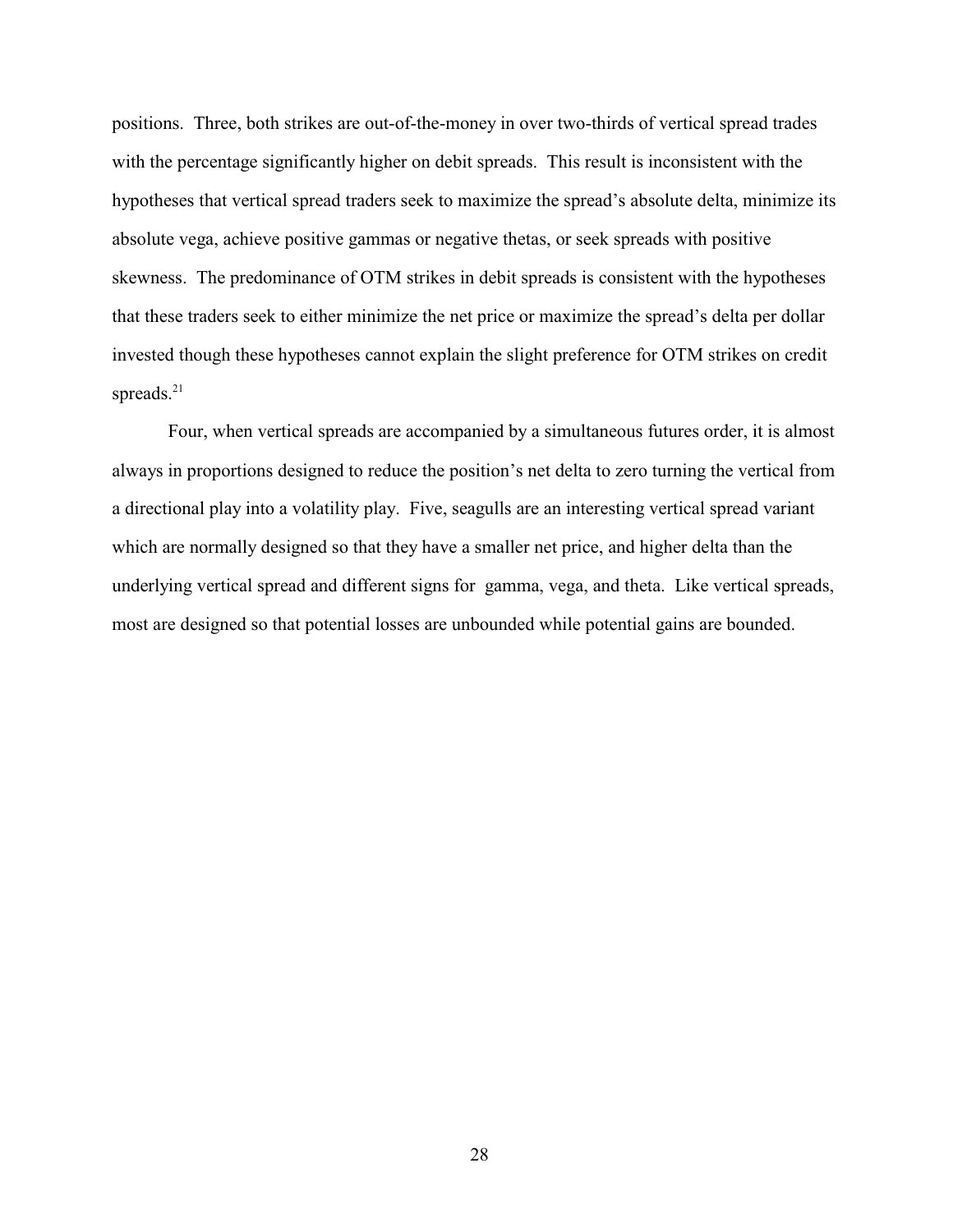positions. Three, both strikes are out-of-the-money in over two-thirds of vertical spread trades with the percentage significantly higher on debit spreads. This result is inconsistent with the hypotheses that vertical spread traders seek to maximize the spread's absolute delta, minimize its absolute vega, achieve positive gammas or negative thetas, or seek spreads with positive skewness. The predominance of OTM strikes in debit spreads is consistent with the hypotheses that these traders seek to either minimize the net price or maximize the spread's delta per dollar invested though these hypotheses cannot explain the slight preference for OTM strikes on credit spreads. $21$ 

Four, when vertical spreads are accompanied by a simultaneous futures order, it is almost always in proportions designed to reduce the position's net delta to zero turning the vertical from a directional play into a volatility play. Five, seagulls are an interesting vertical spread variant which are normally designed so that they have a smaller net price, and higher delta than the underlying vertical spread and different signs for gamma, vega, and theta. Like vertical spreads, most are designed so that potential losses are unbounded while potential gains are bounded.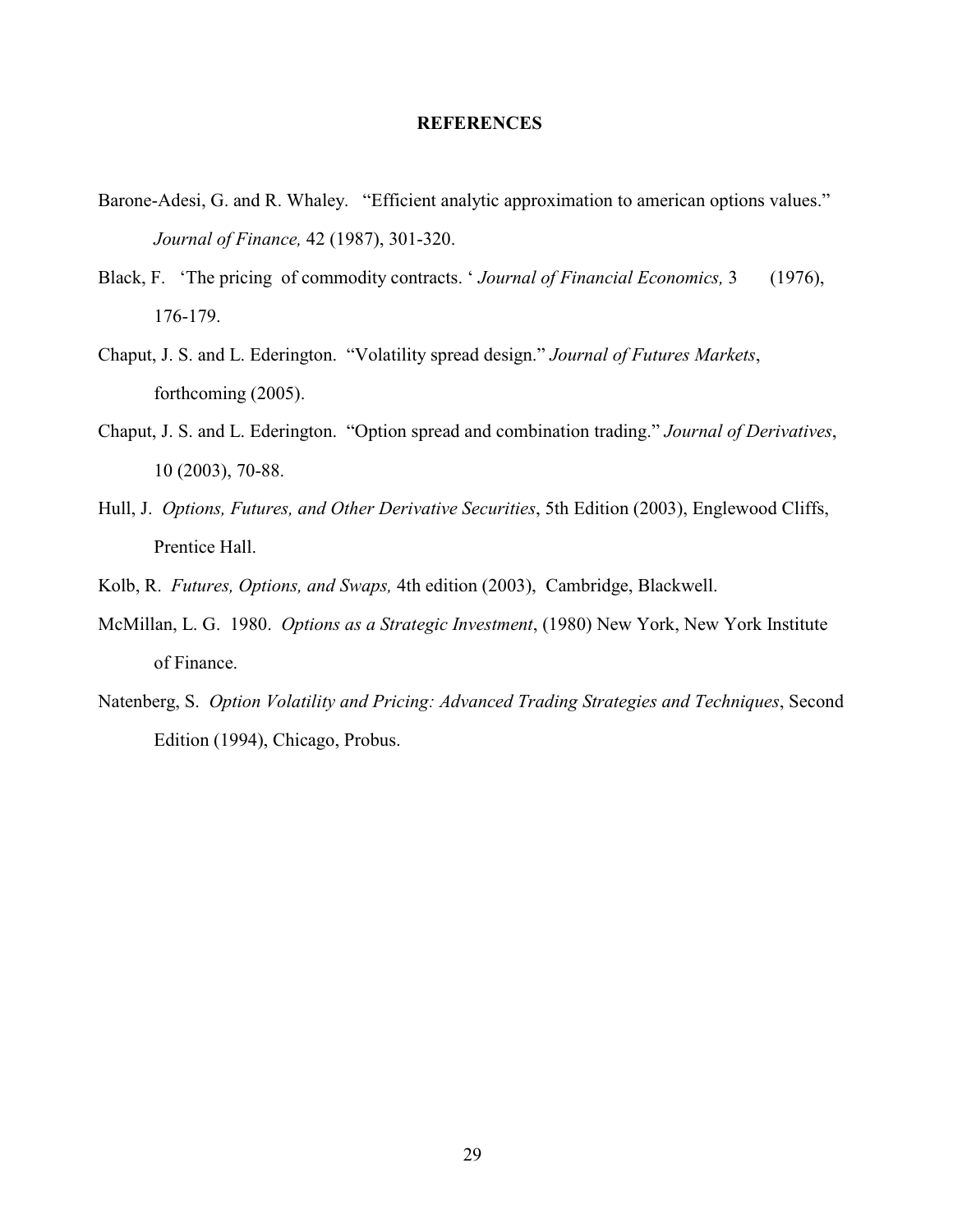#### **REFERENCES**

- Barone-Adesi, G. and R. Whaley. "Efficient analytic approximation to american options values." *Journal of Finance,* 42 (1987), 301-320.
- Black, F. 'The pricing of commodity contracts. ' *Journal of Financial Economics,* 3 (1976), 176-179.
- Chaput, J. S. and L. Ederington. "Volatility spread design." *Journal of Futures Markets*, forthcoming (2005).
- Chaput, J. S. and L. Ederington. "Option spread and combination trading." *Journal of Derivatives*, 10 (2003), 70-88.
- Hull, J. *Options, Futures, and Other Derivative Securities*, 5th Edition (2003), Englewood Cliffs, Prentice Hall.
- Kolb, R. *Futures, Options, and Swaps,* 4th edition (2003), Cambridge, Blackwell.
- McMillan, L. G. 1980. *Options as a Strategic Investment*, (1980) New York, New York Institute of Finance.
- Natenberg, S. *Option Volatility and Pricing: Advanced Trading Strategies and Techniques*, Second Edition (1994), Chicago, Probus.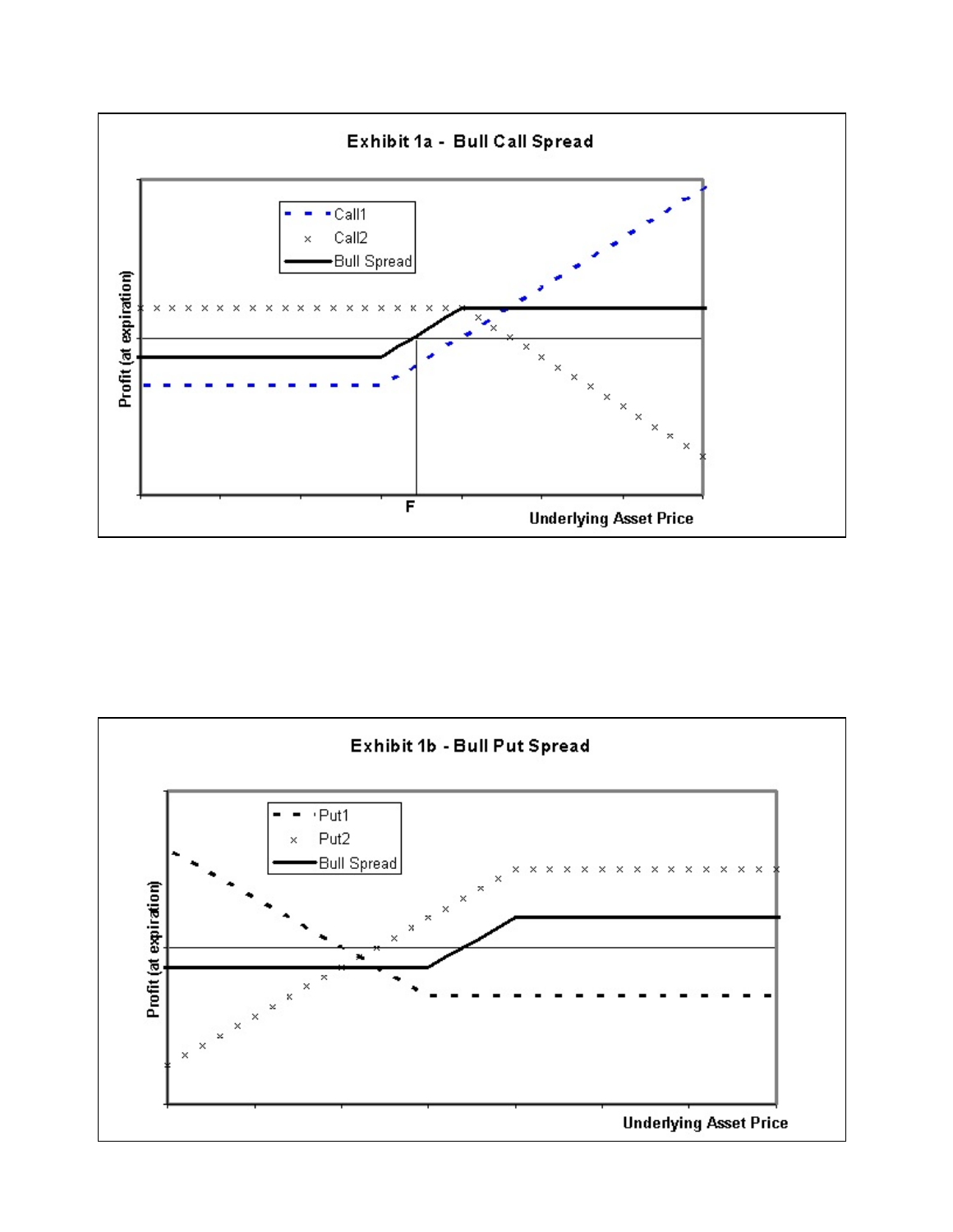

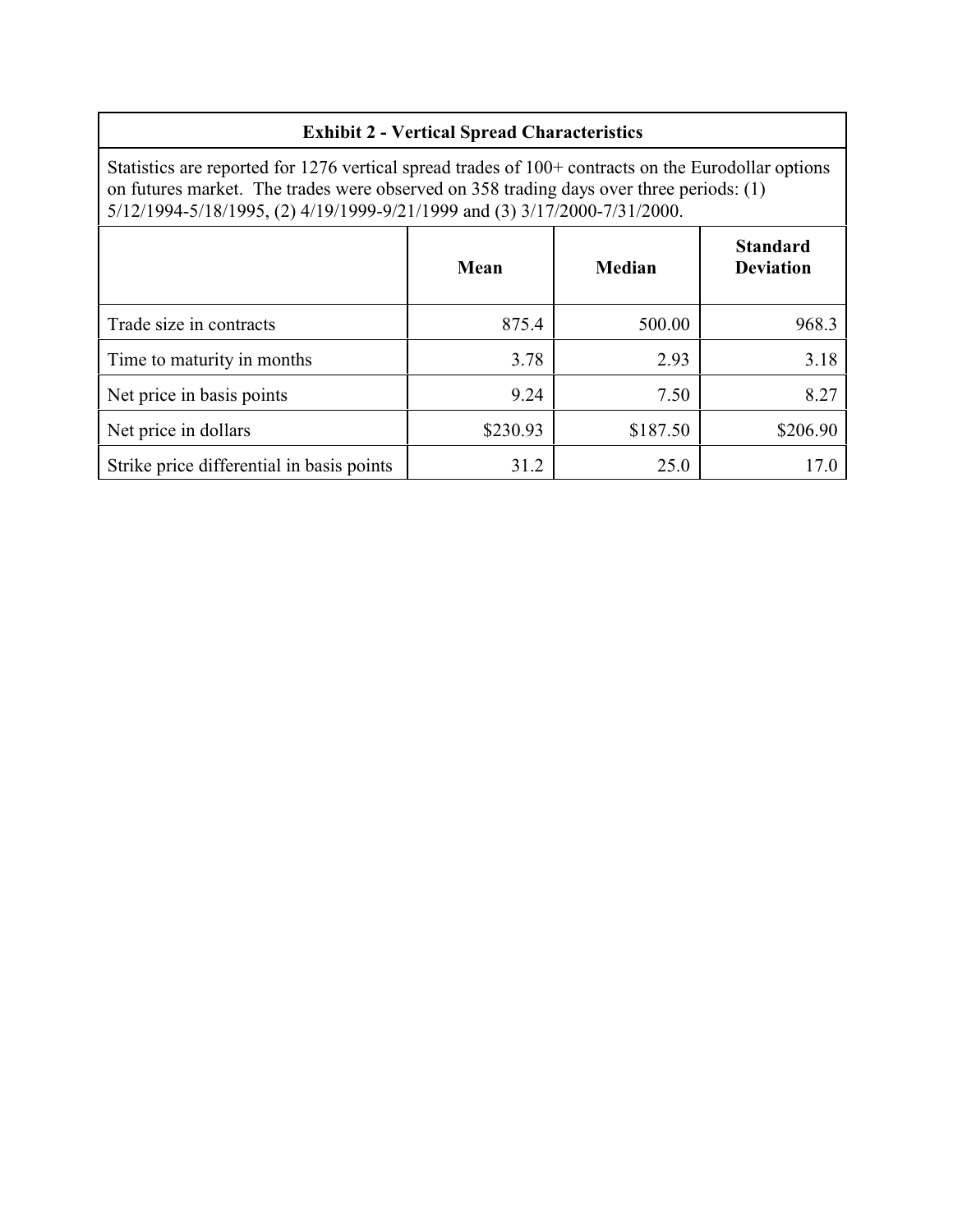# **Exhibit 2 - Vertical Spread Characteristics**

Statistics are reported for 1276 vertical spread trades of 100+ contracts on the Eurodollar options on futures market. The trades were observed on 358 trading days over three periods: (1) 5/12/1994-5/18/1995, (2) 4/19/1999-9/21/1999 and (3) 3/17/2000-7/31/2000.

|                                           | Mean     | Median   | <b>Standard</b><br><b>Deviation</b> |
|-------------------------------------------|----------|----------|-------------------------------------|
| Trade size in contracts                   | 875.4    | 500.00   | 968.3                               |
| Time to maturity in months                | 3.78     | 2.93     | 3.18                                |
| Net price in basis points                 | 9.24     | 7.50     | 8.27                                |
| Net price in dollars                      | \$230.93 | \$187.50 | \$206.90                            |
| Strike price differential in basis points | 31.2     | 25.0     |                                     |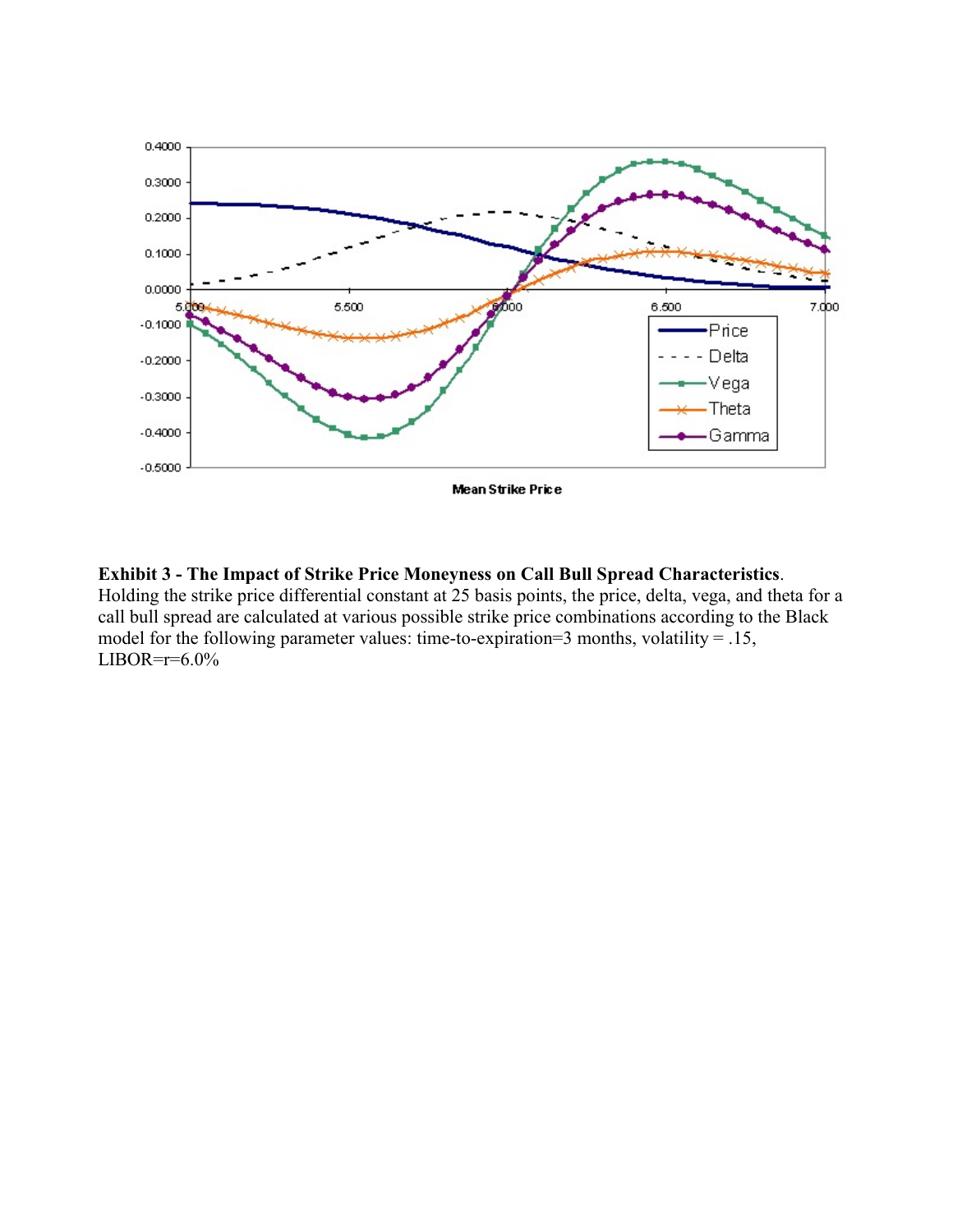

# **Exhibit 3 - The Impact of Strike Price Moneyness on Call Bull Spread Characteristics**.

Holding the strike price differential constant at 25 basis points, the price, delta, vega, and theta for a call bull spread are calculated at various possible strike price combinations according to the Black model for the following parameter values: time-to-expiration=3 months, volatility = .15,  $LIBOR=r=6.0\%$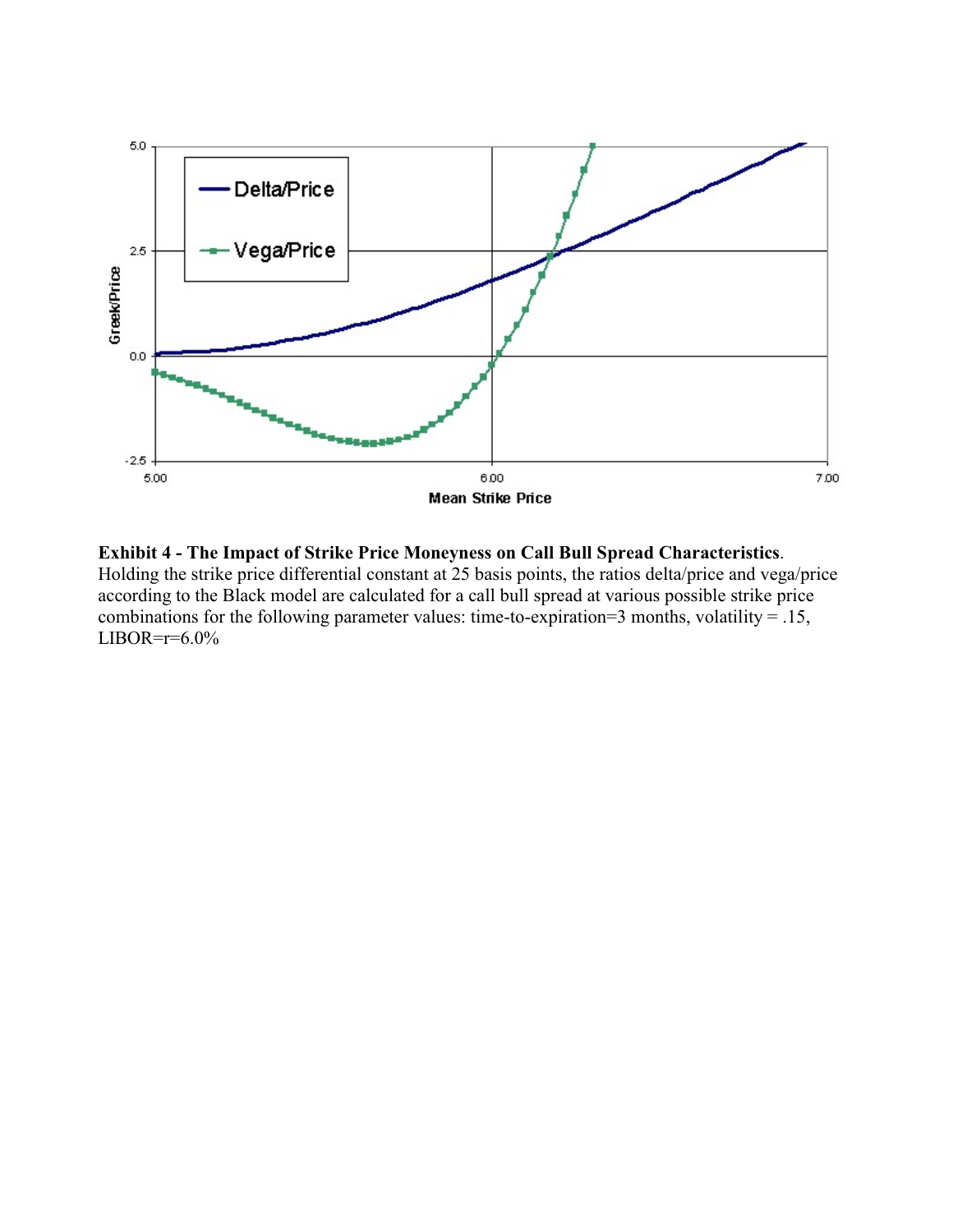

**Exhibit 4 - The Impact of Strike Price Moneyness on Call Bull Spread Characteristics**. Holding the strike price differential constant at 25 basis points, the ratios delta/price and vega/price according to the Black model are calculated for a call bull spread at various possible strike price combinations for the following parameter values: time-to-expiration=3 months, volatility = .15,  $LIBOR=r=6.0\%$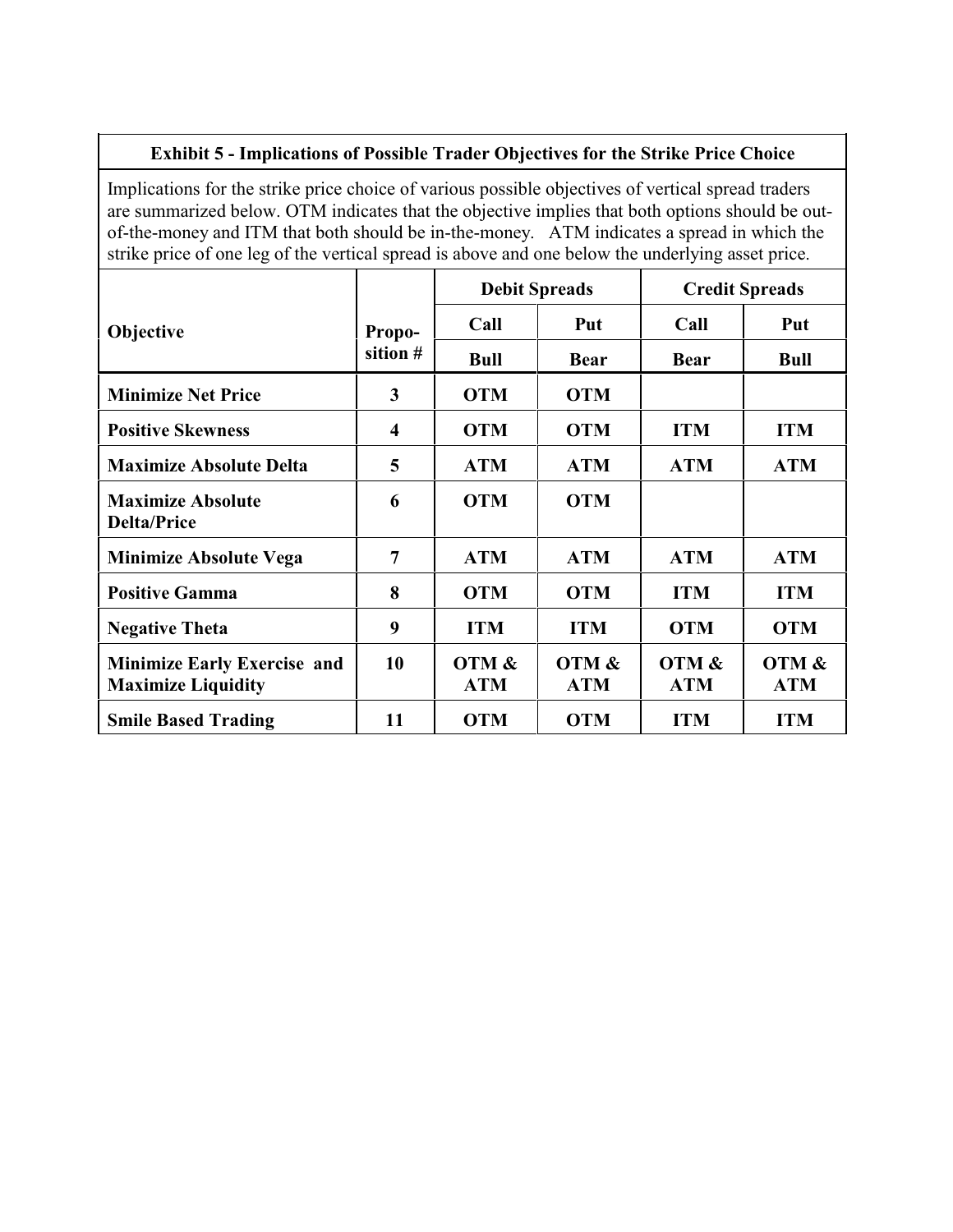# **Exhibit 5 - Implications of Possible Trader Objectives for the Strike Price Choice**

Implications for the strike price choice of various possible objectives of vertical spread traders are summarized below. OTM indicates that the objective implies that both options should be outof-the-money and ITM that both should be in-the-money. ATM indicates a spread in which the strike price of one leg of the vertical spread is above and one below the underlying asset price.

|                                                                 |                  | <b>Debit Spreads</b> |                     | <b>Credit Spreads</b> |                     |
|-----------------------------------------------------------------|------------------|----------------------|---------------------|-----------------------|---------------------|
| Objective                                                       | Propo-           | Call                 | Put                 | Call                  | Put                 |
|                                                                 | sition #         | <b>Bull</b>          | <b>Bear</b>         | <b>Bear</b>           | <b>Bull</b>         |
| <b>Minimize Net Price</b>                                       | 3                | <b>OTM</b>           | <b>OTM</b>          |                       |                     |
| <b>Positive Skewness</b>                                        | $\boldsymbol{4}$ | <b>OTM</b>           | <b>OTM</b>          | <b>ITM</b>            | <b>ITM</b>          |
| <b>Maximize Absolute Delta</b>                                  | 5                | <b>ATM</b>           | <b>ATM</b>          | <b>ATM</b>            | <b>ATM</b>          |
| <b>Maximize Absolute</b><br><b>Delta/Price</b>                  | 6                | <b>OTM</b>           | <b>OTM</b>          |                       |                     |
| <b>Minimize Absolute Vega</b>                                   | 7                | <b>ATM</b>           | <b>ATM</b>          | <b>ATM</b>            | <b>ATM</b>          |
| <b>Positive Gamma</b>                                           | 8                | <b>OTM</b>           | <b>OTM</b>          | <b>ITM</b>            | <b>ITM</b>          |
| <b>Negative Theta</b>                                           | 9                | <b>ITM</b>           | <b>ITM</b>          | <b>OTM</b>            | <b>OTM</b>          |
| <b>Minimize Early Exercise and</b><br><b>Maximize Liquidity</b> | 10               | OTM &<br><b>ATM</b>  | OTM &<br><b>ATM</b> | OTM &<br><b>ATM</b>   | OTM &<br><b>ATM</b> |
| <b>Smile Based Trading</b>                                      | 11               | <b>OTM</b>           | <b>OTM</b>          | <b>ITM</b>            | <b>ITM</b>          |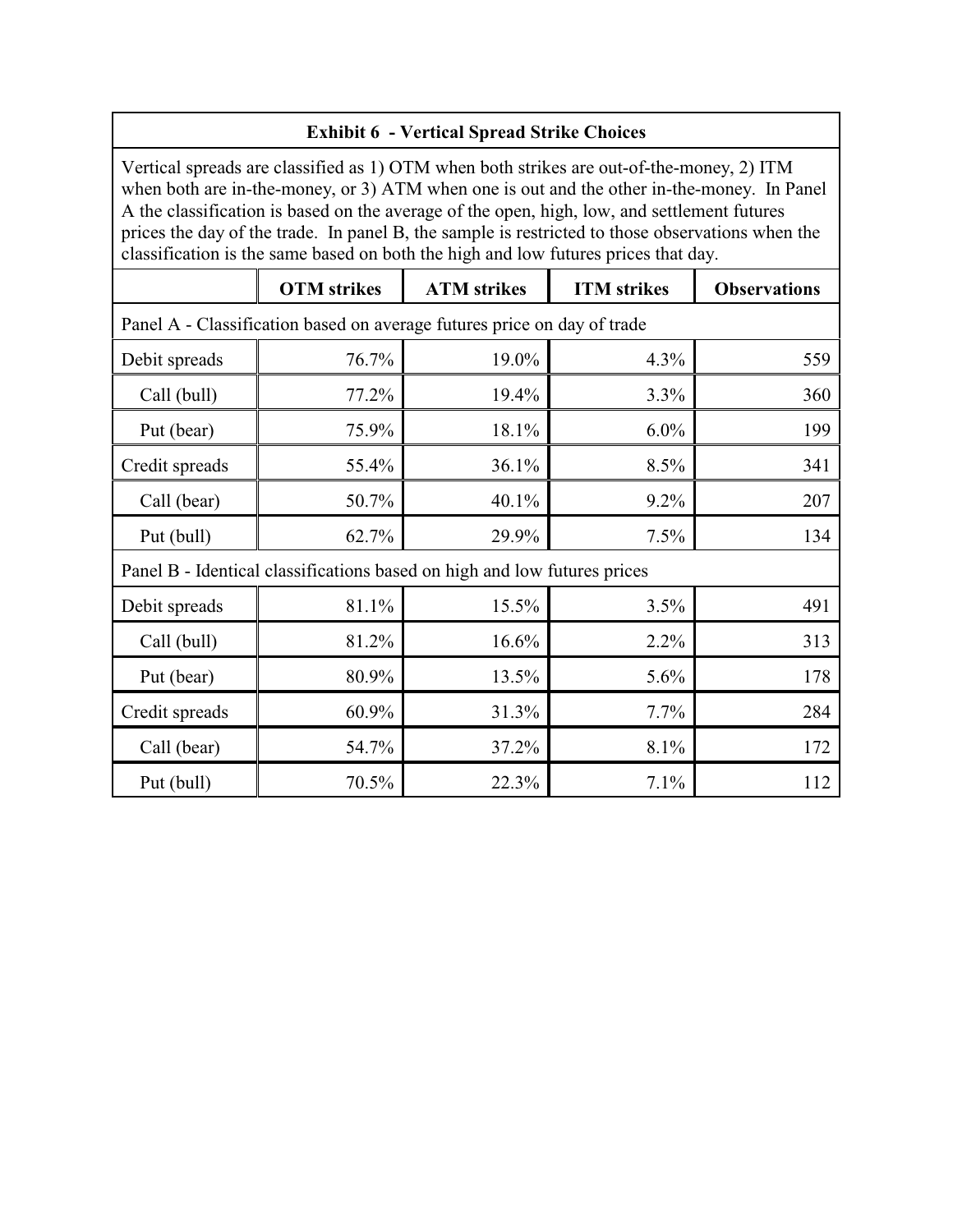| <b>Exhibit 6 - Vertical Spread Strike Choices</b>                                                                                                                                                                                                                                                                                                                                                                                                                               |                                                                                       |       |      |     |  |  |
|---------------------------------------------------------------------------------------------------------------------------------------------------------------------------------------------------------------------------------------------------------------------------------------------------------------------------------------------------------------------------------------------------------------------------------------------------------------------------------|---------------------------------------------------------------------------------------|-------|------|-----|--|--|
| Vertical spreads are classified as 1) OTM when both strikes are out-of-the-money, 2) ITM<br>when both are in-the-money, or 3) ATM when one is out and the other in-the-money. In Panel<br>A the classification is based on the average of the open, high, low, and settlement futures<br>prices the day of the trade. In panel B, the sample is restricted to those observations when the<br>classification is the same based on both the high and low futures prices that day. |                                                                                       |       |      |     |  |  |
|                                                                                                                                                                                                                                                                                                                                                                                                                                                                                 | <b>OTM</b> strikes<br><b>ATM</b> strikes<br><b>ITM</b> strikes<br><b>Observations</b> |       |      |     |  |  |
|                                                                                                                                                                                                                                                                                                                                                                                                                                                                                 | Panel A - Classification based on average futures price on day of trade               |       |      |     |  |  |
| Debit spreads                                                                                                                                                                                                                                                                                                                                                                                                                                                                   | 76.7%                                                                                 | 19.0% | 4.3% | 559 |  |  |
| Call (bull)                                                                                                                                                                                                                                                                                                                                                                                                                                                                     | 77.2%                                                                                 | 19.4% | 3.3% | 360 |  |  |
| Put (bear)                                                                                                                                                                                                                                                                                                                                                                                                                                                                      | 75.9%                                                                                 | 18.1% | 6.0% | 199 |  |  |
| Credit spreads                                                                                                                                                                                                                                                                                                                                                                                                                                                                  | 55.4%                                                                                 | 36.1% | 8.5% | 341 |  |  |
| Call (bear)                                                                                                                                                                                                                                                                                                                                                                                                                                                                     | 50.7%                                                                                 | 40.1% | 9.2% | 207 |  |  |
| Put (bull)                                                                                                                                                                                                                                                                                                                                                                                                                                                                      | 62.7%                                                                                 | 29.9% | 7.5% | 134 |  |  |
| Panel B - Identical classifications based on high and low futures prices                                                                                                                                                                                                                                                                                                                                                                                                        |                                                                                       |       |      |     |  |  |
| Debit spreads                                                                                                                                                                                                                                                                                                                                                                                                                                                                   | 81.1%                                                                                 | 15.5% | 3.5% | 491 |  |  |
| Call (bull)                                                                                                                                                                                                                                                                                                                                                                                                                                                                     | 81.2%                                                                                 | 16.6% | 2.2% | 313 |  |  |
| Put (bear)                                                                                                                                                                                                                                                                                                                                                                                                                                                                      | 80.9%                                                                                 | 13.5% | 5.6% | 178 |  |  |
| Credit spreads                                                                                                                                                                                                                                                                                                                                                                                                                                                                  | 60.9%                                                                                 | 31.3% | 7.7% | 284 |  |  |
| Call (bear)                                                                                                                                                                                                                                                                                                                                                                                                                                                                     | 54.7%                                                                                 | 37.2% | 8.1% | 172 |  |  |
| Put (bull)                                                                                                                                                                                                                                                                                                                                                                                                                                                                      | 70.5%                                                                                 | 22.3% | 7.1% | 112 |  |  |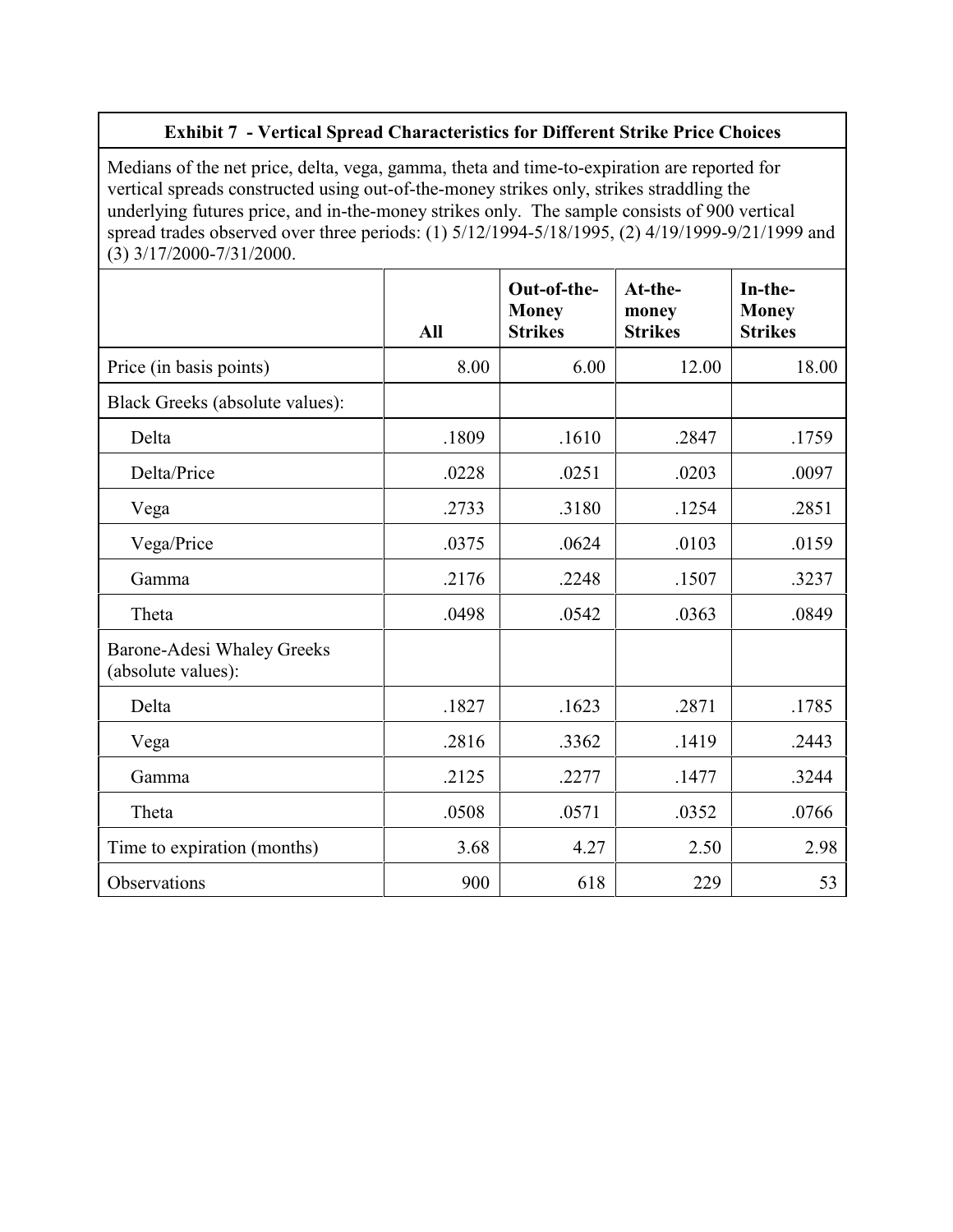# **Exhibit 7 - Vertical Spread Characteristics for Different Strike Price Choices**

Medians of the net price, delta, vega, gamma, theta and time-to-expiration are reported for vertical spreads constructed using out-of-the-money strikes only, strikes straddling the underlying futures price, and in-the-money strikes only. The sample consists of 900 vertical spread trades observed over three periods: (1) 5/12/1994-5/18/1995, (2) 4/19/1999-9/21/1999 and  $(3)$  3/17/2000-7/31/2000.

|                                                         | All   | Out-of-the-<br><b>Money</b><br><b>Strikes</b> | At-the-<br>money<br><b>Strikes</b> | In-the-<br><b>Money</b><br><b>Strikes</b> |
|---------------------------------------------------------|-------|-----------------------------------------------|------------------------------------|-------------------------------------------|
| Price (in basis points)                                 | 8.00  | 6.00                                          | 12.00                              | 18.00                                     |
| Black Greeks (absolute values):                         |       |                                               |                                    |                                           |
| Delta                                                   | .1809 | .1610                                         | .2847                              | .1759                                     |
| Delta/Price                                             | .0228 | .0251                                         | .0203                              | .0097                                     |
| Vega                                                    | .2733 | .3180                                         | .1254                              | .2851                                     |
| Vega/Price                                              | .0375 | .0624                                         | .0103                              | .0159                                     |
| Gamma                                                   | .2176 | .2248                                         | .1507                              | .3237                                     |
| Theta                                                   | .0498 | .0542                                         | .0363                              | .0849                                     |
| <b>Barone-Adesi Whaley Greeks</b><br>(absolute values): |       |                                               |                                    |                                           |
| Delta                                                   | .1827 | .1623                                         | .2871                              | .1785                                     |
| Vega                                                    | .2816 | .3362                                         | .1419                              | .2443                                     |
| Gamma                                                   | .2125 | .2277                                         | .1477                              | .3244                                     |
| Theta                                                   | .0508 | .0571                                         | .0352                              | .0766                                     |
| Time to expiration (months)                             | 3.68  | 4.27                                          | 2.50                               | 2.98                                      |
| Observations                                            | 900   | 618                                           | 229                                | 53                                        |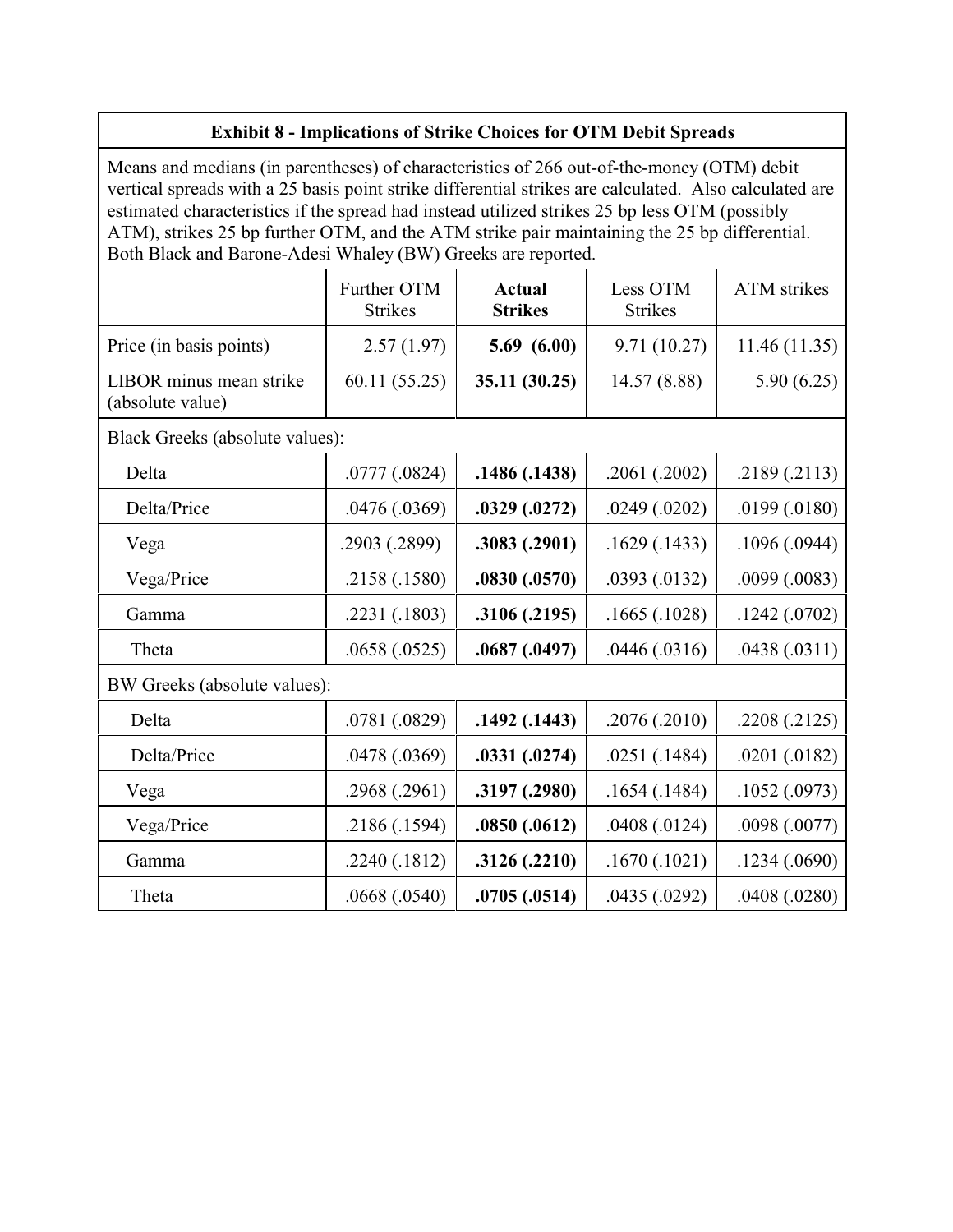|                                                                                                                                                                                                                                                                                                                                                                                                                                                                      | <b>Exhibit 8 - Implications of Strike Choices for OTM Debit Spreads</b> |                                 |                            |                    |  |
|----------------------------------------------------------------------------------------------------------------------------------------------------------------------------------------------------------------------------------------------------------------------------------------------------------------------------------------------------------------------------------------------------------------------------------------------------------------------|-------------------------------------------------------------------------|---------------------------------|----------------------------|--------------------|--|
| Means and medians (in parentheses) of characteristics of 266 out-of-the-money (OTM) debit<br>vertical spreads with a 25 basis point strike differential strikes are calculated. Also calculated are<br>estimated characteristics if the spread had instead utilized strikes 25 bp less OTM (possibly<br>ATM), strikes 25 bp further OTM, and the ATM strike pair maintaining the 25 bp differential.<br>Both Black and Barone-Adesi Whaley (BW) Greeks are reported. |                                                                         |                                 |                            |                    |  |
|                                                                                                                                                                                                                                                                                                                                                                                                                                                                      | Further OTM<br><b>Strikes</b>                                           | <b>Actual</b><br><b>Strikes</b> | Less OTM<br><b>Strikes</b> | <b>ATM</b> strikes |  |
| Price (in basis points)                                                                                                                                                                                                                                                                                                                                                                                                                                              | 2.57(1.97)                                                              | 5.69(6.00)                      | 9.71(10.27)                | 11.46(11.35)       |  |
| LIBOR minus mean strike<br>(absolute value)                                                                                                                                                                                                                                                                                                                                                                                                                          | 60.11(55.25)                                                            | 35.11 (30.25)                   | 14.57 (8.88)               | 5.90(6.25)         |  |
| Black Greeks (absolute values):                                                                                                                                                                                                                                                                                                                                                                                                                                      |                                                                         |                                 |                            |                    |  |
| Delta                                                                                                                                                                                                                                                                                                                                                                                                                                                                | .0777(.0824)                                                            | .1486 (.1438)                   | .2061(.2002)               | .2189(.2113)       |  |
| Delta/Price                                                                                                                                                                                                                                                                                                                                                                                                                                                          | .0476(.0369)                                                            | .0329(.0272)                    | .0249(.0202)               | .0199(.0180)       |  |
| Vega                                                                                                                                                                                                                                                                                                                                                                                                                                                                 | .2903 (.2899)                                                           | .3083(.2901)                    | .1629(.1433)               | .1096(.0944)       |  |
| Vega/Price                                                                                                                                                                                                                                                                                                                                                                                                                                                           | .2158 (.1580)                                                           | .0830(.0570)                    | .0393(.0132)               | .0099(.0083)       |  |
| Gamma                                                                                                                                                                                                                                                                                                                                                                                                                                                                | .2231 (.1803)                                                           | .3106 (.2195)                   | .1665(.1028)               | .1242(.0702)       |  |
| Theta                                                                                                                                                                                                                                                                                                                                                                                                                                                                | .0658(.0525)                                                            | .0687(.0497)                    | .0446(.0316)               | .0438(.0311)       |  |
| BW Greeks (absolute values):                                                                                                                                                                                                                                                                                                                                                                                                                                         |                                                                         |                                 |                            |                    |  |
| Delta                                                                                                                                                                                                                                                                                                                                                                                                                                                                | .0781 (.0829)                                                           | .1492(.1443)                    | .2076(.2010)               | .2208(.2125)       |  |
| Delta/Price                                                                                                                                                                                                                                                                                                                                                                                                                                                          | .0478(.0369)                                                            | .0331(.0274)                    | .0251(.1484)               | .0201(.0182)       |  |
| Vega                                                                                                                                                                                                                                                                                                                                                                                                                                                                 | .2968 (.2961)                                                           | .3197(.2980)                    | .1654(.1484)               | .1052(.0973)       |  |
| Vega/Price                                                                                                                                                                                                                                                                                                                                                                                                                                                           | .2186(.1594)                                                            | .0850(.0612)                    | .0408(.0124)               | .0098 (.0077)      |  |
| Gamma                                                                                                                                                                                                                                                                                                                                                                                                                                                                | .2240(.1812)                                                            | .3126(.2210)                    | .1670(.1021)               | .1234(.0690)       |  |
| Theta                                                                                                                                                                                                                                                                                                                                                                                                                                                                | .0668(.0540)                                                            | .0705(.0514)                    | .0435(.0292)               | .0408(.0280)       |  |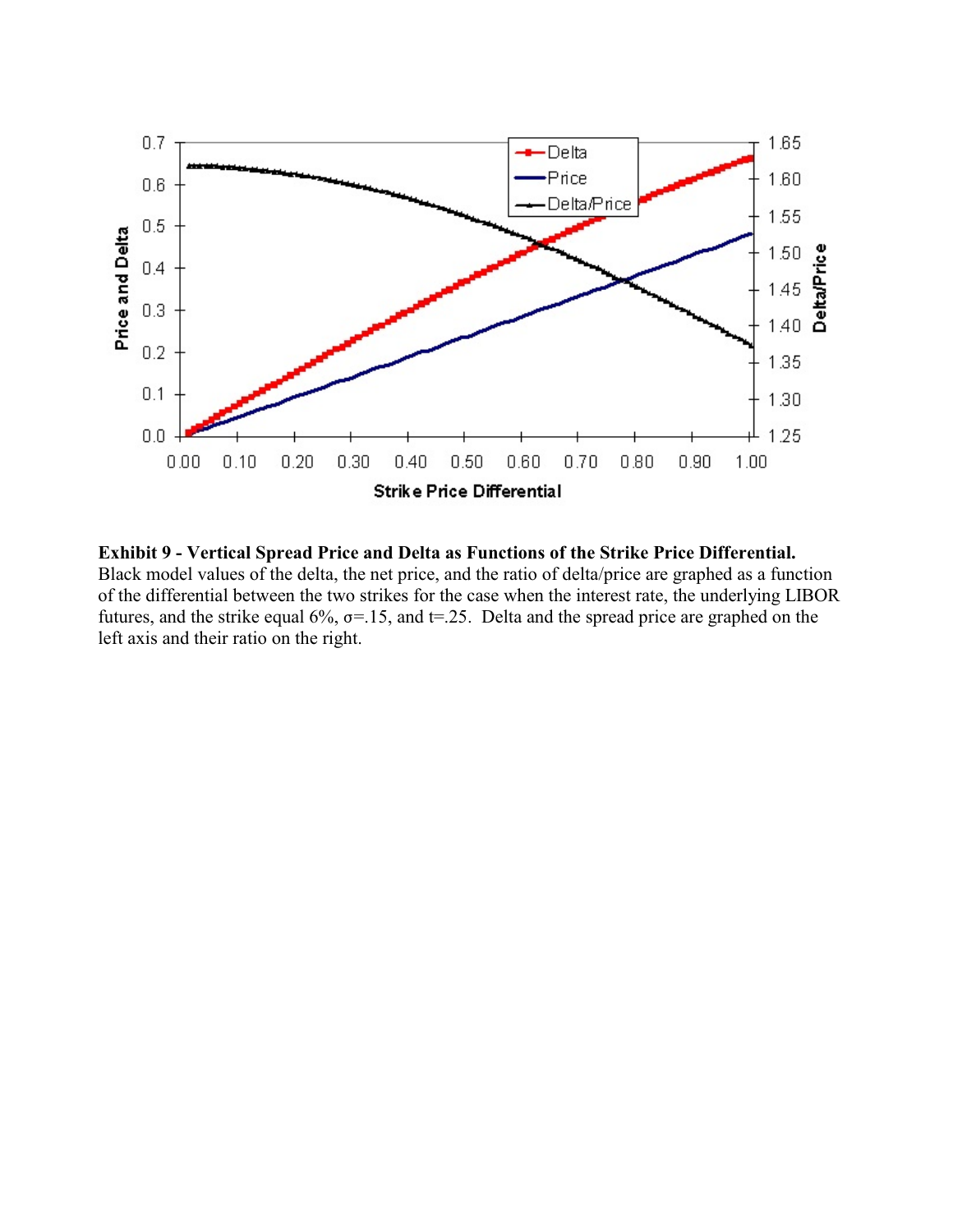

**Exhibit 9 - Vertical Spread Price and Delta as Functions of the Strike Price Differential.**  Black model values of the delta, the net price, and the ratio of delta/price are graphed as a function of the differential between the two strikes for the case when the interest rate, the underlying LIBOR futures, and the strike equal  $6\%$ ,  $\sigma$ =.15, and t=.25. Delta and the spread price are graphed on the left axis and their ratio on the right.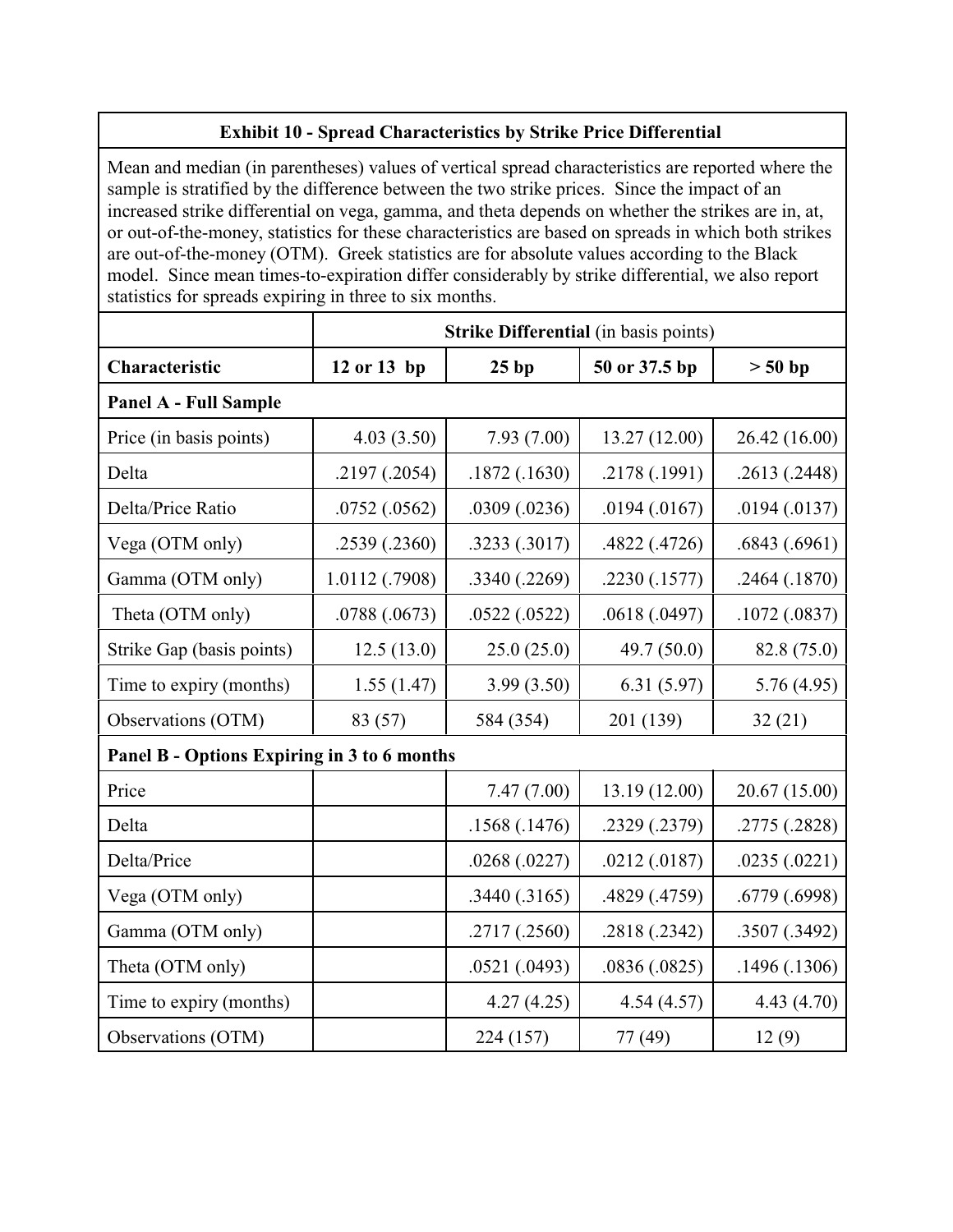# **Exhibit 10 - Spread Characteristics by Strike Price Differential**

Mean and median (in parentheses) values of vertical spread characteristics are reported where the sample is stratified by the difference between the two strike prices. Since the impact of an increased strike differential on vega, gamma, and theta depends on whether the strikes are in, at, or out-of-the-money, statistics for these characteristics are based on spreads in which both strikes are out-of-the-money (OTM). Greek statistics are for absolute values according to the Black model. Since mean times-to-expiration differ considerably by strike differential, we also report statistics for spreads expiring in three to six months.

|                                             | <b>Strike Differential</b> (in basis points) |               |               |               |  |  |
|---------------------------------------------|----------------------------------------------|---------------|---------------|---------------|--|--|
| Characteristic                              | 12 or 13 bp                                  | 25bp          | 50 or 37.5 bp | $> 50$ bp     |  |  |
| Panel A - Full Sample                       |                                              |               |               |               |  |  |
| Price (in basis points)                     | 4.03(3.50)                                   | 7.93(7.00)    | 13.27 (12.00) | 26.42 (16.00) |  |  |
| Delta                                       | .2197(.2054)                                 | .1872(.1630)  | .2178 (.1991) | .2613(.2448)  |  |  |
| Delta/Price Ratio                           | .0752(.0562)                                 | .0309(.0236)  | .0194(.0167)  | .0194(.0137)  |  |  |
| Vega (OTM only)                             | .2539(.2360)                                 | .3233 (.3017) | .4822 (.4726) | .6843(.6961)  |  |  |
| Gamma (OTM only)                            | 1.0112 (.7908)                               | .3340 (.2269) | .2230(.1577)  | .2464(.1870)  |  |  |
| Theta (OTM only)                            | .0788 (.0673)                                | .0522(.0522)  | .0618(.0497)  | .1072(.0837)  |  |  |
| Strike Gap (basis points)                   | 12.5(13.0)                                   | 25.0(25.0)    | 49.7 $(50.0)$ | 82.8 (75.0)   |  |  |
| Time to expiry (months)                     | 1.55(1.47)                                   | 3.99(3.50)    | 6.31(5.97)    | 5.76(4.95)    |  |  |
| Observations (OTM)                          | 83 (57)                                      | 584 (354)     | 201 (139)     | 32(21)        |  |  |
| Panel B - Options Expiring in 3 to 6 months |                                              |               |               |               |  |  |
| Price                                       |                                              | 7.47(7.00)    | 13.19 (12.00) | 20.67 (15.00) |  |  |
| Delta                                       |                                              | .1568(.1476)  | .2329 (.2379) | .2775 (.2828) |  |  |
| Delta/Price                                 |                                              | .0268(.0227)  | .0212(.0187)  | .0235(.0221)  |  |  |
| Vega (OTM only)                             |                                              | .3440(.3165)  | .4829 (.4759) | .6779(.6998)  |  |  |
| Gamma (OTM only)                            |                                              | .2717 (.2560) | .2818 (.2342) | .3507 (.3492) |  |  |
| Theta (OTM only)                            |                                              | .0521(.0493)  | .0836(.0825)  | .1496(.1306)  |  |  |
| Time to expiry (months)                     |                                              | 4.27(4.25)    | 4.54(4.57)    | 4.43(4.70)    |  |  |
| Observations (OTM)                          |                                              | 224 (157)     | 77 (49)       | 12(9)         |  |  |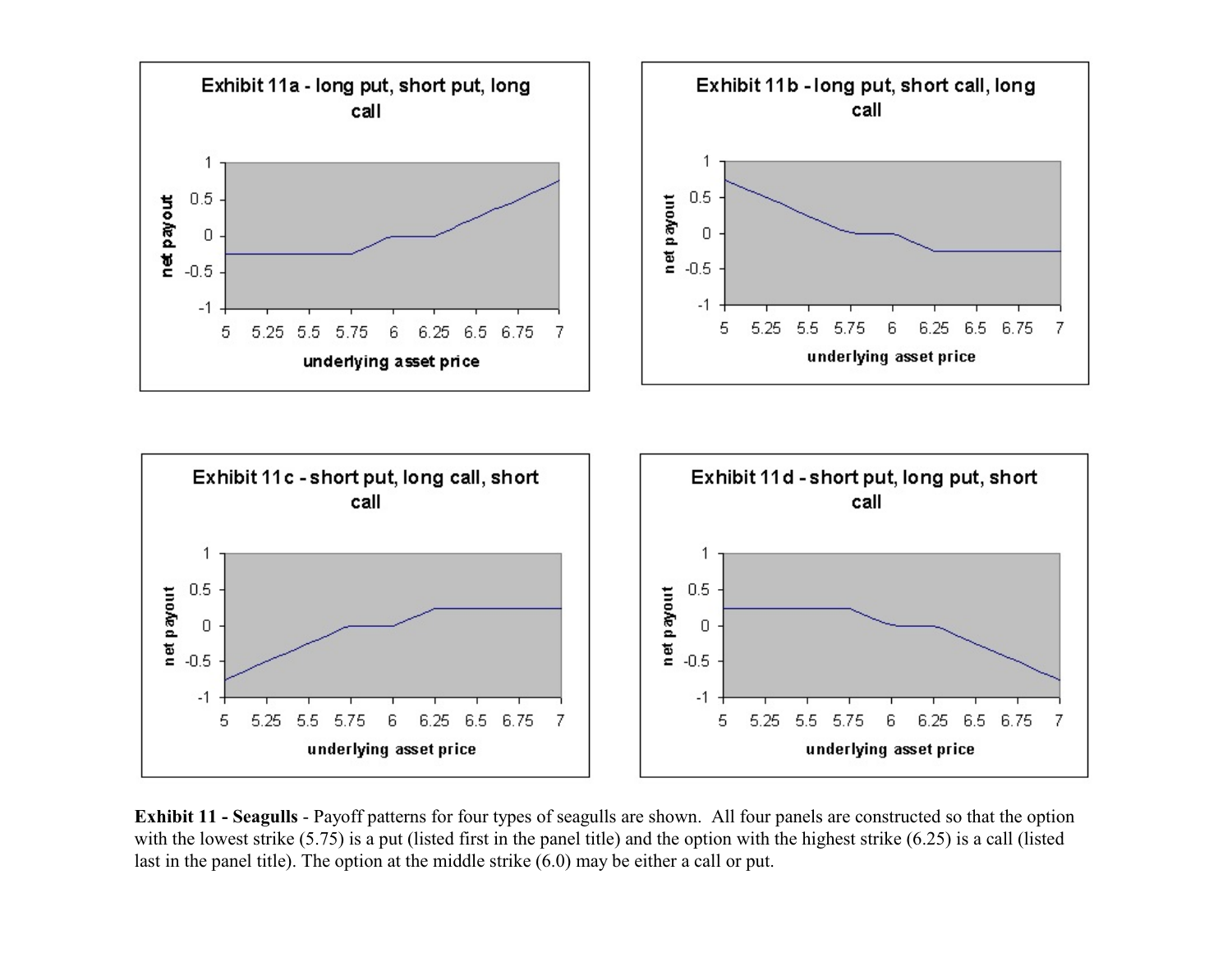



**Exhibit 11 - Seagulls** - Payoff patterns for four types of seagulls are shown. All four panels are constructed so that the option with the lowest strike (5.75) is a put (listed first in the panel title) and the option with the highest strike (6.25) is a call (listed last in the panel title). The option at the middle strike (6.0) may be either a call or put.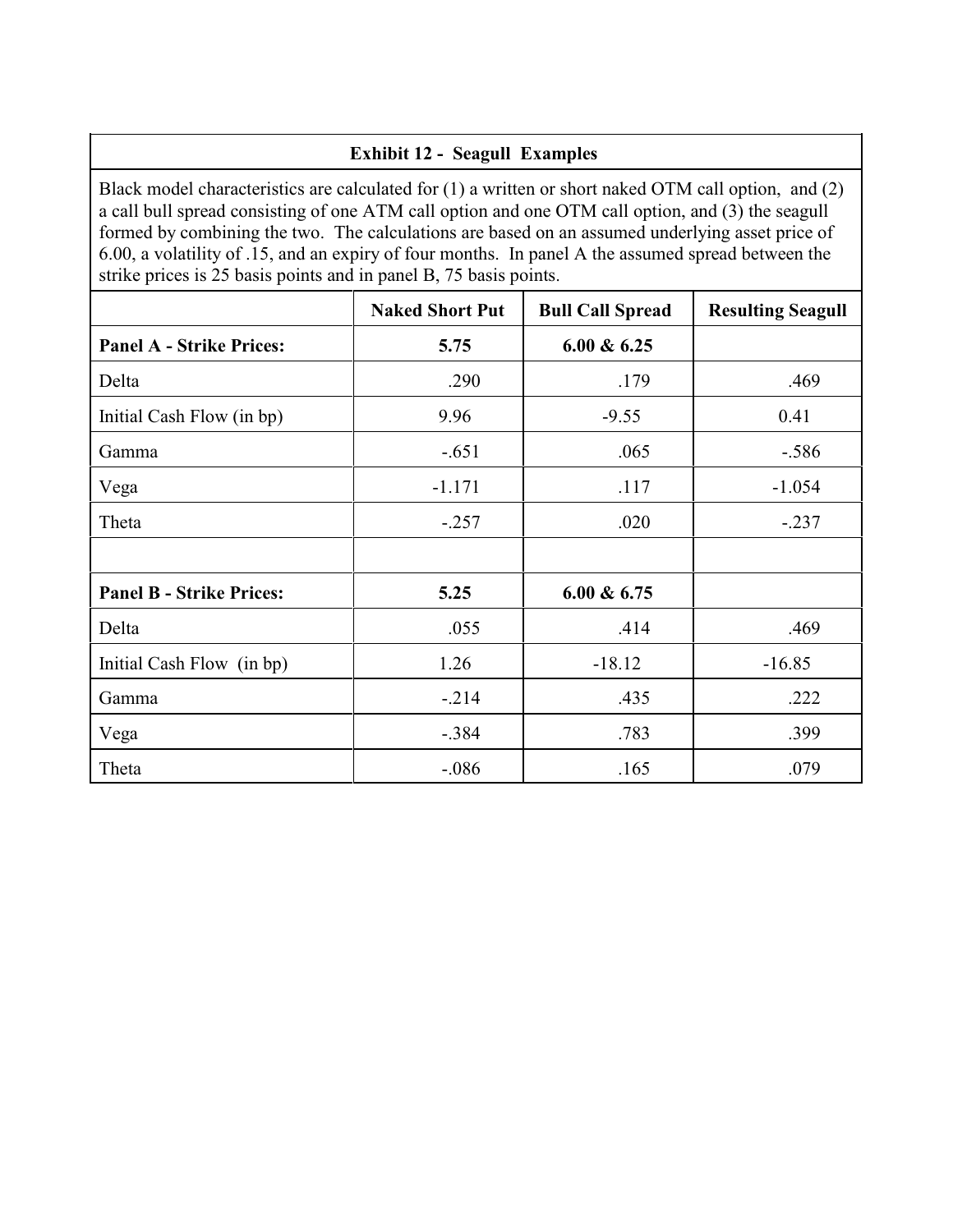# **Exhibit 12 - Seagull Examples**

Black model characteristics are calculated for (1) a written or short naked OTM call option, and (2) a call bull spread consisting of one ATM call option and one OTM call option, and (3) the seagull formed by combining the two. The calculations are based on an assumed underlying asset price of 6.00, a volatility of .15, and an expiry of four months. In panel A the assumed spread between the strike prices is 25 basis points and in panel B, 75 basis points.

|                                 | <b>Naked Short Put</b> | <b>Bull Call Spread</b> | <b>Resulting Seagull</b> |
|---------------------------------|------------------------|-------------------------|--------------------------|
| <b>Panel A - Strike Prices:</b> | 5.75                   | $6.00 \& 6.25$          |                          |
| Delta                           | .290                   | .179                    | .469                     |
| Initial Cash Flow (in bp)       | 9.96                   | $-9.55$                 | 0.41                     |
| Gamma                           | $-.651$                | .065                    | $-.586$                  |
| Vega                            | $-1.171$               | .117                    | $-1.054$                 |
| Theta                           | $-.257$                | .020                    | $-.237$                  |
|                                 |                        |                         |                          |
| <b>Panel B - Strike Prices:</b> | 5.25                   | $6.00 \& 6.75$          |                          |
| Delta                           | .055                   | .414                    | .469                     |
| Initial Cash Flow (in bp)       | 1.26                   | $-18.12$                | $-16.85$                 |
| Gamma                           | $-.214$                | .435                    | .222                     |
| Vega                            | $-.384$                | .783                    | .399                     |
| Theta                           | $-.086$                | .165                    | .079                     |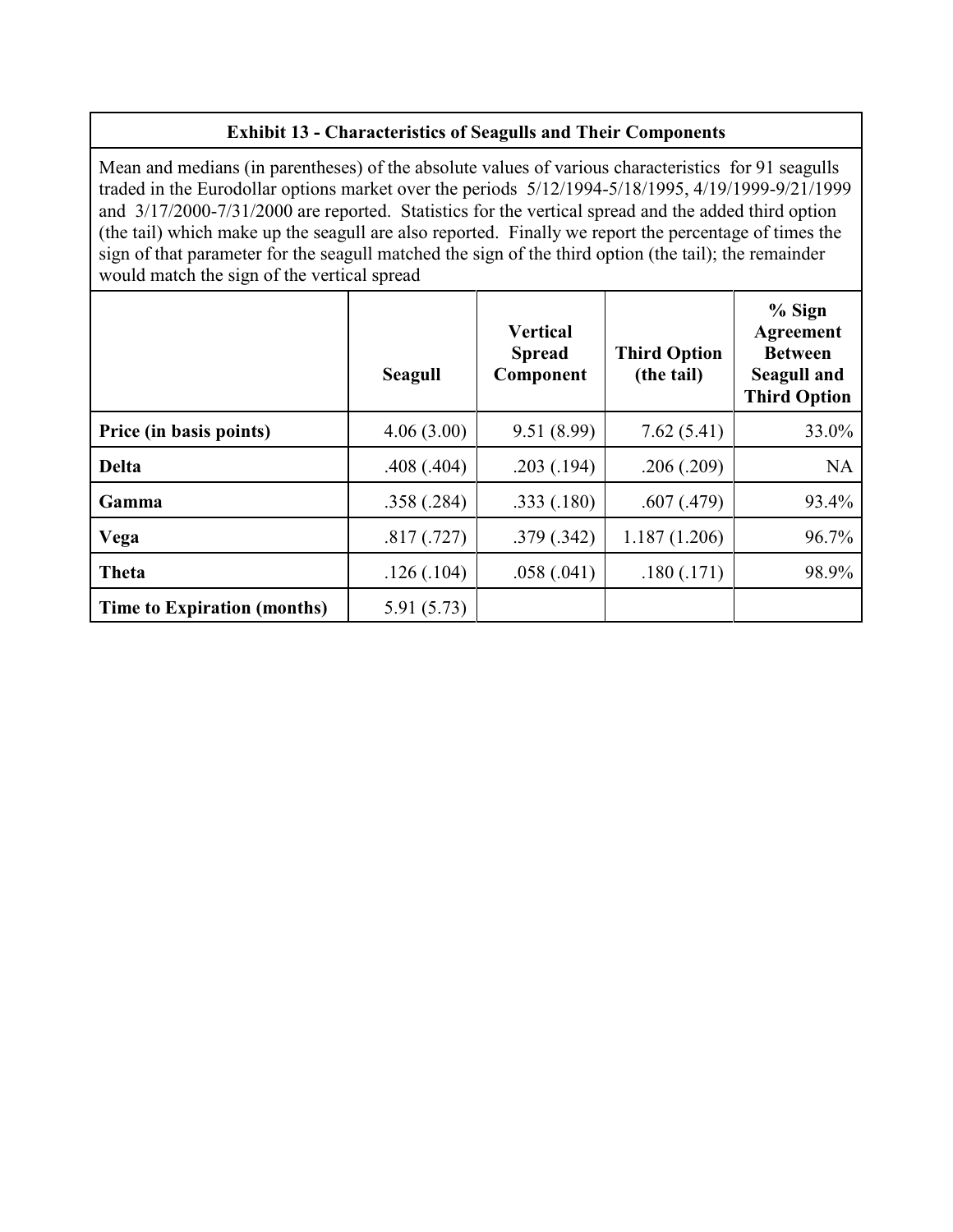# **Exhibit 13 - Characteristics of Seagulls and Their Components**

Mean and medians (in parentheses) of the absolute values of various characteristics for 91 seagulls traded in the Eurodollar options market over the periods 5/12/1994-5/18/1995, 4/19/1999-9/21/1999 and 3/17/2000-7/31/2000 are reported. Statistics for the vertical spread and the added third option (the tail) which make up the seagull are also reported. Finally we report the percentage of times the sign of that parameter for the seagull matched the sign of the third option (the tail); the remainder would match the sign of the vertical spread

|                             | <b>Seagull</b> | <b>Vertical</b><br><b>Spread</b><br>Component | <b>Third Option</b><br>(the tail) | $%$ Sign<br>Agreement<br><b>Between</b><br><b>Seagull and</b><br><b>Third Option</b> |
|-----------------------------|----------------|-----------------------------------------------|-----------------------------------|--------------------------------------------------------------------------------------|
| Price (in basis points)     | 4.06(3.00)     | 9.51(8.99)                                    | 7.62(5.41)                        | 33.0%                                                                                |
| <b>Delta</b>                | .408(.404)     | .203(.194)                                    | .206(.209)                        | <b>NA</b>                                                                            |
| Gamma                       | .358(.284)     | .333(.180)                                    | .607(.479)                        | 93.4%                                                                                |
| Vega                        | .817(.727)     | .379(.342)                                    | 1.187(1.206)                      | 96.7%                                                                                |
| Theta                       | .126(.104)     | .058(.041)                                    | .180(.171)                        | 98.9%                                                                                |
| Time to Expiration (months) | 5.91(5.73)     |                                               |                                   |                                                                                      |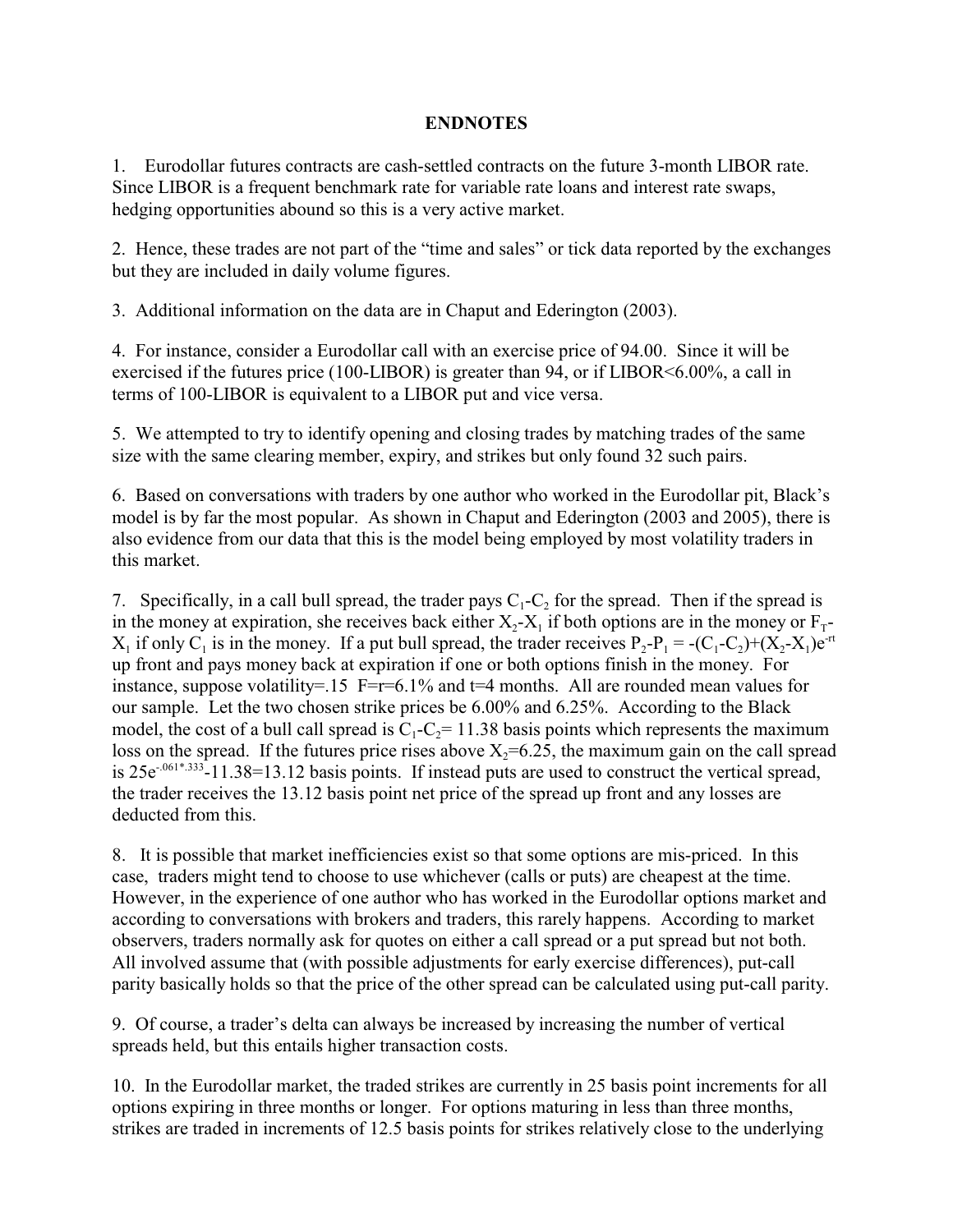# **ENDNOTES**

1. Eurodollar futures contracts are cash-settled contracts on the future 3-month LIBOR rate. Since LIBOR is a frequent benchmark rate for variable rate loans and interest rate swaps, hedging opportunities abound so this is a very active market.

2. Hence, these trades are not part of the "time and sales" or tick data reported by the exchanges but they are included in daily volume figures.

3. Additional information on the data are in Chaput and Ederington (2003).

4. For instance, consider a Eurodollar call with an exercise price of 94.00. Since it will be exercised if the futures price (100-LIBOR) is greater than 94, or if LIBOR<6.00%, a call in terms of 100-LIBOR is equivalent to a LIBOR put and vice versa.

5. We attempted to try to identify opening and closing trades by matching trades of the same size with the same clearing member, expiry, and strikes but only found 32 such pairs.

6. Based on conversations with traders by one author who worked in the Eurodollar pit, Black's model is by far the most popular. As shown in Chaput and Ederington (2003 and 2005), there is also evidence from our data that this is the model being employed by most volatility traders in this market.

7. Specifically, in a call bull spread, the trader pays  $C_1$ -C<sub>2</sub> for the spread. Then if the spread is in the money at expiration, she receives back either  $X_2$ - $X_1$  if both options are in the money or  $F_T$ - $X_1$  if only  $C_1$  is in the money. If a put bull spread, the trader receives  $P_2 - P_1 = -(C_1 - C_2) + (X_2 - X_1)e^{-rt}$ up front and pays money back at expiration if one or both options finish in the money. For instance, suppose volatility=.15 F= $r=6.1\%$  and  $r=4$  months. All are rounded mean values for our sample. Let the two chosen strike prices be 6.00% and 6.25%. According to the Black model, the cost of a bull call spread is  $C_1 - C_2 = 11.38$  basis points which represents the maximum loss on the spread. If the futures price rises above  $X_2=6.25$ , the maximum gain on the call spread is  $25e^{-0.061*0.333}$ -11.38=13.12 basis points. If instead puts are used to construct the vertical spread, the trader receives the 13.12 basis point net price of the spread up front and any losses are deducted from this.

8. It is possible that market inefficiencies exist so that some options are mis-priced. In this case, traders might tend to choose to use whichever (calls or puts) are cheapest at the time. However, in the experience of one author who has worked in the Eurodollar options market and according to conversations with brokers and traders, this rarely happens. According to market observers, traders normally ask for quotes on either a call spread or a put spread but not both. All involved assume that (with possible adjustments for early exercise differences), put-call parity basically holds so that the price of the other spread can be calculated using put-call parity.

9. Of course, a trader's delta can always be increased by increasing the number of vertical spreads held, but this entails higher transaction costs.

10. In the Eurodollar market, the traded strikes are currently in 25 basis point increments for all options expiring in three months or longer. For options maturing in less than three months, strikes are traded in increments of 12.5 basis points for strikes relatively close to the underlying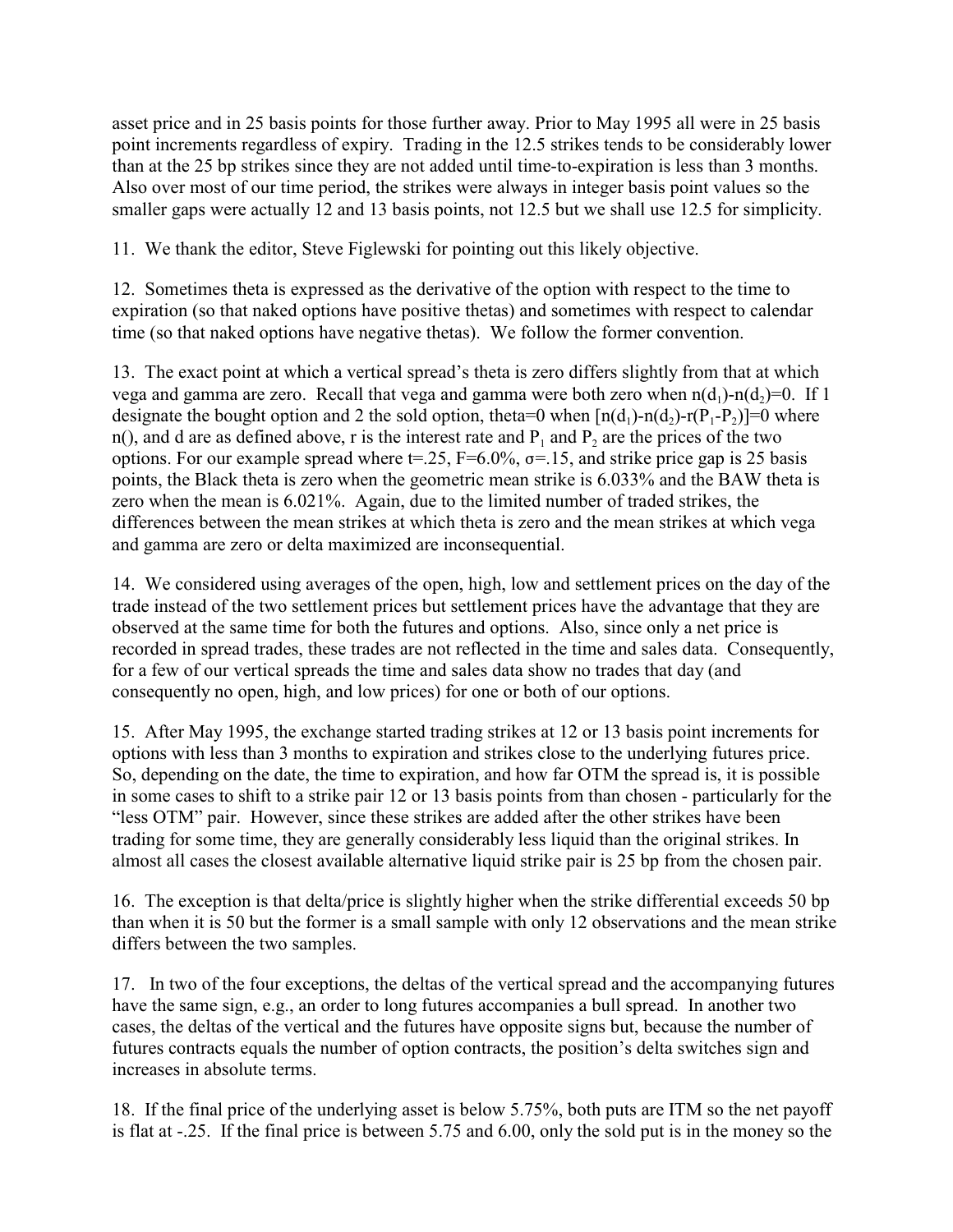asset price and in 25 basis points for those further away. Prior to May 1995 all were in 25 basis point increments regardless of expiry. Trading in the 12.5 strikes tends to be considerably lower than at the 25 bp strikes since they are not added until time-to-expiration is less than 3 months. Also over most of our time period, the strikes were always in integer basis point values so the smaller gaps were actually 12 and 13 basis points, not 12.5 but we shall use 12.5 for simplicity.

11. We thank the editor, Steve Figlewski for pointing out this likely objective.

12. Sometimes theta is expressed as the derivative of the option with respect to the time to expiration (so that naked options have positive thetas) and sometimes with respect to calendar time (so that naked options have negative thetas). We follow the former convention.

13. The exact point at which a vertical spread's theta is zero differs slightly from that at which vega and gamma are zero. Recall that vega and gamma were both zero when  $n(d_1)-n(d_2)=0$ . If 1 designate the bought option and 2 the sold option, theta=0 when  $[n(d_1)-n(d_2)-r(P_1-P_2)]=0$  where n(), and d are as defined above, r is the interest rate and  $P_1$  and  $P_2$  are the prices of the two options. For our example spread where  $t = 0.25$ ,  $F = 6.0\%$ ,  $\sigma = 0.15$ , and strike price gap is 25 basis points, the Black theta is zero when the geometric mean strike is 6.033% and the BAW theta is zero when the mean is 6.021%. Again, due to the limited number of traded strikes, the differences between the mean strikes at which theta is zero and the mean strikes at which vega and gamma are zero or delta maximized are inconsequential.

14. We considered using averages of the open, high, low and settlement prices on the day of the trade instead of the two settlement prices but settlement prices have the advantage that they are observed at the same time for both the futures and options. Also, since only a net price is recorded in spread trades, these trades are not reflected in the time and sales data. Consequently, for a few of our vertical spreads the time and sales data show no trades that day (and consequently no open, high, and low prices) for one or both of our options.

15. After May 1995, the exchange started trading strikes at 12 or 13 basis point increments for options with less than 3 months to expiration and strikes close to the underlying futures price. So, depending on the date, the time to expiration, and how far OTM the spread is, it is possible in some cases to shift to a strike pair 12 or 13 basis points from than chosen - particularly for the "less OTM" pair. However, since these strikes are added after the other strikes have been trading for some time, they are generally considerably less liquid than the original strikes. In almost all cases the closest available alternative liquid strike pair is 25 bp from the chosen pair.

16. The exception is that delta/price is slightly higher when the strike differential exceeds 50 bp than when it is 50 but the former is a small sample with only 12 observations and the mean strike differs between the two samples.

17. In two of the four exceptions, the deltas of the vertical spread and the accompanying futures have the same sign, e.g., an order to long futures accompanies a bull spread. In another two cases, the deltas of the vertical and the futures have opposite signs but, because the number of futures contracts equals the number of option contracts, the position's delta switches sign and increases in absolute terms.

18. If the final price of the underlying asset is below 5.75%, both puts are ITM so the net payoff is flat at -.25. If the final price is between 5.75 and 6.00, only the sold put is in the money so the